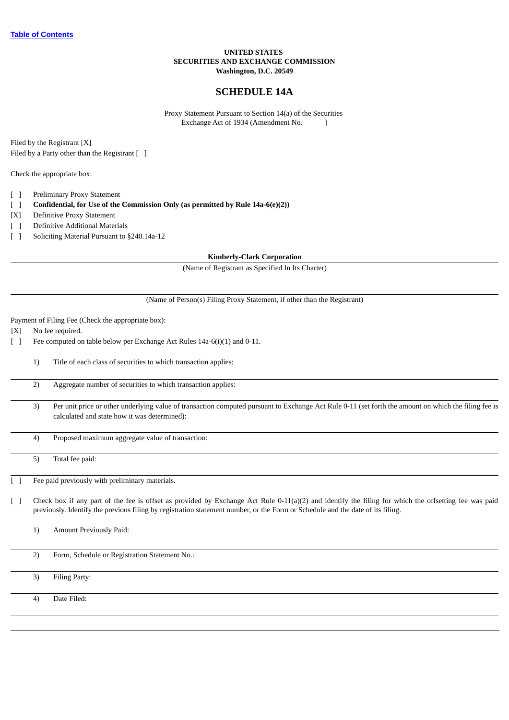### **UNITED STATES SECURITIES AND EXCHANGE COMMISSION Washington, D.C. 20549**

### **SCHEDULE 14A**

Proxy Statement Pursuant to Section 14(a) of the Securities Exchange Act of 1934 (Amendment No. )

Filed by the Registrant [X] Filed by a Party other than the Registrant [ ]

Check the appropriate box:

- [ ] Preliminary Proxy Statement
- [ ] **Confidential, for Use of the Commission Only (as permitted by Rule 14a-6(e)(2))**
- [X] Definitive Proxy Statement
- [ ] Definitive Additional Materials
- [ ] Soliciting Material Pursuant to §240.14a-12

**Kimberly-Clark Corporation**

(Name of Registrant as Specified In Its Charter)

(Name of Person(s) Filing Proxy Statement, if other than the Registrant)

Payment of Filing Fee (Check the appropriate box):

[X] No fee required.

[ ] Fee computed on table below per Exchange Act Rules 14a-6(i)(1) and 0-11.

1) Title of each class of securities to which transaction applies:

2) Aggregate number of securities to which transaction applies:

3) Per unit price or other underlying value of transaction computed pursuant to Exchange Act Rule 0-11 (set forth the amount on which the filing fee is calculated and state how it was determined):

4) Proposed maximum aggregate value of transaction:

5) Total fee paid:

Fee paid previously with preliminary materials.

[ ] Check box if any part of the fee is offset as provided by Exchange Act Rule 0-11(a)(2) and identify the filing for which the offsetting fee was paid previously. Identify the previous filing by registration statement number, or the Form or Schedule and the date of its filing.

1) Amount Previously Paid:

2) Form, Schedule or Registration Statement No.:

3) Filing Party:

4) Date Filed: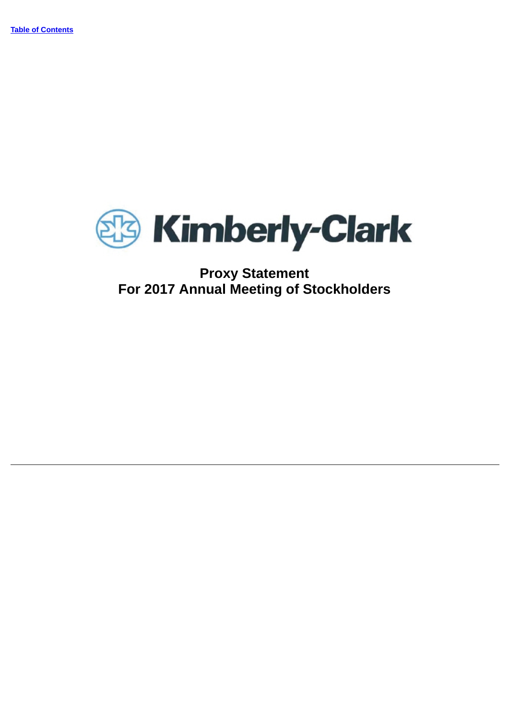

## **Proxy Statement For 2017 Annual Meeting of Stockholders**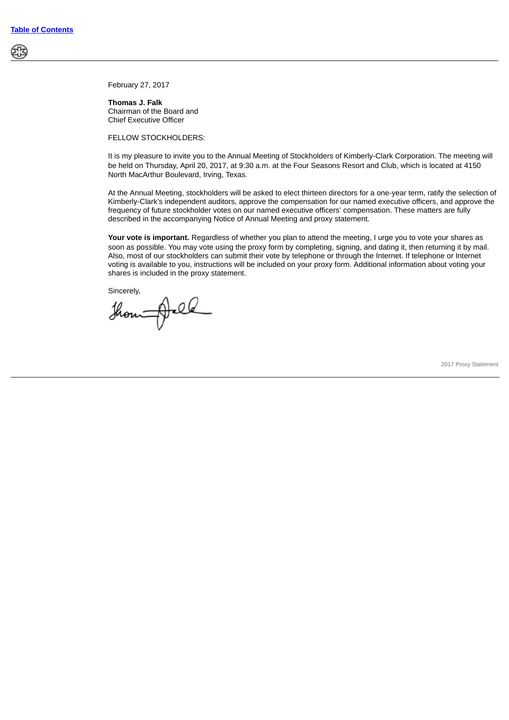February 27, 2017

**Thomas J. Falk** Chairman of the Board and Chief Executive Officer

FELLOW STOCKHOLDERS:

It is my pleasure to invite you to the Annual Meeting of Stockholders of Kimberly-Clark Corporation. The meeting will be held on Thursday, April 20, 2017, at 9:30 a.m. at the Four Seasons Resort and Club, which is located at 4150 North MacArthur Boulevard, Irving, Texas.

At the Annual Meeting, stockholders will be asked to elect thirteen directors for a one-year term, ratify the selection of Kimberly-Clark's independent auditors, approve the compensation for our named executive officers, and approve the frequency of future stockholder votes on our named executive officers' compensation. These matters are fully described in the accompanying Notice of Annual Meeting and proxy statement.

Your vote is important. Regardless of whether you plan to attend the meeting, I urge you to vote your shares as soon as possible. You may vote using the proxy form by completing, signing, and dating it, then returning it by mail. Also, most of our stockholders can submit their vote by telephone or through the Internet. If telephone or Internet voting is available to you, instructions will be included on your proxy form. Additional information about voting your shares is included in the proxy statement.

Sincerely,

though-el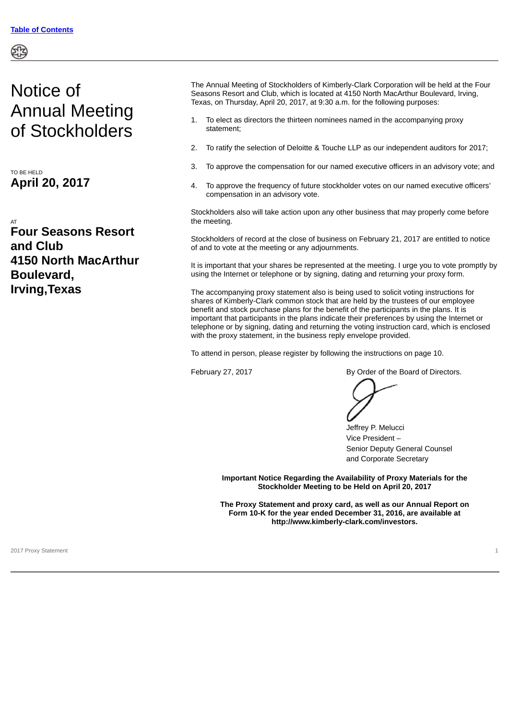# Notice of Annual Meeting of Stockholders

TO BE HELD **April 20, 2017**

AT **Four Seasons Resort and Club 4150 North MacArthur Boulevard, Irving,Texas**

The Annual Meeting of Stockholders of Kimberly-Clark Corporation will be held at the Four Seasons Resort and Club, which is located at 4150 North MacArthur Boulevard, Irving, Texas, on Thursday, April 20, 2017, at 9:30 a.m. for the following purposes:

- 1. To elect as directors the thirteen nominees named in the accompanying proxy statement;
- 2. To ratify the selection of Deloitte & Touche LLP as our independent auditors for 2017;
- 3. To approve the compensation for our named executive officers in an advisory vote; and
- 4. To approve the frequency of future stockholder votes on our named executive officers' compensation in an advisory vote.

Stockholders also will take action upon any other business that may properly come before the meeting.

Stockholders of record at the close of business on February 21, 2017 are entitled to notice of and to vote at the meeting or any adjournments.

It is important that your shares be represented at the meeting. I urge you to vote promptly by using the Internet or telephone or by signing, dating and returning your proxy form.

The accompanying proxy statement also is being used to solicit voting instructions for shares of Kimberly-Clark common stock that are held by the trustees of our employee benefit and stock purchase plans for the benefit of the participants in the plans. It is important that participants in the plans indicate their preferences by using the Internet or telephone or by signing, dating and returning the voting instruction card, which is enclosed with the proxy statement, in the business reply envelope provided.

To attend in person, please register by following the instructions on page 10.

February 27, 2017 **By Order of the Board of Directors.** 



Jeffrey P. Melucci Vice President – Senior Deputy General Counsel and Corporate Secretary

**Important Notice Regarding the Availability of Proxy Materials for the Stockholder Meeting to be Held on April 20, 2017**

**The Proxy Statement and proxy card, as well as our Annual Report on Form 10-K for the year ended December 31, 2016, are available at http://www.kimberly-clark.com/investors.**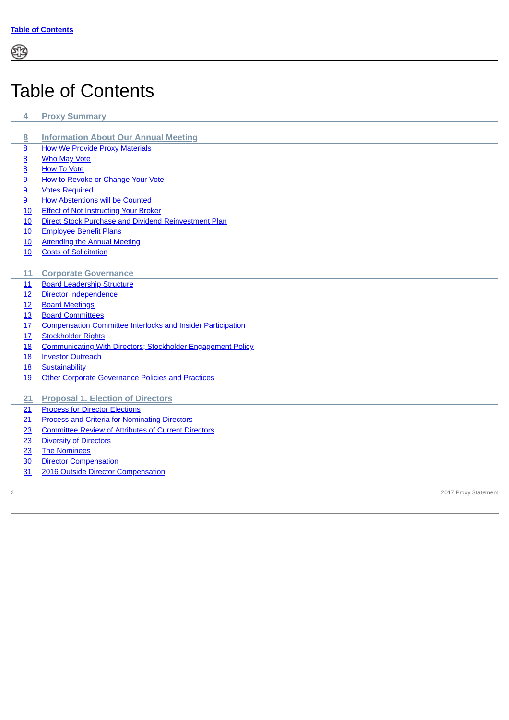# <span id="page-4-0"></span>Table of Contents

- **[4](#page-6-0) Proxy [Summary](#page-6-0)**
- **[Information](#page-10-0) About Our Annual Meeting**
- [How We Provide Proxy Materials](#page-10-1)
- **[Who May Vote](#page-10-2)**
- [How To Vote](#page-10-3)
- [How to Revoke or Change Your Vote](#page-11-0)
- [Votes Required](#page-11-1)
- [How Abstentions will be Counted](#page-11-2)
- [Effect of Not Instructing Your Broker](#page-12-0)
- [Direct Stock Purchase and Dividend Reinvestment Plan](#page-12-1)
- [Employee Benefit Plans](#page-12-2)
- [Attending the Annual Meeting](#page-12-3)
- [Costs of Solicitation](#page-12-4)
- **Corporate [Governance](#page-13-0)**
- [Board Leadership Structure](#page-13-1)
- [Director Independence](#page-14-0)
- [Board Meetings](#page-14-1)
- [Board Committees](#page-15-0)
- [Compensation Committee Interlocks and Insider Participation](#page-19-0)
- [Stockholder Rights](#page-19-1)
- [Communicating With Directors; Stockholder Engagement Policy](#page-20-0)
- [Investor Outreach](#page-20-1)
- [Sustainability](#page-20-2)
- [Other Corporate Governance Policies and Practices](#page-21-0)
- **Proposal 1. Election of [Directors](#page-23-0)**
- [Process for Director Elections](#page-23-1)
- [Process and Criteria for Nominating Directors](#page-23-2)
- [Committee Review of Attributes of Current Directors](#page-25-0)
- [Diversity of Directors](#page-25-1)
- [The Nominees](#page-25-2)
- [Director Compensation](#page-32-0)
- [2016 Outside Director Compensation](#page-33-0)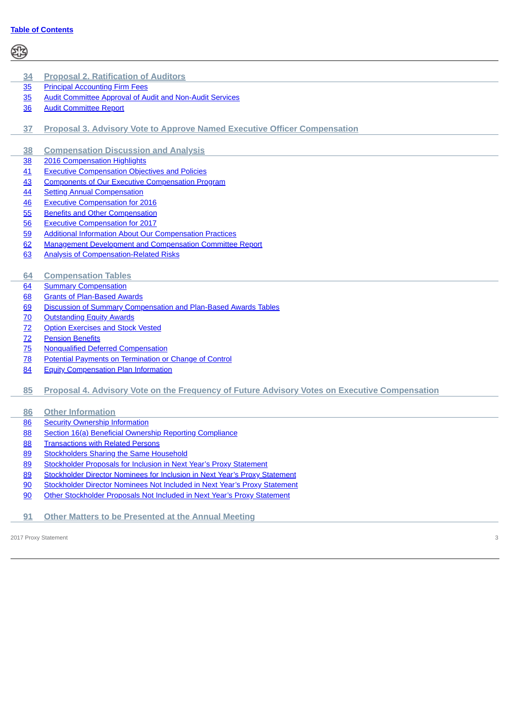| <u>34</u>       | <b>Proposal 2. Ratification of Auditors</b>                                                   |
|-----------------|-----------------------------------------------------------------------------------------------|
| 35              | <b>Principal Accounting Firm Fees</b>                                                         |
| 35              | <b>Audit Committee Approval of Audit and Non-Audit Services</b>                               |
| $\frac{36}{5}$  | <b>Audit Committee Report</b>                                                                 |
| 37              | <b>Proposal 3. Advisory Vote to Approve Named Executive Officer Compensation</b>              |
| <u>38</u>       | <b>Compensation Discussion and Analysis</b>                                                   |
| $\frac{38}{5}$  | 2016 Compensation Highlights                                                                  |
| 41              | <b>Executive Compensation Objectives and Policies</b>                                         |
| 43              | <b>Components of Our Executive Compensation Program</b>                                       |
| <u>44</u>       | <b>Setting Annual Compensation</b>                                                            |
| 46              | <b>Executive Compensation for 2016</b>                                                        |
| 55              | <b>Benefits and Other Compensation</b>                                                        |
| 56              | <b>Executive Compensation for 2017</b>                                                        |
| 59              | <b>Additional Information About Our Compensation Practices</b>                                |
| 62              | <b>Management Development and Compensation Committee Report</b>                               |
| 63              | <b>Analysis of Compensation-Related Risks</b>                                                 |
|                 |                                                                                               |
| 64              | <b>Compensation Tables</b>                                                                    |
| 64              | <b>Summary Compensation</b>                                                                   |
| 68              | <b>Grants of Plan-Based Awards</b>                                                            |
| <u>69</u>       | Discussion of Summary Compensation and Plan-Based Awards Tables                               |
| <u>70</u>       | <b>Outstanding Equity Awards</b>                                                              |
| 72              | <b>Option Exercises and Stock Vested</b>                                                      |
| $\overline{72}$ | <b>Pension Benefits</b>                                                                       |
| $\frac{75}{2}$  | <b>Nonqualified Deferred Compensation</b>                                                     |
| <u>78</u>       | Potential Payments on Termination or Change of Control                                        |
| 84              | <b>Equity Compensation Plan Information</b>                                                   |
| 85              | Proposal 4. Advisory Vote on the Frequency of Future Advisory Votes on Executive Compensation |
| 86              | <b>Other Information</b>                                                                      |
| 86              | <b>Security Ownership Information</b>                                                         |
| 88              | Section 16(a) Beneficial Ownership Reporting Compliance                                       |
| 88              | <b>Transactions with Related Persons</b>                                                      |
| 89              | <b>Stockholders Sharing the Same Household</b>                                                |
| 89              | Stockholder Proposals for Inclusion in Next Year's Proxy Statement                            |
| 89              | Stockholder Director Nominees for Inclusion in Next Year's Proxy Statement                    |
| 90              | Stockholder Director Nominees Not Included in Next Year's Proxy Statement                     |
| 90              | Other Stockholder Proposals Not Included in Next Year's Proxy Statement                       |
| 91              | <b>Other Matters to be Presented at the Annual Meeting</b>                                    |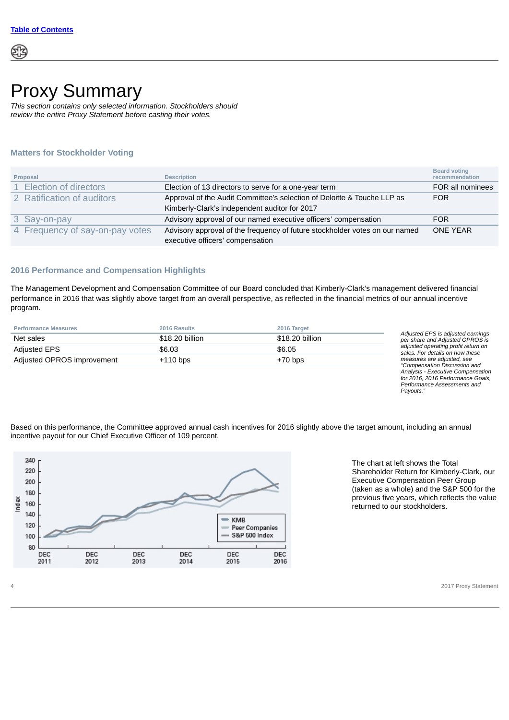

# <span id="page-6-0"></span>Proxy Summary

*This section contains only selected information. Stockholders should review the entire Proxy Statement before casting their votes.*

### **Matters for Stockholder Voting**

| Proposal                        | <b>Description</b>                                                          | <b>Board voting</b><br>recommendation |
|---------------------------------|-----------------------------------------------------------------------------|---------------------------------------|
| 1 Election of directors         | Election of 13 directors to serve for a one-year term                       | FOR all nominees                      |
| 2 Ratification of auditors      | Approval of the Audit Committee's selection of Deloitte & Touche LLP as     | <b>FOR</b>                            |
|                                 | Kimberly-Clark's independent auditor for 2017                               |                                       |
| 3 Say-on-pay                    | Advisory approval of our named executive officers' compensation             | <b>FOR</b>                            |
| 4 Frequency of say-on-pay votes | Advisory approval of the frequency of future stockholder votes on our named | <b>ONE YEAR</b>                       |
|                                 | executive officers' compensation                                            |                                       |

### **2016 Performance and Compensation Highlights**

The Management Development and Compensation Committee of our Board concluded that Kimberly-Clark's management delivered financial performance in 2016 that was slightly above target from an overall perspective, as reflected in the financial metrics of our annual incentive program.

| <b>Performance Measures</b> | 2016 Results    | 2016 Target     |
|-----------------------------|-----------------|-----------------|
| Net sales                   | \$18.20 billion | \$18.20 billion |
| Adjusted EPS                | \$6.03          | \$6.05          |
| Adjusted OPROS improvement  | $+110$ bps      | $+70$ bps       |

*Adjusted EPS is adjusted earnings per share and Adjusted OPROS is adjusted operating profit return on sales. For details on how these measures are adjusted, see "Compensation Discussion and Analysis - Executive Compensation for 2016, 2016 Performance Goals, Performance Assessments and Payouts."*

Based on this performance, the Committee approved annual cash incentives for 2016 slightly above the target amount, including an annual incentive payout for our Chief Executive Officer of 109 percent.



The chart at left shows the Total Shareholder Return for Kimberly-Clark, our Executive Compensation Peer Group (taken as a whole) and the S&P 500 for the previous five years, which reflects the value returned to our stockholders.

4 2017 Proxy Statement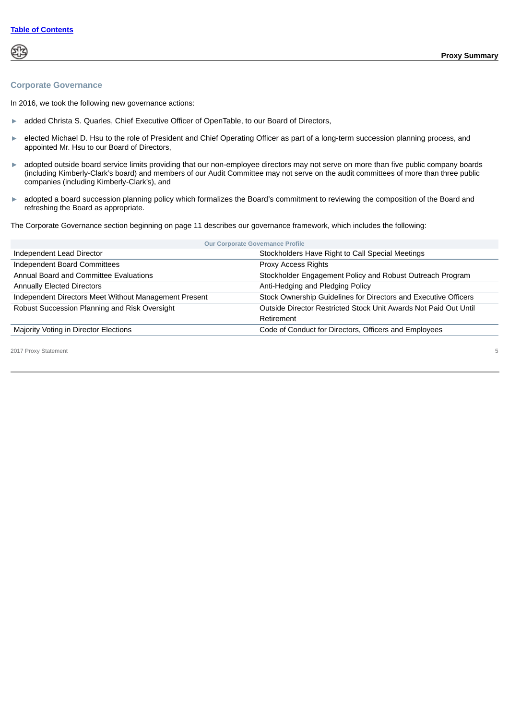### **Corporate Governance**

In 2016, we took the following new governance actions:

- ► added Christa S. Quarles, Chief Executive Officer of OpenTable, to our Board of Directors,
- ► elected Michael D. Hsu to the role of President and Chief Operating Officer as part of a long-term succession planning process, and appointed Mr. Hsu to our Board of Directors,
- ► adopted outside board service limits providing that our non-employee directors may not serve on more than five public company boards (including Kimberly-Clark's board) and members of our Audit Committee may not serve on the audit committees of more than three public companies (including Kimberly-Clark's), and
- ► adopted a board succession planning policy which formalizes the Board's commitment to reviewing the composition of the Board and refreshing the Board as appropriate.

The Corporate Governance section beginning on page 11 describes our governance framework, which includes the following:

| <b>Our Corporate Governance Profile</b>               |                                                                  |
|-------------------------------------------------------|------------------------------------------------------------------|
| Independent Lead Director                             | Stockholders Have Right to Call Special Meetings                 |
| Independent Board Committees                          | Proxy Access Rights                                              |
| Annual Board and Committee Evaluations                | Stockholder Engagement Policy and Robust Outreach Program        |
| <b>Annually Elected Directors</b>                     | Anti-Hedging and Pledging Policy                                 |
| Independent Directors Meet Without Management Present | Stock Ownership Guidelines for Directors and Executive Officers  |
| Robust Succession Planning and Risk Oversight         | Outside Director Restricted Stock Unit Awards Not Paid Out Until |
|                                                       | Retirement                                                       |
| Majority Voting in Director Elections                 | Code of Conduct for Directors, Officers and Employees            |
|                                                       |                                                                  |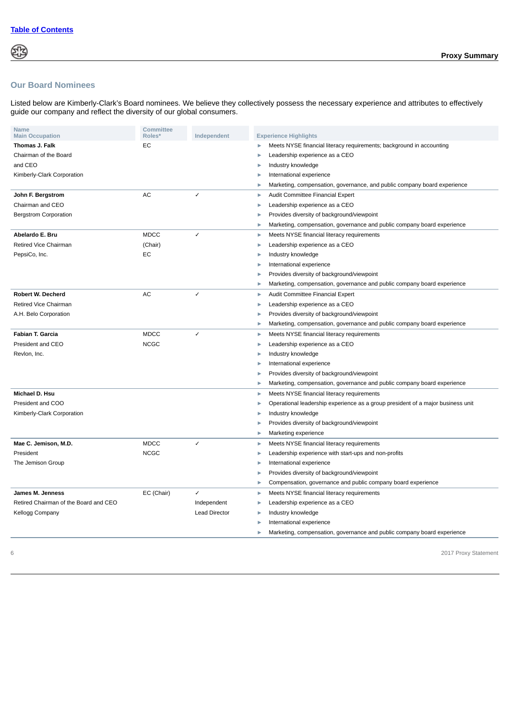### **Our Board Nominees**

Listed below are Kimberly-Clark's Board nominees. We believe they collectively possess the necessary experience and attributes to effectively guide our company and reflect the diversity of our global consumers.

| <b>Name</b><br><b>Main Occupation</b> | <b>Committee</b><br>Roles* | Independent          | <b>Experience Highlights</b>                                                    |
|---------------------------------------|----------------------------|----------------------|---------------------------------------------------------------------------------|
| <b>Thomas J. Falk</b>                 | EC                         |                      | Meets NYSE financial literacy requirements; background in accounting<br>ь       |
| Chairman of the Board                 |                            |                      | Leadership experience as a CEO<br>ь                                             |
| and CEO                               |                            |                      | Industry knowledge                                                              |
| Kimberly-Clark Corporation            |                            |                      | International experience                                                        |
|                                       |                            |                      | Marketing, compensation, governance, and public company board experience<br>ь   |
| John F. Bergstrom                     | AC                         | $\checkmark$         | Audit Committee Financial Expert<br>Þ                                           |
| Chairman and CEO                      |                            |                      | Leadership experience as a CEO                                                  |
| <b>Bergstrom Corporation</b>          |                            |                      | Provides diversity of background/viewpoint                                      |
|                                       |                            |                      | Marketing, compensation, governance and public company board experience         |
| Abelardo E. Bru                       | <b>MDCC</b>                | $\checkmark$         | Meets NYSE financial literacy requirements<br>Þ                                 |
| Retired Vice Chairman                 | (Chair)                    |                      | Leadership experience as a CEO<br>ь                                             |
| PepsiCo, Inc.                         | EC                         |                      | Industry knowledge<br>٠                                                         |
|                                       |                            |                      | International experience<br>D                                                   |
|                                       |                            |                      | Provides diversity of background/viewpoint<br>ь                                 |
|                                       |                            |                      | Marketing, compensation, governance and public company board experience<br>ь    |
| <b>Robert W. Decherd</b>              | AC                         | $\checkmark$         | Audit Committee Financial Expert<br>Þ                                           |
| <b>Retired Vice Chairman</b>          |                            |                      | Leadership experience as a CEO                                                  |
| A.H. Belo Corporation                 |                            |                      | Provides diversity of background/viewpoint                                      |
|                                       |                            |                      | Marketing, compensation, governance and public company board experience<br>ь    |
| Fabian T. Garcia                      | <b>MDCC</b>                | $\checkmark$         | Meets NYSE financial literacy requirements<br>Þ                                 |
| President and CEO                     | <b>NCGC</b>                |                      | Leadership experience as a CEO<br>ь                                             |
| Revion, Inc.                          |                            |                      | Industry knowledge                                                              |
|                                       |                            |                      | International experience                                                        |
|                                       |                            |                      | Provides diversity of background/viewpoint                                      |
|                                       |                            |                      | Marketing, compensation, governance and public company board experience<br>Þ    |
| Michael D. Hsu                        |                            |                      | Meets NYSE financial literacy requirements<br>Þ                                 |
| President and COO                     |                            |                      | Operational leadership experience as a group president of a major business unit |
| Kimberly-Clark Corporation            |                            |                      | Industry knowledge                                                              |
|                                       |                            |                      | Provides diversity of background/viewpoint<br>ь                                 |
|                                       |                            |                      | Marketing experience<br>ь                                                       |
| Mae C. Jemison, M.D.                  | <b>MDCC</b>                | $\overline{1}$       | Meets NYSE financial literacy requirements<br>ь                                 |
| President                             | <b>NCGC</b>                |                      | Leadership experience with start-ups and non-profits                            |
| The Jemison Group                     |                            |                      | International experience<br>ь                                                   |
|                                       |                            |                      | Provides diversity of background/viewpoint                                      |
|                                       |                            |                      | Compensation, governance and public company board experience<br>ь               |
| James M. Jenness                      | EC (Chair)                 | $\checkmark$         | Meets NYSE financial literacy requirements<br>ь                                 |
| Retired Chairman of the Board and CEO |                            | Independent          | Leadership experience as a CEO<br>ь                                             |
| Kellogg Company                       |                            | <b>Lead Director</b> | Industry knowledge<br>ь                                                         |
|                                       |                            |                      | International experience                                                        |
|                                       |                            |                      | Marketing, compensation, governance and public company board experience<br>ь    |
|                                       |                            |                      |                                                                                 |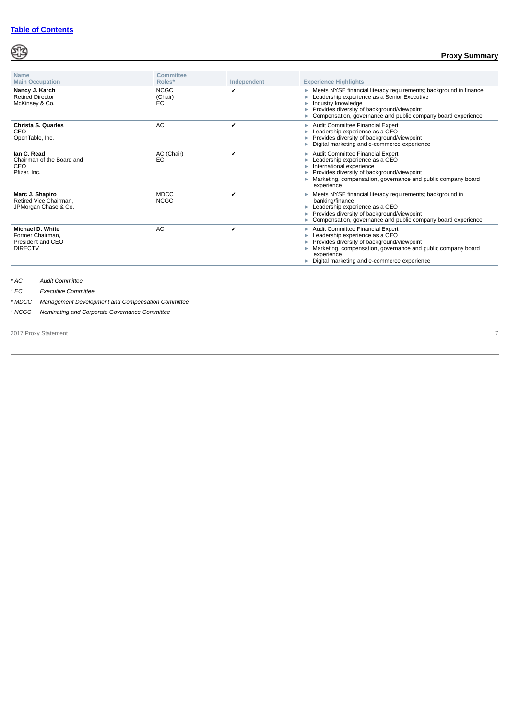## ෯

### **Proxy Summary**

| <b>Name</b><br><b>Main Occupation</b>                                              | Committee<br>Roles*          | Independent | <b>Experience Highlights</b>                                                                                                                                                                                                                         |
|------------------------------------------------------------------------------------|------------------------------|-------------|------------------------------------------------------------------------------------------------------------------------------------------------------------------------------------------------------------------------------------------------------|
| Nancy J. Karch<br><b>Retired Director</b><br>McKinsey & Co.                        | <b>NCGC</b><br>(Chair)<br>EС | ✔           | Meets NYSE financial literacy requirements; background in finance<br>Leadership experience as a Senior Executive<br>Industry knowledge<br>Provides diversity of background/viewpoint<br>Compensation, governance and public company board experience |
| Christa S. Quarles<br>CEO<br>OpenTable, Inc.                                       | <b>AC</b>                    | ✔           | Audit Committee Financial Expert<br>Leadership experience as a CEO<br>Provides diversity of background/viewpoint<br>Digital marketing and e-commerce experience                                                                                      |
| lan C. Read<br>Chairman of the Board and<br>CEO<br>Pfizer, Inc.                    | AC (Chair)<br>EC             | ✔           | Audit Committee Financial Expert<br>Þ<br>Leadership experience as a CEO<br>International experience<br>Provides diversity of background/viewpoint<br>Marketing, compensation, governance and public company board<br>experience                      |
| Marc J. Shapiro<br>Retired Vice Chairman.<br>JPMorgan Chase & Co.                  | <b>MDCC</b><br><b>NCGC</b>   |             | Meets NYSE financial literacy requirements; background in<br>banking/finance<br>Leadership experience as a CEO<br>Provides diversity of background/viewpoint<br>Compensation, governance and public company board experience                         |
| <b>Michael D. White</b><br>Former Chairman.<br>President and CEO<br><b>DIRECTV</b> | <b>AC</b>                    | ✔           | Audit Committee Financial Expert<br>ь<br>Leadership experience as a CEO<br>Provides diversity of background/viewpoint<br>Marketing, compensation, governance and public company board<br>experience<br>Digital marketing and e-commerce experience   |

*\* AC Audit Committee*

Í,

*\* EC Executive Committee*

*\* MDCC Management Development and Compensation Committee*

*\* NCGC Nominating and Corporate Governance Committee*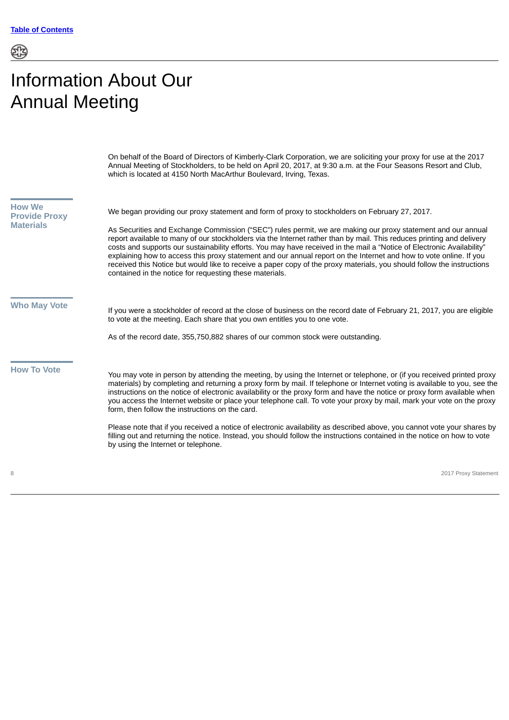# <span id="page-10-0"></span>Information About Our Annual Meeting

On behalf of the Board of Directors of Kimberly-Clark Corporation, we are soliciting your proxy for use at the 2017 Annual Meeting of Stockholders, to be held on April 20, 2017, at 9:30 a.m. at the Four Seasons Resort and Club, which is located at 4150 North MacArthur Boulevard, Irving, Texas.

<span id="page-10-3"></span><span id="page-10-2"></span><span id="page-10-1"></span>

| <b>How We</b><br><b>Provide Proxy</b><br><b>Materials</b> | We began providing our proxy statement and form of proxy to stockholders on February 27, 2017.<br>As Securities and Exchange Commission ("SEC") rules permit, we are making our proxy statement and our annual<br>report available to many of our stockholders via the Internet rather than by mail. This reduces printing and delivery<br>costs and supports our sustainability efforts. You may have received in the mail a "Notice of Electronic Availability"<br>explaining how to access this proxy statement and our annual report on the Internet and how to vote online. If you<br>received this Notice but would like to receive a paper copy of the proxy materials, you should follow the instructions<br>contained in the notice for requesting these materials.                                                                              |
|-----------------------------------------------------------|-----------------------------------------------------------------------------------------------------------------------------------------------------------------------------------------------------------------------------------------------------------------------------------------------------------------------------------------------------------------------------------------------------------------------------------------------------------------------------------------------------------------------------------------------------------------------------------------------------------------------------------------------------------------------------------------------------------------------------------------------------------------------------------------------------------------------------------------------------------|
| <b>Who May Vote</b>                                       | If you were a stockholder of record at the close of business on the record date of February 21, 2017, you are eligible<br>to vote at the meeting. Each share that you own entitles you to one vote.<br>As of the record date, 355,750,882 shares of our common stock were outstanding.                                                                                                                                                                                                                                                                                                                                                                                                                                                                                                                                                                    |
| <b>How To Vote</b>                                        | You may vote in person by attending the meeting, by using the Internet or telephone, or (if you received printed proxy<br>materials) by completing and returning a proxy form by mail. If telephone or Internet voting is available to you, see the<br>instructions on the notice of electronic availability or the proxy form and have the notice or proxy form available when<br>you access the Internet website or place your telephone call. To vote your proxy by mail, mark your vote on the proxy<br>form, then follow the instructions on the card.<br>Please note that if you received a notice of electronic availability as described above, you cannot vote your shares by<br>filling out and returning the notice. Instead, you should follow the instructions contained in the notice on how to vote<br>by using the Internet or telephone. |
| 8                                                         | 2017 Proxy Statement                                                                                                                                                                                                                                                                                                                                                                                                                                                                                                                                                                                                                                                                                                                                                                                                                                      |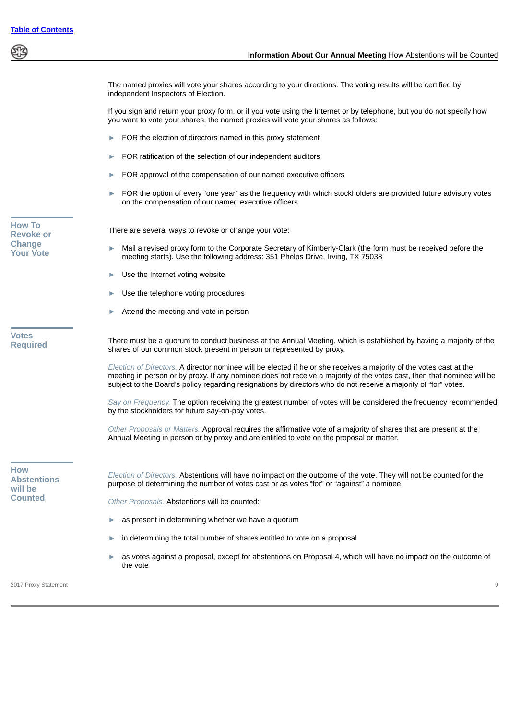<span id="page-11-2"></span><span id="page-11-1"></span><span id="page-11-0"></span>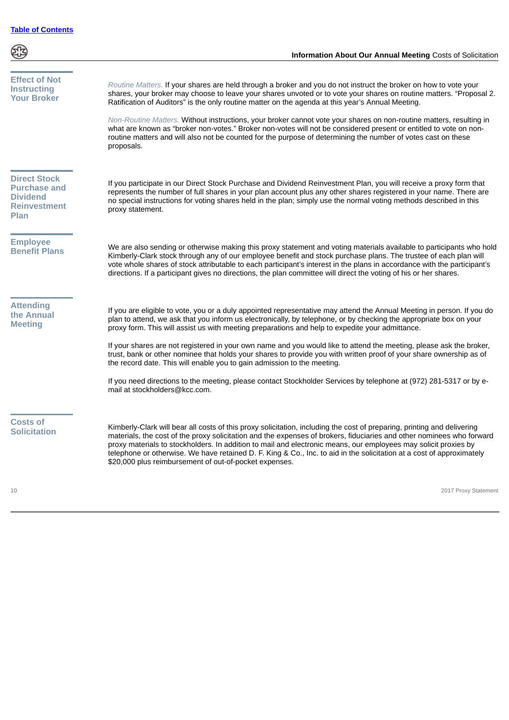<span id="page-12-4"></span><span id="page-12-3"></span><span id="page-12-2"></span><span id="page-12-1"></span><span id="page-12-0"></span>

|                                                                                                     | Information About Our Annual Meeting Costs of Solicitation                                                                                                                                                                                                                                                                                                                                                                                                                                                                                                                                                                                                                                                                                                                                     |
|-----------------------------------------------------------------------------------------------------|------------------------------------------------------------------------------------------------------------------------------------------------------------------------------------------------------------------------------------------------------------------------------------------------------------------------------------------------------------------------------------------------------------------------------------------------------------------------------------------------------------------------------------------------------------------------------------------------------------------------------------------------------------------------------------------------------------------------------------------------------------------------------------------------|
| <b>Effect of Not</b><br><b>Instructing</b><br><b>Your Broker</b>                                    | Routine Matters. If your shares are held through a broker and you do not instruct the broker on how to vote your<br>shares, your broker may choose to leave your shares unvoted or to vote your shares on routine matters. "Proposal 2.<br>Ratification of Auditors" is the only routine matter on the agenda at this year's Annual Meeting.<br>Non-Routine Matters. Without instructions, your broker cannot vote your shares on non-routine matters, resulting in<br>what are known as "broker non-votes." Broker non-votes will not be considered present or entitled to vote on non-<br>routine matters and will also not be counted for the purpose of determining the number of votes cast on these<br>proposals.                                                                        |
| <b>Direct Stock</b><br><b>Purchase and</b><br><b>Dividend</b><br><b>Reinvestment</b><br><b>Plan</b> | If you participate in our Direct Stock Purchase and Dividend Reinvestment Plan, you will receive a proxy form that<br>represents the number of full shares in your plan account plus any other shares registered in your name. There are<br>no special instructions for voting shares held in the plan; simply use the normal voting methods described in this<br>proxy statement.                                                                                                                                                                                                                                                                                                                                                                                                             |
| <b>Employee</b><br><b>Benefit Plans</b>                                                             | We are also sending or otherwise making this proxy statement and voting materials available to participants who hold<br>Kimberly-Clark stock through any of our employee benefit and stock purchase plans. The trustee of each plan will<br>vote whole shares of stock attributable to each participant's interest in the plans in accordance with the participant's<br>directions. If a participant gives no directions, the plan committee will direct the voting of his or her shares.                                                                                                                                                                                                                                                                                                      |
| <b>Attending</b><br>the Annual<br><b>Meeting</b>                                                    | If you are eligible to vote, you or a duly appointed representative may attend the Annual Meeting in person. If you do<br>plan to attend, we ask that you inform us electronically, by telephone, or by checking the appropriate box on your<br>proxy form. This will assist us with meeting preparations and help to expedite your admittance.<br>If your shares are not registered in your own name and you would like to attend the meeting, please ask the broker,<br>trust, bank or other nominee that holds your shares to provide you with written proof of your share ownership as of<br>the record date. This will enable you to gain admission to the meeting.<br>If you need directions to the meeting, please contact Stockholder Services by telephone at (972) 281-5317 or by e- |
| <b>Costs of</b><br><b>Solicitation</b>                                                              | mail at stockholders@kcc.com.<br>Kimberly-Clark will bear all costs of this proxy solicitation, including the cost of preparing, printing and delivering<br>materials, the cost of the proxy solicitation and the expenses of brokers, fiduciaries and other nominees who forward<br>proxy materials to stockholders. In addition to mail and electronic means, our employees may solicit proxies by<br>telephone or otherwise. We have retained D. F. King & Co., Inc. to aid in the solicitation at a cost of approximately<br>\$20,000 plus reimbursement of out-of-pocket expenses.                                                                                                                                                                                                        |
| 10                                                                                                  | 2017 Proxy Statement                                                                                                                                                                                                                                                                                                                                                                                                                                                                                                                                                                                                                                                                                                                                                                           |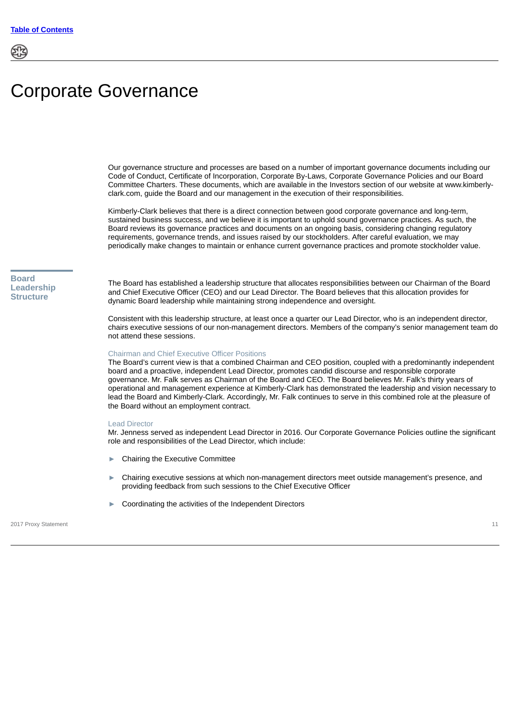# <span id="page-13-0"></span>Corporate Governance

Our governance structure and processes are based on a number of important governance documents including our Code of Conduct, Certificate of Incorporation, Corporate By-Laws, Corporate Governance Policies and our Board Committee Charters. These documents, which are available in the Investors section of our website at www.kimberlyclark.com, guide the Board and our management in the execution of their responsibilities.

Kimberly-Clark believes that there is a direct connection between good corporate governance and long-term, sustained business success, and we believe it is important to uphold sound governance practices. As such, the Board reviews its governance practices and documents on an ongoing basis, considering changing regulatory requirements, governance trends, and issues raised by our stockholders. After careful evaluation, we may periodically make changes to maintain or enhance current governance practices and promote stockholder value.

### <span id="page-13-1"></span>**Board Leadership Structure**

The Board has established a leadership structure that allocates responsibilities between our Chairman of the Board and Chief Executive Officer (CEO) and our Lead Director. The Board believes that this allocation provides for dynamic Board leadership while maintaining strong independence and oversight.

Consistent with this leadership structure, at least once a quarter our Lead Director, who is an independent director, chairs executive sessions of our non-management directors. Members of the company's senior management team do not attend these sessions.

### Chairman and Chief Executive Officer Positions

The Board's current view is that a combined Chairman and CEO position, coupled with a predominantly independent board and a proactive, independent Lead Director, promotes candid discourse and responsible corporate governance. Mr. Falk serves as Chairman of the Board and CEO. The Board believes Mr. Falk's thirty years of operational and management experience at Kimberly-Clark has demonstrated the leadership and vision necessary to lead the Board and Kimberly-Clark. Accordingly, Mr. Falk continues to serve in this combined role at the pleasure of the Board without an employment contract.

#### Lead Director

Mr. Jenness served as independent Lead Director in 2016. Our Corporate Governance Policies outline the significant role and responsibilities of the Lead Director, which include:

- ► Chairing the Executive Committee
- ► Chairing executive sessions at which non-management directors meet outside management's presence, and providing feedback from such sessions to the Chief Executive Officer
- Coordinating the activities of the Independent Directors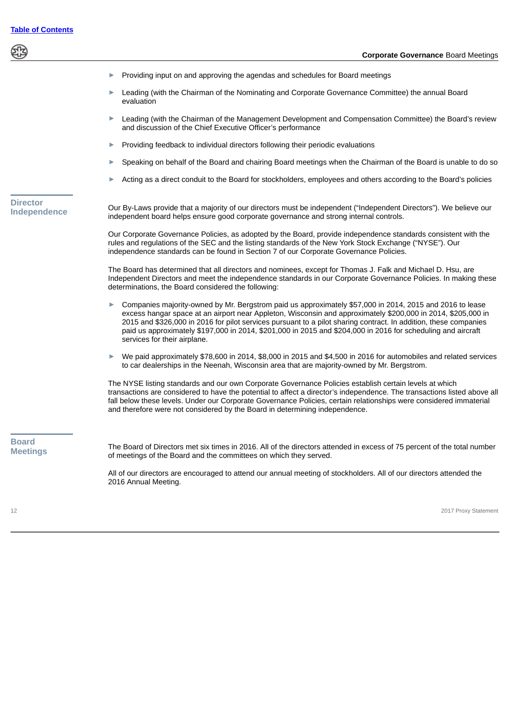<span id="page-14-0"></span>Providing input on and approving the agendas and schedules for Board meetings Leading (with the Chairman of the Nominating and Corporate Governance Committee) the annual Board evaluation ► Leading (with the Chairman of the Management Development and Compensation Committee) the Board's review and discussion of the Chief Executive Officer's performance Providing feedback to individual directors following their periodic evaluations Speaking on behalf of the Board and chairing Board meetings when the Chairman of the Board is unable to do so Acting as a direct conduit to the Board for stockholders, employees and others according to the Board's policies **Director Independence** Our By-Laws provide that a majority of our directors must be independent ("Independent Directors"). We believe our independent board helps ensure good corporate governance and strong internal controls. Our Corporate Governance Policies, as adopted by the Board, provide independence standards consistent with the rules and regulations of the SEC and the listing standards of the New York Stock Exchange ("NYSE"). Our independence standards can be found in Section 7 of our Corporate Governance Policies. The Board has determined that all directors and nominees, except for Thomas J. Falk and Michael D. Hsu, are Independent Directors and meet the independence standards in our Corporate Governance Policies. In making these determinations, the Board considered the following: Companies majority-owned by Mr. Bergstrom paid us approximately \$57,000 in 2014, 2015 and 2016 to lease excess hangar space at an airport near Appleton, Wisconsin and approximately \$200,000 in 2014, \$205,000 in 2015 and \$326,000 in 2016 for pilot services pursuant to a pilot sharing contract. In addition, these companies paid us approximately \$197,000 in 2014, \$201,000 in 2015 and \$204,000 in 2016 for scheduling and aircraft services for their airplane. ► We paid approximately \$78,600 in 2014, \$8,000 in 2015 and \$4,500 in 2016 for automobiles and related services to car dealerships in the Neenah, Wisconsin area that are majority-owned by Mr. Bergstrom. The NYSE listing standards and our own Corporate Governance Policies establish certain levels at which transactions are considered to have the potential to affect a director's independence. The transactions listed above all fall below these levels. Under our Corporate Governance Policies, certain relationships were considered immaterial and therefore were not considered by the Board in determining independence. **Board Meetings** The Board of Directors met six times in 2016. All of the directors attended in excess of 75 percent of the total number of meetings of the Board and the committees on which they served. All of our directors are encouraged to attend our annual meeting of stockholders. All of our directors attended the 2016 Annual Meeting.

<span id="page-14-1"></span>12 2017 Proxy Statement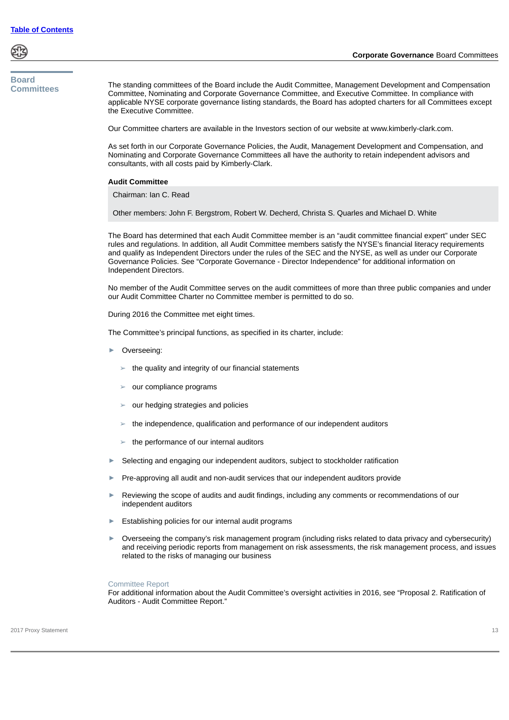<span id="page-15-0"></span>**Board Committees**

The standing committees of the Board include the Audit Committee, Management Development and Compensation Committee, Nominating and Corporate Governance Committee, and Executive Committee. In compliance with applicable NYSE corporate governance listing standards, the Board has adopted charters for all Committees except the Executive Committee.

Our Committee charters are available in the Investors section of our website at www.kimberly-clark.com.

As set forth in our Corporate Governance Policies, the Audit, Management Development and Compensation, and Nominating and Corporate Governance Committees all have the authority to retain independent advisors and consultants, with all costs paid by Kimberly-Clark.

### **Audit Committee**

Chairman: Ian C. Read

Other members: John F. Bergstrom, Robert W. Decherd, Christa S. Quarles and Michael D. White

The Board has determined that each Audit Committee member is an "audit committee financial expert" under SEC rules and regulations. In addition, all Audit Committee members satisfy the NYSE's financial literacy requirements and qualify as Independent Directors under the rules of the SEC and the NYSE, as well as under our Corporate Governance Policies. See "Corporate Governance - Director Independence" for additional information on Independent Directors.

No member of the Audit Committee serves on the audit committees of more than three public companies and under our Audit Committee Charter no Committee member is permitted to do so.

During 2016 the Committee met eight times.

The Committee's principal functions, as specified in its charter, include:

- Overseeing:
	- $\blacktriangleright$  the quality and integrity of our financial statements
	- $\geq$  our compliance programs
	- ➢ our hedging strategies and policies
	- $\geq$  the independence, qualification and performance of our independent auditors
	- $\blacktriangleright$  the performance of our internal auditors
- Selecting and engaging our independent auditors, subject to stockholder ratification
- Pre-approving all audit and non-audit services that our independent auditors provide
- Reviewing the scope of audits and audit findings, including any comments or recommendations of our independent auditors
- Establishing policies for our internal audit programs
- ► Overseeing the company's risk management program (including risks related to data privacy and cybersecurity) and receiving periodic reports from management on risk assessments, the risk management process, and issues related to the risks of managing our business

#### Committee Report

For additional information about the Audit Committee's oversight activities in 2016, see "Proposal 2. Ratification of Auditors - Audit Committee Report."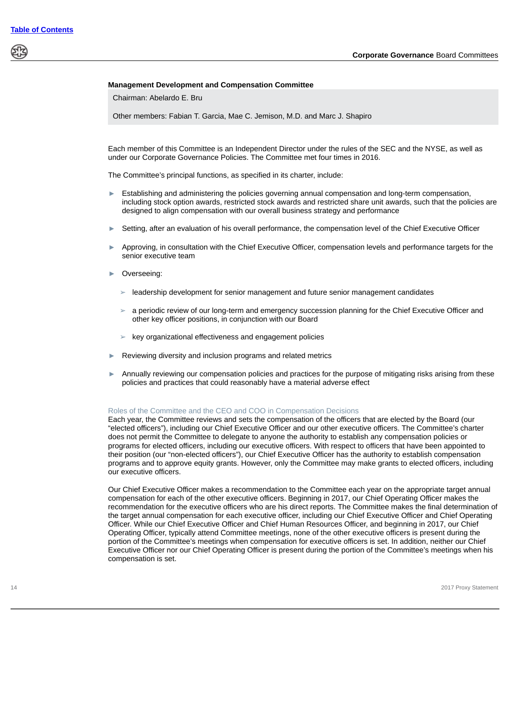### **Management Development and Compensation Committee**

Chairman: Abelardo E. Bru

Other members: Fabian T. Garcia, Mae C. Jemison, M.D. and Marc J. Shapiro

Each member of this Committee is an Independent Director under the rules of the SEC and the NYSE, as well as under our Corporate Governance Policies. The Committee met four times in 2016.

The Committee's principal functions, as specified in its charter, include:

- ► Establishing and administering the policies governing annual compensation and long-term compensation, including stock option awards, restricted stock awards and restricted share unit awards, such that the policies are designed to align compensation with our overall business strategy and performance
- Setting, after an evaluation of his overall performance, the compensation level of the Chief Executive Officer
- Approving, in consultation with the Chief Executive Officer, compensation levels and performance targets for the senior executive team
- Overseeing:
	- $\geq$  leadership development for senior management and future senior management candidates
	- ➢ a periodic review of our long-term and emergency succession planning for the Chief Executive Officer and other key officer positions, in conjunction with our Board
	- ➢ key organizational effectiveness and engagement policies
- Reviewing diversity and inclusion programs and related metrics
- Annually reviewing our compensation policies and practices for the purpose of mitigating risks arising from these policies and practices that could reasonably have a material adverse effect

#### Roles of the Committee and the CEO and COO in Compensation Decisions

Each year, the Committee reviews and sets the compensation of the officers that are elected by the Board (our "elected officers"), including our Chief Executive Officer and our other executive officers. The Committee's charter does not permit the Committee to delegate to anyone the authority to establish any compensation policies or programs for elected officers, including our executive officers. With respect to officers that have been appointed to their position (our "non-elected officers"), our Chief Executive Officer has the authority to establish compensation programs and to approve equity grants. However, only the Committee may make grants to elected officers, including our executive officers.

Our Chief Executive Officer makes a recommendation to the Committee each year on the appropriate target annual compensation for each of the other executive officers. Beginning in 2017, our Chief Operating Officer makes the recommendation for the executive officers who are his direct reports. The Committee makes the final determination of the target annual compensation for each executive officer, including our Chief Executive Officer and Chief Operating Officer. While our Chief Executive Officer and Chief Human Resources Officer, and beginning in 2017, our Chief Operating Officer, typically attend Committee meetings, none of the other executive officers is present during the portion of the Committee's meetings when compensation for executive officers is set. In addition, neither our Chief Executive Officer nor our Chief Operating Officer is present during the portion of the Committee's meetings when his compensation is set.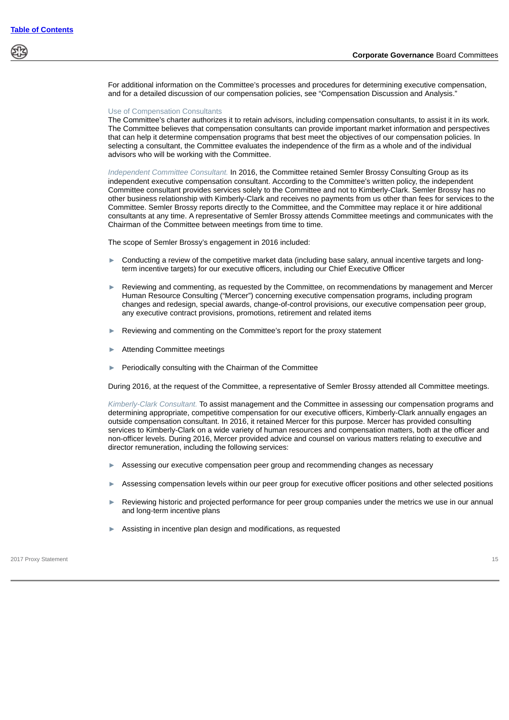For additional information on the Committee's processes and procedures for determining executive compensation, and for a detailed discussion of our compensation policies, see "Compensation Discussion and Analysis."

#### Use of Compensation Consultants

The Committee's charter authorizes it to retain advisors, including compensation consultants, to assist it in its work. The Committee believes that compensation consultants can provide important market information and perspectives that can help it determine compensation programs that best meet the objectives of our compensation policies. In selecting a consultant, the Committee evaluates the independence of the firm as a whole and of the individual advisors who will be working with the Committee.

*Independent Committee Consultant.* In 2016, the Committee retained Semler Brossy Consulting Group as its independent executive compensation consultant. According to the Committee's written policy, the independent Committee consultant provides services solely to the Committee and not to Kimberly-Clark. Semler Brossy has no other business relationship with Kimberly-Clark and receives no payments from us other than fees for services to the Committee. Semler Brossy reports directly to the Committee, and the Committee may replace it or hire additional consultants at any time. A representative of Semler Brossy attends Committee meetings and communicates with the Chairman of the Committee between meetings from time to time.

The scope of Semler Brossy's engagement in 2016 included:

- ► Conducting a review of the competitive market data (including base salary, annual incentive targets and longterm incentive targets) for our executive officers, including our Chief Executive Officer
- Reviewing and commenting, as requested by the Committee, on recommendations by management and Mercer Human Resource Consulting ("Mercer") concerning executive compensation programs, including program changes and redesign, special awards, change-of-control provisions, our executive compensation peer group, any executive contract provisions, promotions, retirement and related items
- ► Reviewing and commenting on the Committee's report for the proxy statement
- Attending Committee meetings
- Periodically consulting with the Chairman of the Committee

During 2016, at the request of the Committee, a representative of Semler Brossy attended all Committee meetings.

*Kimberly-Clark Consultant.* To assist management and the Committee in assessing our compensation programs and determining appropriate, competitive compensation for our executive officers, Kimberly-Clark annually engages an outside compensation consultant. In 2016, it retained Mercer for this purpose. Mercer has provided consulting services to Kimberly-Clark on a wide variety of human resources and compensation matters, both at the officer and non-officer levels. During 2016, Mercer provided advice and counsel on various matters relating to executive and director remuneration, including the following services:

- ► Assessing our executive compensation peer group and recommending changes as necessary
- Assessing compensation levels within our peer group for executive officer positions and other selected positions
- Reviewing historic and projected performance for peer group companies under the metrics we use in our annual and long-term incentive plans
- Assisting in incentive plan design and modifications, as requested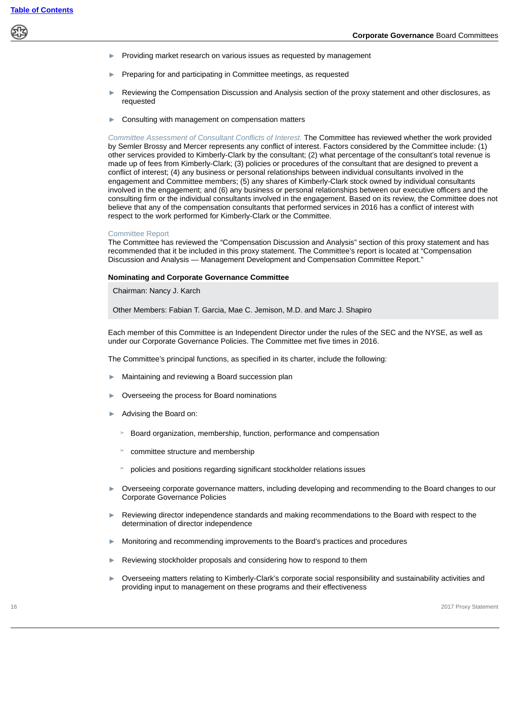- ► Providing market research on various issues as requested by management
- Preparing for and participating in Committee meetings, as requested
- Reviewing the Compensation Discussion and Analysis section of the proxy statement and other disclosures, as requested
- Consulting with management on compensation matters

*Committee Assessment of Consultant Conflicts of Interest.* The Committee has reviewed whether the work provided by Semler Brossy and Mercer represents any conflict of interest. Factors considered by the Committee include: (1) other services provided to Kimberly-Clark by the consultant; (2) what percentage of the consultant's total revenue is made up of fees from Kimberly-Clark; (3) policies or procedures of the consultant that are designed to prevent a conflict of interest; (4) any business or personal relationships between individual consultants involved in the engagement and Committee members; (5) any shares of Kimberly-Clark stock owned by individual consultants involved in the engagement; and (6) any business or personal relationships between our executive officers and the consulting firm or the individual consultants involved in the engagement. Based on its review, the Committee does not believe that any of the compensation consultants that performed services in 2016 has a conflict of interest with respect to the work performed for Kimberly-Clark or the Committee.

### Committee Report

The Committee has reviewed the "Compensation Discussion and Analysis" section of this proxy statement and has recommended that it be included in this proxy statement. The Committee's report is located at "Compensation Discussion and Analysis — Management Development and Compensation Committee Report."

### **Nominating and Corporate Governance Committee**

Chairman: Nancy J. Karch

Other Members: Fabian T. Garcia, Mae C. Jemison, M.D. and Marc J. Shapiro

Each member of this Committee is an Independent Director under the rules of the SEC and the NYSE, as well as under our Corporate Governance Policies. The Committee met five times in 2016.

The Committee's principal functions, as specified in its charter, include the following:

- Maintaining and reviewing a Board succession plan
- ► Overseeing the process for Board nominations
- Advising the Board on:
	- ➢ Board organization, membership, function, performance and compensation
	- ➢ committee structure and membership
	- ➢ policies and positions regarding significant stockholder relations issues
- Overseeing corporate governance matters, including developing and recommending to the Board changes to our Corporate Governance Policies
- Reviewing director independence standards and making recommendations to the Board with respect to the determination of director independence
- ► Monitoring and recommending improvements to the Board's practices and procedures
- Reviewing stockholder proposals and considering how to respond to them
- ► Overseeing matters relating to Kimberly-Clark's corporate social responsibility and sustainability activities and providing input to management on these programs and their effectiveness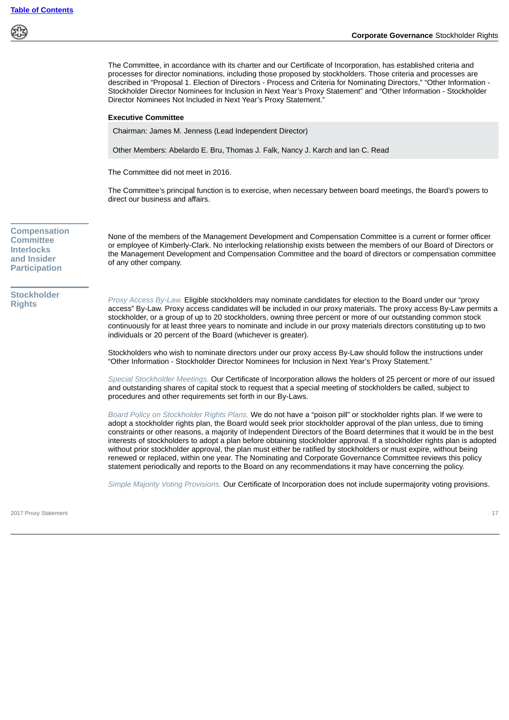ණු

<span id="page-19-0"></span>

|                                                                                                     | The Committee, in accordance with its charter and our Certificate of Incorporation, has established criteria and<br>processes for director nominations, including those proposed by stockholders. Those criteria and processes are<br>described in "Proposal 1. Election of Directors - Process and Criteria for Nominating Directors," "Other Information -<br>Stockholder Director Nominees for Inclusion in Next Year's Proxy Statement" and "Other Information - Stockholder<br>Director Nominees Not Included in Next Year's Proxy Statement."<br><b>Executive Committee</b>                                                                                                                                                                                                                                                                |
|-----------------------------------------------------------------------------------------------------|--------------------------------------------------------------------------------------------------------------------------------------------------------------------------------------------------------------------------------------------------------------------------------------------------------------------------------------------------------------------------------------------------------------------------------------------------------------------------------------------------------------------------------------------------------------------------------------------------------------------------------------------------------------------------------------------------------------------------------------------------------------------------------------------------------------------------------------------------|
|                                                                                                     | Chairman: James M. Jenness (Lead Independent Director)                                                                                                                                                                                                                                                                                                                                                                                                                                                                                                                                                                                                                                                                                                                                                                                           |
|                                                                                                     | Other Members: Abelardo E. Bru, Thomas J. Falk, Nancy J. Karch and Ian C. Read                                                                                                                                                                                                                                                                                                                                                                                                                                                                                                                                                                                                                                                                                                                                                                   |
|                                                                                                     | The Committee did not meet in 2016.                                                                                                                                                                                                                                                                                                                                                                                                                                                                                                                                                                                                                                                                                                                                                                                                              |
|                                                                                                     | The Committee's principal function is to exercise, when necessary between board meetings, the Board's powers to<br>direct our business and affairs.                                                                                                                                                                                                                                                                                                                                                                                                                                                                                                                                                                                                                                                                                              |
| <b>Compensation</b><br><b>Committee</b><br><b>Interlocks</b><br>and Insider<br><b>Participation</b> | None of the members of the Management Development and Compensation Committee is a current or former officer<br>or employee of Kimberly-Clark. No interlocking relationship exists between the members of our Board of Directors or<br>the Management Development and Compensation Committee and the board of directors or compensation committee<br>of any other company.                                                                                                                                                                                                                                                                                                                                                                                                                                                                        |
| <b>Stockholder</b><br><b>Rights</b>                                                                 | Proxy Access By-Law. Eligible stockholders may nominate candidates for election to the Board under our "proxy<br>access" By-Law. Proxy access candidates will be included in our proxy materials. The proxy access By-Law permits a<br>stockholder, or a group of up to 20 stockholders, owning three percent or more of our outstanding common stock<br>continuously for at least three years to nominate and include in our proxy materials directors constituting up to two<br>individuals or 20 percent of the Board (whichever is greater).                                                                                                                                                                                                                                                                                                 |
|                                                                                                     | Stockholders who wish to nominate directors under our proxy access By-Law should follow the instructions under<br>"Other Information - Stockholder Director Nominees for Inclusion in Next Year's Proxy Statement."                                                                                                                                                                                                                                                                                                                                                                                                                                                                                                                                                                                                                              |
|                                                                                                     | Special Stockholder Meetings. Our Certificate of Incorporation allows the holders of 25 percent or more of our issued<br>and outstanding shares of capital stock to request that a special meeting of stockholders be called, subject to<br>procedures and other requirements set forth in our By-Laws.                                                                                                                                                                                                                                                                                                                                                                                                                                                                                                                                          |
|                                                                                                     | Board Policy on Stockholder Rights Plans. We do not have a "poison pill" or stockholder rights plan. If we were to<br>adopt a stockholder rights plan, the Board would seek prior stockholder approval of the plan unless, due to timing<br>constraints or other reasons, a majority of Independent Directors of the Board determines that it would be in the best<br>interests of stockholders to adopt a plan before obtaining stockholder approval. If a stockholder rights plan is adopted<br>without prior stockholder approval, the plan must either be ratified by stockholders or must expire, without being<br>renewed or replaced, within one year. The Nominating and Corporate Governance Committee reviews this policy<br>statement periodically and reports to the Board on any recommendations it may have concerning the policy. |

<span id="page-19-1"></span>*Simple Majority Voting Provisions.* Our Certificate of Incorporation does not include supermajority voting provisions.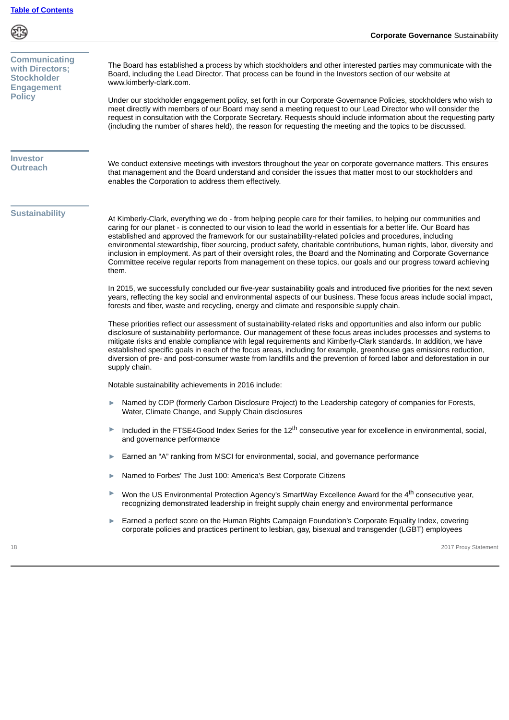\$

<span id="page-20-2"></span><span id="page-20-1"></span><span id="page-20-0"></span>

| <b>Communicating</b><br>with Directors:<br><b>Stockholder</b><br><b>Engagement</b><br><b>Policy</b> | The Board has established a process by which stockholders and other interested parties may communicate with the<br>Board, including the Lead Director. That process can be found in the Investors section of our website at<br>www.kimberly-clark.com.<br>Under our stockholder engagement policy, set forth in our Corporate Governance Policies, stockholders who wish to<br>meet directly with members of our Board may send a meeting request to our Lead Director who will consider the<br>request in consultation with the Corporate Secretary. Requests should include information about the requesting party<br>(including the number of shares held), the reason for requesting the meeting and the topics to be discussed. |
|-----------------------------------------------------------------------------------------------------|--------------------------------------------------------------------------------------------------------------------------------------------------------------------------------------------------------------------------------------------------------------------------------------------------------------------------------------------------------------------------------------------------------------------------------------------------------------------------------------------------------------------------------------------------------------------------------------------------------------------------------------------------------------------------------------------------------------------------------------|
| <b>Investor</b><br><b>Outreach</b>                                                                  | We conduct extensive meetings with investors throughout the year on corporate governance matters. This ensures<br>that management and the Board understand and consider the issues that matter most to our stockholders and<br>enables the Corporation to address them effectively.                                                                                                                                                                                                                                                                                                                                                                                                                                                  |
| <b>Sustainability</b>                                                                               | At Kimberly-Clark, everything we do - from helping people care for their families, to helping our communities and<br>caring for our planet - is connected to our vision to lead the world in essentials for a better life. Our Board has<br>established and approved the framework for our sustainability-related policies and procedures, including<br>environmental stewardship, fiber sourcing, product safety, charitable contributions, human rights, labor, diversity and<br>inclusion in employment. As part of their oversight roles, the Board and the Nominating and Corporate Governance<br>Committee receive regular reports from management on these topics, our goals and our progress toward achieving<br>them.       |
|                                                                                                     | In 2015, we successfully concluded our five-year sustainability goals and introduced five priorities for the next seven<br>years, reflecting the key social and environmental aspects of our business. These focus areas include social impact,<br>forests and fiber, waste and recycling, energy and climate and responsible supply chain.                                                                                                                                                                                                                                                                                                                                                                                          |
|                                                                                                     | These priorities reflect our assessment of sustainability-related risks and opportunities and also inform our public<br>disclosure of sustainability performance. Our management of these focus areas includes processes and systems to<br>mitigate risks and enable compliance with legal requirements and Kimberly-Clark standards. In addition, we have<br>established specific goals in each of the focus areas, including for example, greenhouse gas emissions reduction,<br>diversion of pre- and post-consumer waste from landfills and the prevention of forced labor and deforestation in our<br>supply chain.                                                                                                             |
|                                                                                                     | Notable sustainability achievements in 2016 include:                                                                                                                                                                                                                                                                                                                                                                                                                                                                                                                                                                                                                                                                                 |
|                                                                                                     | Named by CDP (formerly Carbon Disclosure Project) to the Leadership category of companies for Forests,<br>▶<br>Water, Climate Change, and Supply Chain disclosures                                                                                                                                                                                                                                                                                                                                                                                                                                                                                                                                                                   |
|                                                                                                     | Included in the FTSE4Good Index Series for the 12 <sup>th</sup> consecutive year for excellence in environmental, social,<br>and governance performance                                                                                                                                                                                                                                                                                                                                                                                                                                                                                                                                                                              |
|                                                                                                     | Earned an "A" ranking from MSCI for environmental, social, and governance performance<br>▶                                                                                                                                                                                                                                                                                                                                                                                                                                                                                                                                                                                                                                           |
|                                                                                                     | Named to Forbes' The Just 100: America's Best Corporate Citizens<br>▶                                                                                                                                                                                                                                                                                                                                                                                                                                                                                                                                                                                                                                                                |
|                                                                                                     | Won the US Environmental Protection Agency's SmartWay Excellence Award for the 4 <sup>th</sup> consecutive year,<br>Þ<br>recognizing demonstrated leadership in freight supply chain energy and environmental performance                                                                                                                                                                                                                                                                                                                                                                                                                                                                                                            |
|                                                                                                     | Earned a perfect score on the Human Rights Campaign Foundation's Corporate Equality Index, covering<br>Þ<br>corporate policies and practices pertinent to lesbian, gay, bisexual and transgender (LGBT) employees                                                                                                                                                                                                                                                                                                                                                                                                                                                                                                                    |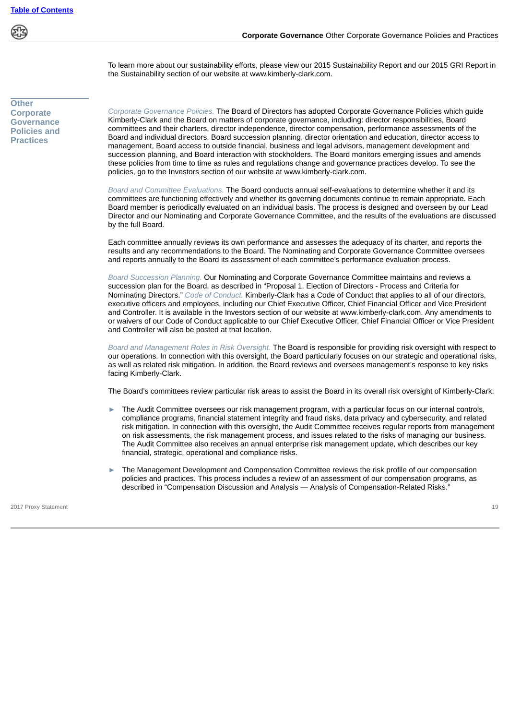To learn more about our sustainability efforts, please view our 2015 Sustainability Report and our 2015 GRI Report in the Sustainability section of our website at www.kimberly-clark.com.

<span id="page-21-0"></span>**Other Corporate Governance Policies and Practices**

*Corporate Governance Policies.* The Board of Directors has adopted Corporate Governance Policies which guide Kimberly-Clark and the Board on matters of corporate governance, including: director responsibilities, Board committees and their charters, director independence, director compensation, performance assessments of the Board and individual directors, Board succession planning, director orientation and education, director access to management, Board access to outside financial, business and legal advisors, management development and succession planning, and Board interaction with stockholders. The Board monitors emerging issues and amends these policies from time to time as rules and regulations change and governance practices develop. To see the policies, go to the Investors section of our website at www.kimberly-clark.com.

*Board and Committee Evaluations.* The Board conducts annual self-evaluations to determine whether it and its committees are functioning effectively and whether its governing documents continue to remain appropriate. Each Board member is periodically evaluated on an individual basis. The process is designed and overseen by our Lead Director and our Nominating and Corporate Governance Committee, and the results of the evaluations are discussed by the full Board.

Each committee annually reviews its own performance and assesses the adequacy of its charter, and reports the results and any recommendations to the Board. The Nominating and Corporate Governance Committee oversees and reports annually to the Board its assessment of each committee's performance evaluation process.

*Board Succession Planning.* Our Nominating and Corporate Governance Committee maintains and reviews a succession plan for the Board, as described in "Proposal 1. Election of Directors - Process and Criteria for Nominating Directors." *Code of Conduct.* Kimberly-Clark has a Code of Conduct that applies to all of our directors, executive officers and employees, including our Chief Executive Officer, Chief Financial Officer and Vice President and Controller. It is available in the Investors section of our website at www.kimberly-clark.com. Any amendments to or waivers of our Code of Conduct applicable to our Chief Executive Officer, Chief Financial Officer or Vice President and Controller will also be posted at that location.

*Board and Management Roles in Risk Oversight.* The Board is responsible for providing risk oversight with respect to our operations. In connection with this oversight, the Board particularly focuses on our strategic and operational risks, as well as related risk mitigation. In addition, the Board reviews and oversees management's response to key risks facing Kimberly-Clark.

The Board's committees review particular risk areas to assist the Board in its overall risk oversight of Kimberly-Clark:

- The Audit Committee oversees our risk management program, with a particular focus on our internal controls, compliance programs, financial statement integrity and fraud risks, data privacy and cybersecurity, and related risk mitigation. In connection with this oversight, the Audit Committee receives regular reports from management on risk assessments, the risk management process, and issues related to the risks of managing our business. The Audit Committee also receives an annual enterprise risk management update, which describes our key financial, strategic, operational and compliance risks.
- The Management Development and Compensation Committee reviews the risk profile of our compensation policies and practices. This process includes a review of an assessment of our compensation programs, as described in "Compensation Discussion and Analysis — Analysis of Compensation-Related Risks."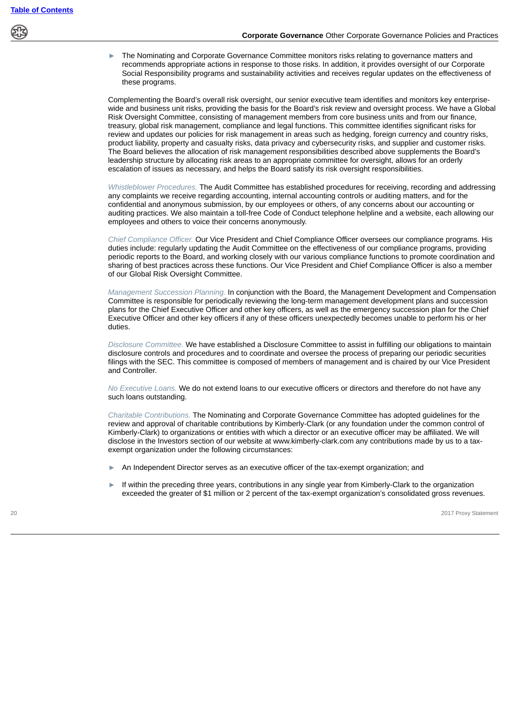

The Nominating and Corporate Governance Committee monitors risks relating to governance matters and recommends appropriate actions in response to those risks. In addition, it provides oversight of our Corporate Social Responsibility programs and sustainability activities and receives regular updates on the effectiveness of these programs.

Complementing the Board's overall risk oversight, our senior executive team identifies and monitors key enterprisewide and business unit risks, providing the basis for the Board's risk review and oversight process. We have a Global Risk Oversight Committee, consisting of management members from core business units and from our finance, treasury, global risk management, compliance and legal functions. This committee identifies significant risks for review and updates our policies for risk management in areas such as hedging, foreign currency and country risks, product liability, property and casualty risks, data privacy and cybersecurity risks, and supplier and customer risks. The Board believes the allocation of risk management responsibilities described above supplements the Board's leadership structure by allocating risk areas to an appropriate committee for oversight, allows for an orderly escalation of issues as necessary, and helps the Board satisfy its risk oversight responsibilities.

*Whistleblower Procedures.* The Audit Committee has established procedures for receiving, recording and addressing any complaints we receive regarding accounting, internal accounting controls or auditing matters, and for the confidential and anonymous submission, by our employees or others, of any concerns about our accounting or auditing practices. We also maintain a toll-free Code of Conduct telephone helpline and a website, each allowing our employees and others to voice their concerns anonymously.

*Chief Compliance Officer.* Our Vice President and Chief Compliance Officer oversees our compliance programs. His duties include: regularly updating the Audit Committee on the effectiveness of our compliance programs, providing periodic reports to the Board, and working closely with our various compliance functions to promote coordination and sharing of best practices across these functions. Our Vice President and Chief Compliance Officer is also a member of our Global Risk Oversight Committee.

*Management Succession Planning.* In conjunction with the Board, the Management Development and Compensation Committee is responsible for periodically reviewing the long-term management development plans and succession plans for the Chief Executive Officer and other key officers, as well as the emergency succession plan for the Chief Executive Officer and other key officers if any of these officers unexpectedly becomes unable to perform his or her duties.

*Disclosure Committee.* We have established a Disclosure Committee to assist in fulfilling our obligations to maintain disclosure controls and procedures and to coordinate and oversee the process of preparing our periodic securities filings with the SEC. This committee is composed of members of management and is chaired by our Vice President and Controller.

*No Executive Loans.* We do not extend loans to our executive officers or directors and therefore do not have any such loans outstanding.

*Charitable Contributions.* The Nominating and Corporate Governance Committee has adopted guidelines for the review and approval of charitable contributions by Kimberly-Clark (or any foundation under the common control of Kimberly-Clark) to organizations or entities with which a director or an executive officer may be affiliated. We will disclose in the Investors section of our website at www.kimberly-clark.com any contributions made by us to a taxexempt organization under the following circumstances:

- An Independent Director serves as an executive officer of the tax-exempt organization; and
- If within the preceding three years, contributions in any single year from Kimberly-Clark to the organization exceeded the greater of \$1 million or 2 percent of the tax-exempt organization's consolidated gross revenues.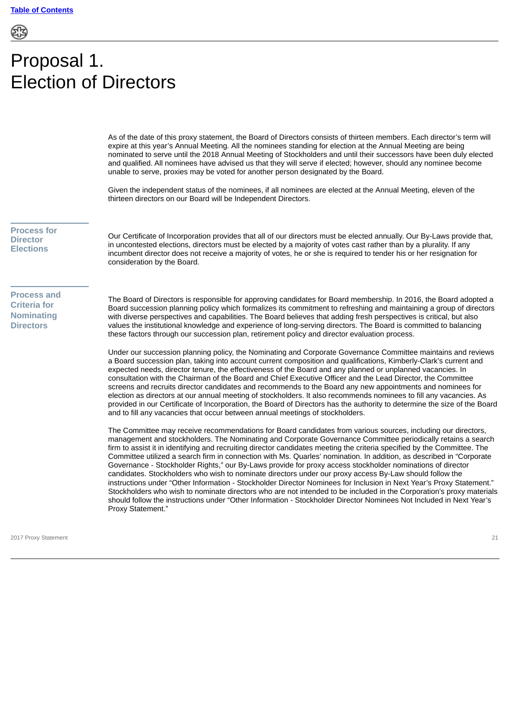# <span id="page-23-0"></span>Proposal 1. Election of Directors

As of the date of this proxy statement, the Board of Directors consists of thirteen members. Each director's term will expire at this year's Annual Meeting. All the nominees standing for election at the Annual Meeting are being nominated to serve until the 2018 Annual Meeting of Stockholders and until their successors have been duly elected and qualified. All nominees have advised us that they will serve if elected; however, should any nominee become unable to serve, proxies may be voted for another person designated by the Board.

Given the independent status of the nominees, if all nominees are elected at the Annual Meeting, eleven of the thirteen directors on our Board will be Independent Directors.

<span id="page-23-1"></span>**Process for Director Elections**

Our Certificate of Incorporation provides that all of our directors must be elected annually. Our By-Laws provide that, in uncontested elections, directors must be elected by a majority of votes cast rather than by a plurality. If any incumbent director does not receive a majority of votes, he or she is required to tender his or her resignation for consideration by the Board.

<span id="page-23-2"></span>**Process and Criteria for Nominating Directors**

The Board of Directors is responsible for approving candidates for Board membership. In 2016, the Board adopted a Board succession planning policy which formalizes its commitment to refreshing and maintaining a group of directors with diverse perspectives and capabilities. The Board believes that adding fresh perspectives is critical, but also values the institutional knowledge and experience of long-serving directors. The Board is committed to balancing these factors through our succession plan, retirement policy and director evaluation process.

Under our succession planning policy, the Nominating and Corporate Governance Committee maintains and reviews a Board succession plan, taking into account current composition and qualifications, Kimberly-Clark's current and expected needs, director tenure, the effectiveness of the Board and any planned or unplanned vacancies. In consultation with the Chairman of the Board and Chief Executive Officer and the Lead Director, the Committee screens and recruits director candidates and recommends to the Board any new appointments and nominees for election as directors at our annual meeting of stockholders. It also recommends nominees to fill any vacancies. As provided in our Certificate of Incorporation, the Board of Directors has the authority to determine the size of the Board and to fill any vacancies that occur between annual meetings of stockholders.

The Committee may receive recommendations for Board candidates from various sources, including our directors, management and stockholders. The Nominating and Corporate Governance Committee periodically retains a search firm to assist it in identifying and recruiting director candidates meeting the criteria specified by the Committee. The Committee utilized a search firm in connection with Ms. Quarles' nomination. In addition, as described in "Corporate Governance - Stockholder Rights," our By-Laws provide for proxy access stockholder nominations of director candidates. Stockholders who wish to nominate directors under our proxy access By-Law should follow the instructions under "Other Information - Stockholder Director Nominees for Inclusion in Next Year's Proxy Statement." Stockholders who wish to nominate directors who are not intended to be included in the Corporation's proxy materials should follow the instructions under "Other Information - Stockholder Director Nominees Not Included in Next Year's Proxy Statement."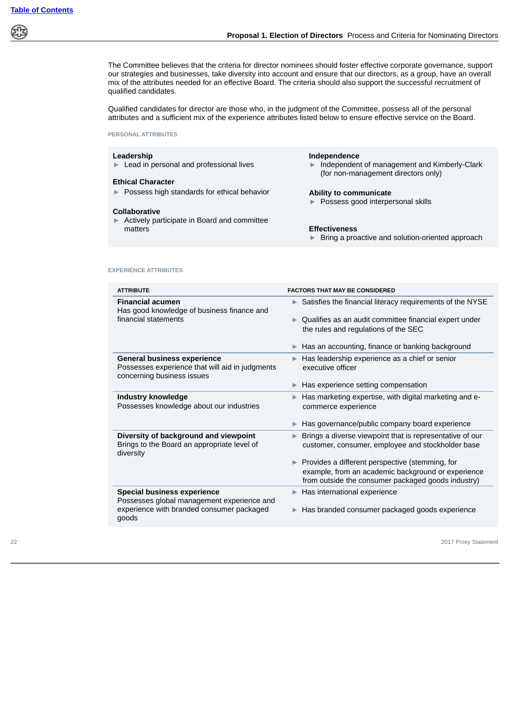The Committee believes that the criteria for director nominees should foster effective corporate governance, support our strategies and businesses, take diversity into account and ensure that our directors, as a group, have an overall mix of the attributes needed for an effective Board. The criteria should also support the successful recruitment of qualified candidates.

Qualified candidates for director are those who, in the judgment of the Committee, possess all of the personal attributes and a sufficient mix of the experience attributes listed below to ensure effective service on the Board.

**PERSONAL ATTRIBUTES**

#### **Leadership Independence**

### **Ethical Character**

► Possess high standards for ethical behavior **Ability to communicate**

#### **Collaborative**

► Actively participate in Board and committee matters **Effectiveness**

► Lead in personal and professional lives ► Independent of management and Kimberly-Clark (for non-management directors only)

► Possess good interpersonal skills

► Bring a proactive and solution-oriented approach

### **EXPERIENCE ATTRIBUTES**

| <b>ATTRIBUTE</b>                                                                                                    | <b>FACTORS THAT MAY BE CONSIDERED</b>                                                                                                                                             |  |
|---------------------------------------------------------------------------------------------------------------------|-----------------------------------------------------------------------------------------------------------------------------------------------------------------------------------|--|
| <b>Financial acumen</b><br>Has good knowledge of business finance and                                               | Satisfies the financial literacy requirements of the NYSE<br>▶                                                                                                                    |  |
| financial statements                                                                                                | Qualifies as an audit committee financial expert under<br>ь<br>the rules and regulations of the SEC                                                                               |  |
|                                                                                                                     | Has an accounting, finance or banking background                                                                                                                                  |  |
| <b>General business experience</b><br>Possesses experience that will aid in judgments<br>concerning business issues | Has leadership experience as a chief or senior<br>▶<br>executive officer                                                                                                          |  |
|                                                                                                                     | Has experience setting compensation<br>▶                                                                                                                                          |  |
| <b>Industry knowledge</b><br>Possesses knowledge about our industries                                               | Has marketing expertise, with digital marketing and e-<br>▶<br>commerce experience                                                                                                |  |
|                                                                                                                     | Has governance/public company board experience<br>▶                                                                                                                               |  |
| Diversity of background and viewpoint<br>Brings to the Board an appropriate level of<br>diversity                   | Brings a diverse viewpoint that is representative of our<br>▶<br>customer, consumer, employee and stockholder base                                                                |  |
|                                                                                                                     | $\blacktriangleright$ Provides a different perspective (stemming, for<br>example, from an academic background or experience<br>from outside the consumer packaged goods industry) |  |
| Special business experience<br>Possesses global management experience and                                           | Has international experience<br>▶                                                                                                                                                 |  |
| experience with branded consumer packaged<br>goods                                                                  | Has branded consumer packaged goods experience<br>▶                                                                                                                               |  |
|                                                                                                                     |                                                                                                                                                                                   |  |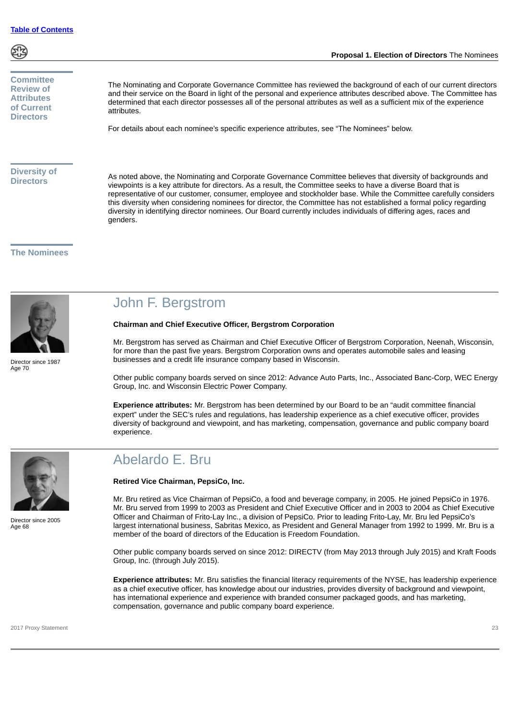

### <span id="page-25-0"></span>**Committee Review of Attributes of Current Directors**

The Nominating and Corporate Governance Committee has reviewed the background of each of our current directors and their service on the Board in light of the personal and experience attributes described above. The Committee has determined that each director possesses all of the personal attributes as well as a sufficient mix of the experience attributes.

For details about each nominee's specific experience attributes, see "The Nominees" below.

### <span id="page-25-1"></span>**Diversity of Directors**

As noted above, the Nominating and Corporate Governance Committee believes that diversity of backgrounds and viewpoints is a key attribute for directors. As a result, the Committee seeks to have a diverse Board that is representative of our customer, consumer, employee and stockholder base. While the Committee carefully considers this diversity when considering nominees for director, the Committee has not established a formal policy regarding diversity in identifying director nominees. Our Board currently includes individuals of differing ages, races and genders.

### <span id="page-25-2"></span>**The Nominees**



Director since 1987 Age 70

### John F. Bergstrom

### **Chairman and Chief Executive Officer, Bergstrom Corporation**

Mr. Bergstrom has served as Chairman and Chief Executive Officer of Bergstrom Corporation, Neenah, Wisconsin, for more than the past five years. Bergstrom Corporation owns and operates automobile sales and leasing businesses and a credit life insurance company based in Wisconsin.

Other public company boards served on since 2012: Advance Auto Parts, Inc., Associated Banc-Corp, WEC Energy Group, Inc. and Wisconsin Electric Power Company.

**Experience attributes:** Mr. Bergstrom has been determined by our Board to be an "audit committee financial expert" under the SEC's rules and regulations, has leadership experience as a chief executive officer, provides diversity of background and viewpoint, and has marketing, compensation, governance and public company board experience.



Director since 2005 Age 68

### Abelardo E. Bru

#### **Retired Vice Chairman, PepsiCo, Inc.**

Mr. Bru retired as Vice Chairman of PepsiCo, a food and beverage company, in 2005. He joined PepsiCo in 1976. Mr. Bru served from 1999 to 2003 as President and Chief Executive Officer and in 2003 to 2004 as Chief Executive Officer and Chairman of Frito-Lay Inc., a division of PepsiCo. Prior to leading Frito-Lay, Mr. Bru led PepsiCo's largest international business, Sabritas Mexico, as President and General Manager from 1992 to 1999. Mr. Bru is a member of the board of directors of the Education is Freedom Foundation.

Other public company boards served on since 2012: DIRECTV (from May 2013 through July 2015) and Kraft Foods Group, Inc. (through July 2015).

**Experience attributes:** Mr. Bru satisfies the financial literacy requirements of the NYSE, has leadership experience as a chief executive officer, has knowledge about our industries, provides diversity of background and viewpoint, has international experience and experience with branded consumer packaged goods, and has marketing, compensation, governance and public company board experience.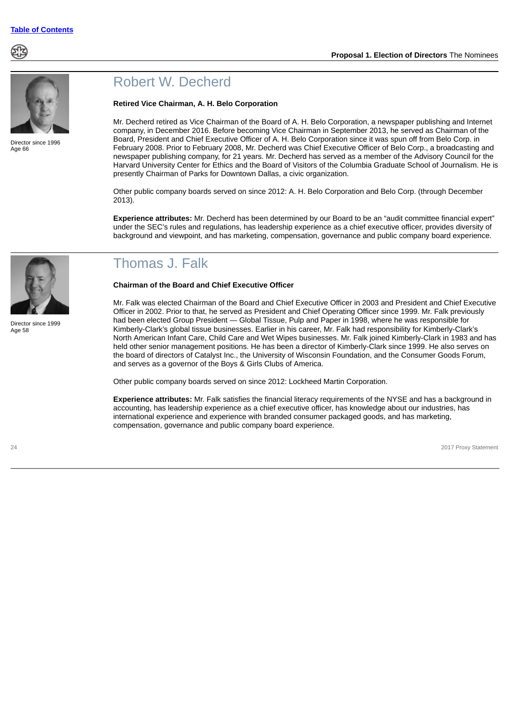



Director since 1996 Age 66

### Robert W. Decherd

#### **Retired Vice Chairman, A. H. Belo Corporation**

Mr. Decherd retired as Vice Chairman of the Board of A. H. Belo Corporation, a newspaper publishing and Internet company, in December 2016. Before becoming Vice Chairman in September 2013, he served as Chairman of the Board, President and Chief Executive Officer of A. H. Belo Corporation since it was spun off from Belo Corp. in February 2008. Prior to February 2008, Mr. Decherd was Chief Executive Officer of Belo Corp., a broadcasting and newspaper publishing company, for 21 years. Mr. Decherd has served as a member of the Advisory Council for the Harvard University Center for Ethics and the Board of Visitors of the Columbia Graduate School of Journalism. He is presently Chairman of Parks for Downtown Dallas, a civic organization.

Other public company boards served on since 2012: A. H. Belo Corporation and Belo Corp. (through December 2013).

**Experience attributes:** Mr. Decherd has been determined by our Board to be an "audit committee financial expert" under the SEC's rules and regulations, has leadership experience as a chief executive officer, provides diversity of background and viewpoint, and has marketing, compensation, governance and public company board experience.

### Thomas J. Falk

### **Chairman of the Board and Chief Executive Officer**

Mr. Falk was elected Chairman of the Board and Chief Executive Officer in 2003 and President and Chief Executive Officer in 2002. Prior to that, he served as President and Chief Operating Officer since 1999. Mr. Falk previously had been elected Group President — Global Tissue, Pulp and Paper in 1998, where he was responsible for Kimberly-Clark's global tissue businesses. Earlier in his career, Mr. Falk had responsibility for Kimberly-Clark's North American Infant Care, Child Care and Wet Wipes businesses. Mr. Falk joined Kimberly-Clark in 1983 and has held other senior management positions. He has been a director of Kimberly-Clark since 1999. He also serves on the board of directors of Catalyst Inc., the University of Wisconsin Foundation, and the Consumer Goods Forum, and serves as a governor of the Boys & Girls Clubs of America.

Other public company boards served on since 2012: Lockheed Martin Corporation.

**Experience attributes:** Mr. Falk satisfies the financial literacy requirements of the NYSE and has a background in accounting, has leadership experience as a chief executive officer, has knowledge about our industries, has international experience and experience with branded consumer packaged goods, and has marketing, compensation, governance and public company board experience.



Director since 1999 Age 58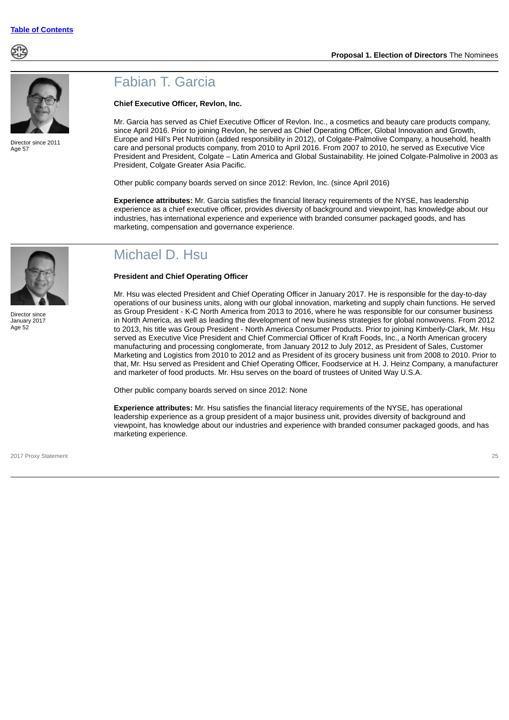



Director since 2011 Age 57

### Fabian T. Garcia

### **Chief Executive Officer, Revlon, Inc.**

Mr. Garcia has served as Chief Executive Officer of Revlon. Inc., a cosmetics and beauty care products company, since April 2016. Prior to joining Revlon, he served as Chief Operating Officer, Global Innovation and Growth, Europe and Hill's Pet Nutrition (added responsibility in 2012), of Colgate-Palmolive Company, a household, health care and personal products company, from 2010 to April 2016. From 2007 to 2010, he served as Executive Vice President and President, Colgate – Latin America and Global Sustainability. He joined Colgate-Palmolive in 2003 as President, Colgate Greater Asia Pacific.

Other public company boards served on since 2012: Revlon, Inc. (since April 2016)

**Experience attributes:** Mr. Garcia satisfies the financial literacy requirements of the NYSE, has leadership experience as a chief executive officer, provides diversity of background and viewpoint, has knowledge about our industries, has international experience and experience with branded consumer packaged goods, and has marketing, compensation and governance experience.



Director since January 2017 Age 52

### Michael D. Hsu

### **President and Chief Operating Officer**

Mr. Hsu was elected President and Chief Operating Officer in January 2017. He is responsible for the day-to-day operations of our business units, along with our global innovation, marketing and supply chain functions. He served as Group President - K-C North America from 2013 to 2016, where he was responsible for our consumer business in North America, as well as leading the development of new business strategies for global nonwovens. From 2012 to 2013, his title was Group President - North America Consumer Products. Prior to joining Kimberly-Clark, Mr. Hsu served as Executive Vice President and Chief Commercial Officer of Kraft Foods, Inc., a North American grocery manufacturing and processing conglomerate, from January 2012 to July 2012, as President of Sales, Customer Marketing and Logistics from 2010 to 2012 and as President of its grocery business unit from 2008 to 2010. Prior to that, Mr. Hsu served as President and Chief Operating Officer, Foodservice at H. J. Heinz Company, a manufacturer and marketer of food products. Mr. Hsu serves on the board of trustees of United Way U.S.A.

Other public company boards served on since 2012: None

**Experience attributes:** Mr. Hsu satisfies the financial literacy requirements of the NYSE, has operational leadership experience as a group president of a major business unit, provides diversity of background and viewpoint, has knowledge about our industries and experience with branded consumer packaged goods, and has marketing experience.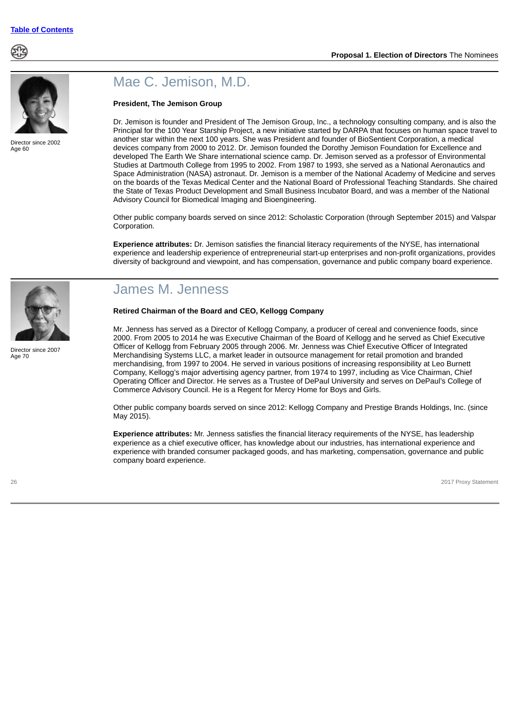



Director since 2002 Age 60

### Mae C. Jemison, M.D.

### **President, The Jemison Group**

Dr. Jemison is founder and President of The Jemison Group, Inc., a technology consulting company, and is also the Principal for the 100 Year Starship Project, a new initiative started by DARPA that focuses on human space travel to another star within the next 100 years. She was President and founder of BioSentient Corporation, a medical devices company from 2000 to 2012. Dr. Jemison founded the Dorothy Jemison Foundation for Excellence and developed The Earth We Share international science camp. Dr. Jemison served as a professor of Environmental Studies at Dartmouth College from 1995 to 2002. From 1987 to 1993, she served as a National Aeronautics and Space Administration (NASA) astronaut. Dr. Jemison is a member of the National Academy of Medicine and serves on the boards of the Texas Medical Center and the National Board of Professional Teaching Standards. She chaired the State of Texas Product Development and Small Business Incubator Board, and was a member of the National Advisory Council for Biomedical Imaging and Bioengineering.

Other public company boards served on since 2012: Scholastic Corporation (through September 2015) and Valspar Corporation.

**Experience attributes:** Dr. Jemison satisfies the financial literacy requirements of the NYSE, has international experience and leadership experience of entrepreneurial start-up enterprises and non-profit organizations, provides diversity of background and viewpoint, and has compensation, governance and public company board experience.



Director since 2007 Age 70

### James M. Jenness

#### **Retired Chairman of the Board and CEO, Kellogg Company**

Mr. Jenness has served as a Director of Kellogg Company, a producer of cereal and convenience foods, since 2000. From 2005 to 2014 he was Executive Chairman of the Board of Kellogg and he served as Chief Executive Officer of Kellogg from February 2005 through 2006. Mr. Jenness was Chief Executive Officer of Integrated Merchandising Systems LLC, a market leader in outsource management for retail promotion and branded merchandising, from 1997 to 2004. He served in various positions of increasing responsibility at Leo Burnett Company, Kellogg's major advertising agency partner, from 1974 to 1997, including as Vice Chairman, Chief Operating Officer and Director. He serves as a Trustee of DePaul University and serves on DePaul's College of Commerce Advisory Council. He is a Regent for Mercy Home for Boys and Girls.

Other public company boards served on since 2012: Kellogg Company and Prestige Brands Holdings, Inc. (since May 2015).

**Experience attributes:** Mr. Jenness satisfies the financial literacy requirements of the NYSE, has leadership experience as a chief executive officer, has knowledge about our industries, has international experience and experience with branded consumer packaged goods, and has marketing, compensation, governance and public company board experience.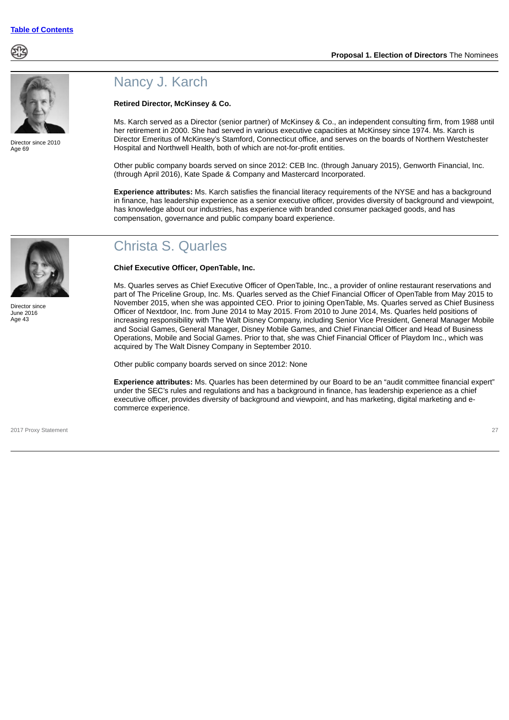



Director since 2010 Age 69

### Nancy J. Karch

### **Retired Director, McKinsey & Co.**

Ms. Karch served as a Director (senior partner) of McKinsey & Co., an independent consulting firm, from 1988 until her retirement in 2000. She had served in various executive capacities at McKinsey since 1974. Ms. Karch is Director Emeritus of McKinsey's Stamford, Connecticut office, and serves on the boards of Northern Westchester Hospital and Northwell Health, both of which are not-for-profit entities.

Other public company boards served on since 2012: CEB Inc. (through January 2015), Genworth Financial, Inc. (through April 2016), Kate Spade & Company and Mastercard Incorporated.

**Experience attributes:** Ms. Karch satisfies the financial literacy requirements of the NYSE and has a background in finance, has leadership experience as a senior executive officer, provides diversity of background and viewpoint, has knowledge about our industries, has experience with branded consumer packaged goods, and has compensation, governance and public company board experience.

## Christa S. Quarles

### **Chief Executive Officer, OpenTable, Inc.**

Ms. Quarles serves as Chief Executive Officer of OpenTable, Inc., a provider of online restaurant reservations and part of The Priceline Group, Inc. Ms. Quarles served as the Chief Financial Officer of OpenTable from May 2015 to November 2015, when she was appointed CEO. Prior to joining OpenTable, Ms. Quarles served as Chief Business Officer of Nextdoor, Inc. from June 2014 to May 2015. From 2010 to June 2014, Ms. Quarles held positions of increasing responsibility with The Walt Disney Company, including Senior Vice President, General Manager Mobile and Social Games, General Manager, Disney Mobile Games, and Chief Financial Officer and Head of Business Operations, Mobile and Social Games. Prior to that, she was Chief Financial Officer of Playdom Inc., which was acquired by The Walt Disney Company in September 2010.

Other public company boards served on since 2012: None

**Experience attributes:** Ms. Quarles has been determined by our Board to be an "audit committee financial expert" under the SEC's rules and regulations and has a background in finance, has leadership experience as a chief executive officer, provides diversity of background and viewpoint, and has marketing, digital marketing and ecommerce experience.

2017 Proxy Statement 27

Director since June 2016 Age 43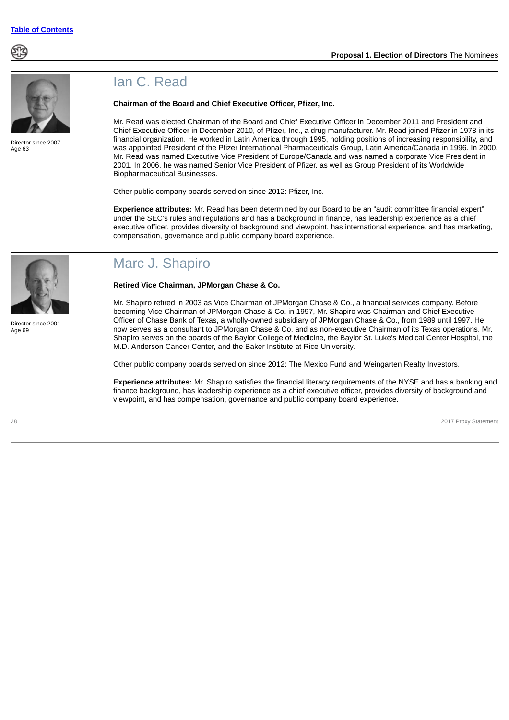



Director since 2007 Age  $63$ 

### Ian C. Read

### **Chairman of the Board and Chief Executive Officer, Pfizer, Inc.**

Mr. Read was elected Chairman of the Board and Chief Executive Officer in December 2011 and President and Chief Executive Officer in December 2010, of Pfizer, Inc., a drug manufacturer. Mr. Read joined Pfizer in 1978 in its financial organization. He worked in Latin America through 1995, holding positions of increasing responsibility, and was appointed President of the Pfizer International Pharmaceuticals Group, Latin America/Canada in 1996. In 2000, Mr. Read was named Executive Vice President of Europe/Canada and was named a corporate Vice President in 2001. In 2006, he was named Senior Vice President of Pfizer, as well as Group President of its Worldwide Biopharmaceutical Businesses.

Other public company boards served on since 2012: Pfizer, Inc.

**Experience attributes:** Mr. Read has been determined by our Board to be an "audit committee financial expert" under the SEC's rules and regulations and has a background in finance, has leadership experience as a chief executive officer, provides diversity of background and viewpoint, has international experience, and has marketing, compensation, governance and public company board experience.



Director since 2001 Age 69

### Marc J. Shapiro

**Retired Vice Chairman, JPMorgan Chase & Co.**

Mr. Shapiro retired in 2003 as Vice Chairman of JPMorgan Chase & Co., a financial services company. Before becoming Vice Chairman of JPMorgan Chase & Co. in 1997, Mr. Shapiro was Chairman and Chief Executive Officer of Chase Bank of Texas, a wholly-owned subsidiary of JPMorgan Chase & Co., from 1989 until 1997. He now serves as a consultant to JPMorgan Chase & Co. and as non-executive Chairman of its Texas operations. Mr. Shapiro serves on the boards of the Baylor College of Medicine, the Baylor St. Luke's Medical Center Hospital, the M.D. Anderson Cancer Center, and the Baker Institute at Rice University.

Other public company boards served on since 2012: The Mexico Fund and Weingarten Realty Investors.

**Experience attributes:** Mr. Shapiro satisfies the financial literacy requirements of the NYSE and has a banking and finance background, has leadership experience as a chief executive officer, provides diversity of background and viewpoint, and has compensation, governance and public company board experience.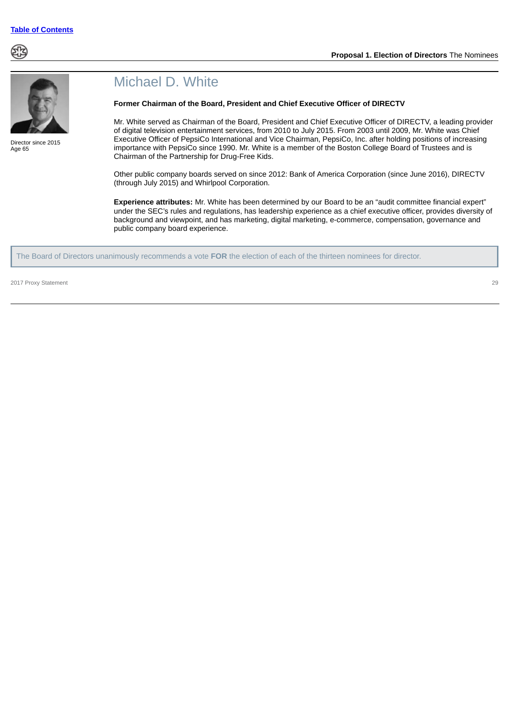



Director since 2015 Age 65

### Michael D. White

### **Former Chairman of the Board, President and Chief Executive Officer of DIRECTV**

Mr. White served as Chairman of the Board, President and Chief Executive Officer of DIRECTV, a leading provider of digital television entertainment services, from 2010 to July 2015. From 2003 until 2009, Mr. White was Chief Executive Officer of PepsiCo International and Vice Chairman, PepsiCo, Inc. after holding positions of increasing importance with PepsiCo since 1990. Mr. White is a member of the Boston College Board of Trustees and is Chairman of the Partnership for Drug-Free Kids.

Other public company boards served on since 2012: Bank of America Corporation (since June 2016), DIRECTV (through July 2015) and Whirlpool Corporation.

**Experience attributes:** Mr. White has been determined by our Board to be an "audit committee financial expert" under the SEC's rules and regulations, has leadership experience as a chief executive officer, provides diversity of background and viewpoint, and has marketing, digital marketing, e-commerce, compensation, governance and public company board experience.

The Board of Directors unanimously recommends a vote **FOR** the election of each of the thirteen nominees for director.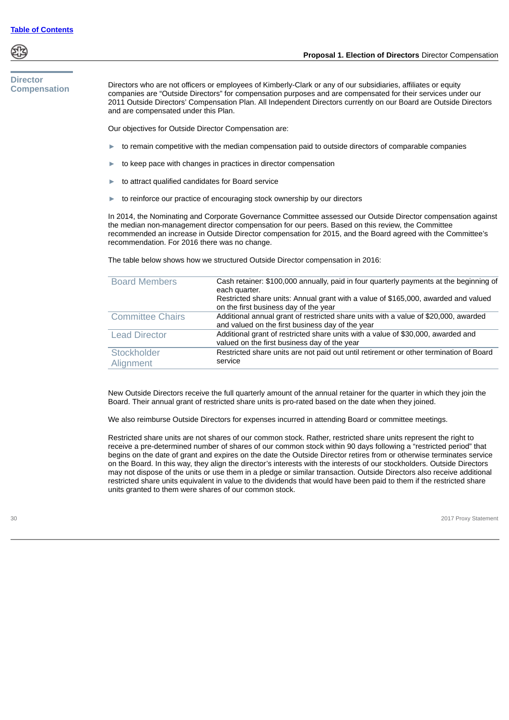

### <span id="page-32-0"></span>**Director Compensation**

Directors who are not officers or employees of Kimberly-Clark or any of our subsidiaries, affiliates or equity companies are "Outside Directors" for compensation purposes and are compensated for their services under our 2011 Outside Directors' Compensation Plan. All Independent Directors currently on our Board are Outside Directors

**Proposal 1. Election of Directors** Director Compensation

Our objectives for Outside Director Compensation are:

and are compensated under this Plan.

- to remain competitive with the median compensation paid to outside directors of comparable companies
- to keep pace with changes in practices in director compensation
- to attract qualified candidates for Board service
- to reinforce our practice of encouraging stock ownership by our directors

In 2014, the Nominating and Corporate Governance Committee assessed our Outside Director compensation against the median non-management director compensation for our peers. Based on this review, the Committee recommended an increase in Outside Director compensation for 2015, and the Board agreed with the Committee's recommendation. For 2016 there was no change.

The table below shows how we structured Outside Director compensation in 2016:

| <b>Board Members</b>    | Cash retainer: \$100,000 annually, paid in four quarterly payments at the beginning of<br>each quarter.<br>Restricted share units: Annual grant with a value of \$165,000, awarded and valued<br>on the first business day of the year |
|-------------------------|----------------------------------------------------------------------------------------------------------------------------------------------------------------------------------------------------------------------------------------|
| <b>Committee Chairs</b> | Additional annual grant of restricted share units with a value of \$20,000, awarded<br>and valued on the first business day of the year                                                                                                |
| <b>Lead Director</b>    | Additional grant of restricted share units with a value of \$30,000, awarded and<br>valued on the first business day of the year                                                                                                       |
| Stockholder             | Restricted share units are not paid out until retirement or other termination of Board                                                                                                                                                 |
| Alignment               | service                                                                                                                                                                                                                                |

New Outside Directors receive the full quarterly amount of the annual retainer for the quarter in which they join the Board. Their annual grant of restricted share units is pro-rated based on the date when they joined.

We also reimburse Outside Directors for expenses incurred in attending Board or committee meetings.

Restricted share units are not shares of our common stock. Rather, restricted share units represent the right to receive a pre-determined number of shares of our common stock within 90 days following a "restricted period" that begins on the date of grant and expires on the date the Outside Director retires from or otherwise terminates service on the Board. In this way, they align the director's interests with the interests of our stockholders. Outside Directors may not dispose of the units or use them in a pledge or similar transaction. Outside Directors also receive additional restricted share units equivalent in value to the dividends that would have been paid to them if the restricted share units granted to them were shares of our common stock.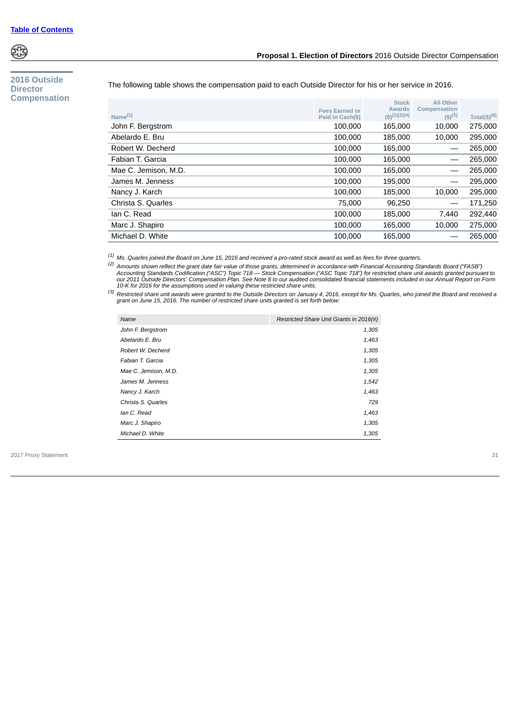

### <span id="page-33-0"></span>**2016 Outside Director Compensation**

### **Proposal 1. Election of Directors** 2016 Outside Director Compensation

The following table shows the compensation paid to each Outside Director for his or her service in 2016.

| Name $(1)$           | <b>Fees Earned or</b><br>Paid in Cash(\$) | <b>Stock</b><br><b>Awards</b><br>(S)(2)(3)(4) | <b>All Other</b><br>Compensation<br>$(5)^{(5)}$ | Total(\$) $(6)$ |
|----------------------|-------------------------------------------|-----------------------------------------------|-------------------------------------------------|-----------------|
| John F. Bergstrom    | 100,000                                   | 165,000                                       | 10,000                                          | 275,000         |
| Abelardo E. Bru      | 100,000                                   | 185,000                                       | 10.000                                          | 295,000         |
| Robert W. Decherd    | 100,000                                   | 165.000                                       |                                                 | 265,000         |
| Fabian T. Garcia     | 100,000                                   | 165.000                                       |                                                 | 265,000         |
| Mae C. Jemison, M.D. | 100,000                                   | 165.000                                       |                                                 | 265,000         |
| James M. Jenness     | 100,000                                   | 195.000                                       |                                                 | 295,000         |
| Nancy J. Karch       | 100,000                                   | 185,000                                       | 10,000                                          | 295,000         |
| Christa S. Quarles   | 75,000                                    | 96.250                                        |                                                 | 171,250         |
| lan C. Read          | 100,000                                   | 185,000                                       | 7.440                                           | 292,440         |
| Marc J. Shapiro      | 100,000                                   | 165,000                                       | 10.000                                          | 275,000         |
| Michael D. White     | 100,000                                   | 165.000                                       |                                                 | 265,000         |
|                      |                                           |                                               |                                                 |                 |

*(1) Ms. Quarles joined the Board on June 15, 2016 and received a pro-rated stock award as well as fees for three quarters.*

<sup>(2)</sup> Amounts shown reflect the grant date fair value of those grants, determined in accordance with Financial Accounting Standards Board ("FASB")<br>Accounting Standards Codification ("ASC") Topic 718 — Stock Compensation ("

<sup>(3)</sup> Restricted share unit awards were granted to the Outside Directors on January 4, 2016, except for Ms. Quarles, who joined the Board and received a<br>grant on June 15, 2016. The number of restricted share units granted

| Name                    | Restricted Share Unit Grants in 2016(#) |
|-------------------------|-----------------------------------------|
| John F. Bergstrom       | 1,305                                   |
| Abelardo E. Bru         | 1,463                                   |
| Robert W. Decherd       | 1,305                                   |
| <b>Fabian T. Garcia</b> | 1,305                                   |
| Mae C. Jemison, M.D.    | 1,305                                   |
| James M. Jenness        | 1,542                                   |
| Nancy J. Karch          | 1,463                                   |
| Christa S. Quarles      | 729                                     |
| Ian C. Read             | 1,463                                   |
| Marc J. Shapiro         | 1,305                                   |
| Michael D. White        | 1,305                                   |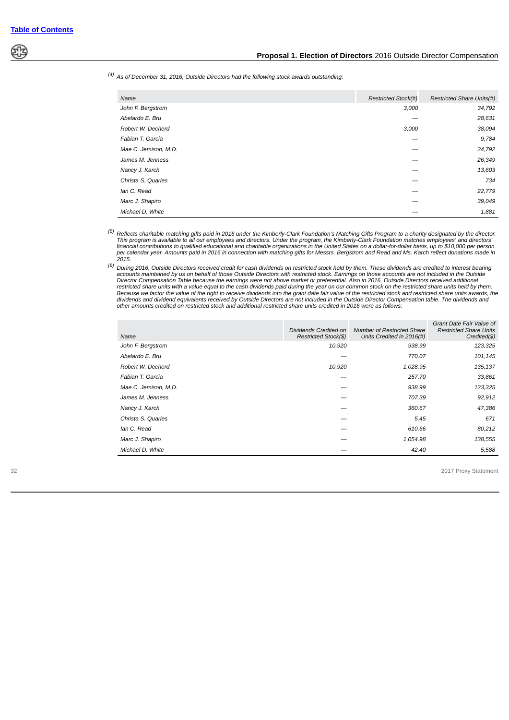

### *(4) As of December 31, 2016, Outside Directors had the following stock awards outstanding:*

| <b>Restricted Stock(#)</b><br>Name<br>3,000<br>John F. Bergstrom<br>Abelardo E. Bru<br>Robert W. Decherd<br>3,000<br>Fabian T. Garcia<br>Mae C. Jemison, M.D.<br>James M. Jenness<br>Nancy J. Karch<br>Christa S. Quarles<br>lan C. Read<br>Marc J. Shapiro<br>Michael D. White |  |                                  |
|---------------------------------------------------------------------------------------------------------------------------------------------------------------------------------------------------------------------------------------------------------------------------------|--|----------------------------------|
|                                                                                                                                                                                                                                                                                 |  | <b>Restricted Share Units(#)</b> |
|                                                                                                                                                                                                                                                                                 |  | 34,792                           |
|                                                                                                                                                                                                                                                                                 |  | 28,631                           |
|                                                                                                                                                                                                                                                                                 |  | 38,094                           |
|                                                                                                                                                                                                                                                                                 |  | 9,784                            |
|                                                                                                                                                                                                                                                                                 |  | 34,792                           |
|                                                                                                                                                                                                                                                                                 |  | 26,349                           |
|                                                                                                                                                                                                                                                                                 |  | 13,603                           |
|                                                                                                                                                                                                                                                                                 |  | 734                              |
|                                                                                                                                                                                                                                                                                 |  | 22,779                           |
|                                                                                                                                                                                                                                                                                 |  | 39,049                           |
|                                                                                                                                                                                                                                                                                 |  | 1,881                            |

<sup>(5)</sup> Reflects charitable matching gifts paid in 2016 under the Kimberly-Clark Foundation's Matching Gifts Program to a charity designated by the director.<br>This program is available to all our employees and directors. Unde financial contributions to qualified educational and charitable organizations in the United States on a dollar-for-dollar basis, up to \$10,000 per person<br>per calendar year. Amounts paid in 2016 in connection with matching

<sup>(6)</sup> During 2016, Outside Directors received credit for cash dividends on restricted stock held by them. These dividends are credited to interest bearing accounts maintained by us on behalf of those Outside Directors with restricted share units with a value equal to the cash dividends paid during the year on our common stock on the restricted share units held by them.<br>Because we factor the value of the right to receive dividends into the gr

| Name                 | Dividends Credited on<br>Restricted Stock(\$) | <b>Number of Restricted Share</b><br>Units Credited in 2016(#) | Grant Date Fair Value of<br><b>Restricted Share Units</b><br>Credited(\$) |
|----------------------|-----------------------------------------------|----------------------------------------------------------------|---------------------------------------------------------------------------|
| John F. Bergstrom    | 10,920                                        | 938.99                                                         | 123,325                                                                   |
| Abelardo E. Bru      |                                               | 770.07                                                         | 101,145                                                                   |
| Robert W. Decherd    | 10,920                                        | 1,028.95                                                       | 135,137                                                                   |
| Fabian T. Garcia     |                                               | 257.70                                                         | 33,861                                                                    |
| Mae C. Jemison, M.D. |                                               | 938.99                                                         | 123,325                                                                   |
| James M. Jenness     |                                               | 707.39                                                         | 92,912                                                                    |
| Nancy J. Karch       |                                               | 360.67                                                         | 47,386                                                                    |
| Christa S. Quarles   |                                               | 5.45                                                           | 671                                                                       |
| lan C. Read          |                                               | 610.66                                                         | 80.212                                                                    |
| Marc J. Shapiro      |                                               | 1,054.98                                                       | 138,555                                                                   |
| Michael D. White     |                                               | 42.40                                                          | 5,588                                                                     |
|                      |                                               |                                                                |                                                                           |

32 2017 Proxy Statement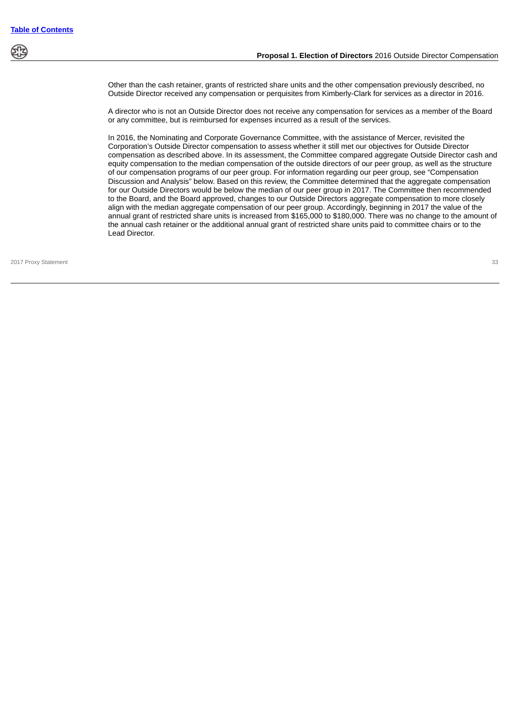

Other than the cash retainer, grants of restricted share units and the other compensation previously described, no Outside Director received any compensation or perquisites from Kimberly-Clark for services as a director in 2016.

A director who is not an Outside Director does not receive any compensation for services as a member of the Board or any committee, but is reimbursed for expenses incurred as a result of the services.

In 2016, the Nominating and Corporate Governance Committee, with the assistance of Mercer, revisited the Corporation's Outside Director compensation to assess whether it still met our objectives for Outside Director compensation as described above. In its assessment, the Committee compared aggregate Outside Director cash and equity compensation to the median compensation of the outside directors of our peer group, as well as the structure of our compensation programs of our peer group. For information regarding our peer group, see "Compensation Discussion and Analysis" below. Based on this review, the Committee determined that the aggregate compensation for our Outside Directors would be below the median of our peer group in 2017. The Committee then recommended to the Board, and the Board approved, changes to our Outside Directors aggregate compensation to more closely align with the median aggregate compensation of our peer group. Accordingly, beginning in 2017 the value of the annual grant of restricted share units is increased from \$165,000 to \$180,000. There was no change to the amount of the annual cash retainer or the additional annual grant of restricted share units paid to committee chairs or to the Lead Director.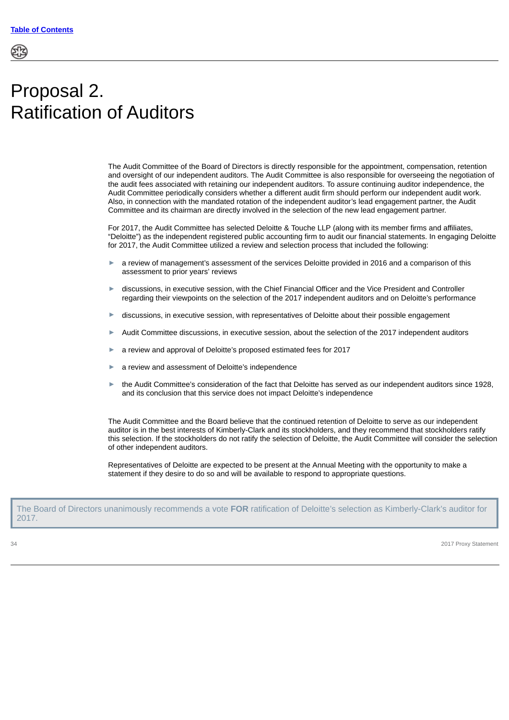# Proposal 2. Ratification of Auditors

The Audit Committee of the Board of Directors is directly responsible for the appointment, compensation, retention and oversight of our independent auditors. The Audit Committee is also responsible for overseeing the negotiation of the audit fees associated with retaining our independent auditors. To assure continuing auditor independence, the Audit Committee periodically considers whether a different audit firm should perform our independent audit work. Also, in connection with the mandated rotation of the independent auditor's lead engagement partner, the Audit Committee and its chairman are directly involved in the selection of the new lead engagement partner.

For 2017, the Audit Committee has selected Deloitte & Touche LLP (along with its member firms and affiliates, "Deloitte") as the independent registered public accounting firm to audit our financial statements. In engaging Deloitte for 2017, the Audit Committee utilized a review and selection process that included the following:

- a review of management's assessment of the services Deloitte provided in 2016 and a comparison of this assessment to prior years' reviews
- ► discussions, in executive session, with the Chief Financial Officer and the Vice President and Controller regarding their viewpoints on the selection of the 2017 independent auditors and on Deloitte's performance
- discussions, in executive session, with representatives of Deloitte about their possible engagement
- Audit Committee discussions, in executive session, about the selection of the 2017 independent auditors
- a review and approval of Deloitte's proposed estimated fees for 2017
- a review and assessment of Deloitte's independence
- the Audit Committee's consideration of the fact that Deloitte has served as our independent auditors since 1928, and its conclusion that this service does not impact Deloitte's independence

The Audit Committee and the Board believe that the continued retention of Deloitte to serve as our independent auditor is in the best interests of Kimberly-Clark and its stockholders, and they recommend that stockholders ratify this selection. If the stockholders do not ratify the selection of Deloitte, the Audit Committee will consider the selection of other independent auditors.

Representatives of Deloitte are expected to be present at the Annual Meeting with the opportunity to make a statement if they desire to do so and will be available to respond to appropriate questions.

The Board of Directors unanimously recommends a vote **FOR** ratification of Deloitte's selection as Kimberly-Clark's auditor for 2017.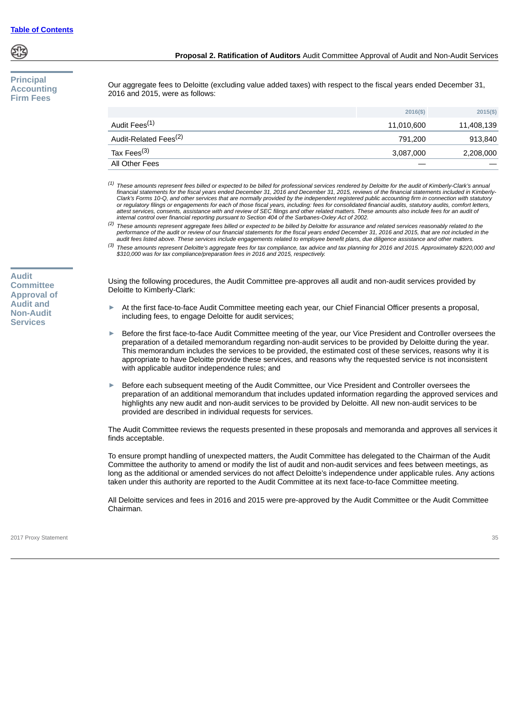

**Audit Committee Approval of Audit and Non-Audit Services**

# **Principal Accounting Firm Fees**

Our aggregate fees to Deloitte (excluding value added taxes) with respect to the fiscal years ended December 31, 2016 and 2015, were as follows:

| All Other Fees                    |                  |             |
|-----------------------------------|------------------|-------------|
| Tax Fees <sup>(3)</sup>           | 3,087,000        | 2,208,000   |
| Audit-Related Fees <sup>(2)</sup> | 791.200          | 913,840     |
| Audit Fees <sup>(1)</sup>         | 11,010,600       | 11,408,139  |
|                                   | $2016(\text{S})$ | $2015($ \$) |

*(1) These amounts represent fees billed or expected to be billed for professional services rendered by Deloitte for the audit of Kimberly-Clark's annual financial statements for the fiscal years ended December 31, 2016 and December 31, 2015, reviews of the financial statements included in Kimberly-Clark's Forms 10-Q, and other services that are normally provided by the independent registered public accounting firm in connection with statutory* or regulatory filings or engagements for each of those fiscal years, including: fees for consolidated financial audits, statutory audits, comfort letters,<br>attest services, consents, assistance with and review of SEC filing *internal control over financial reporting pursuant to Section 404 of the Sarbanes-Oxley Act of 2002.*

*(2) These amounts represent aggregate fees billed or expected to be billed by Deloitte for assurance and related services reasonably related to the performance of the audit or review of our financial statements for the fiscal years ended December 31, 2016 and 2015, that are not included in the audit fees listed above. These services include engagements related to employee benefit plans, due diligence assistance and other matters.*

*(3) These amounts represent Deloitte's aggregate fees for tax compliance, tax advice and tax planning for 2016 and 2015. Approximately \$220,000 and \$310,000 was for tax compliance/preparation fees in 2016 and 2015, respectively.*

Using the following procedures, the Audit Committee pre-approves all audit and non-audit services provided by Deloitte to Kimberly-Clark:

- ► At the first face-to-face Audit Committee meeting each year, our Chief Financial Officer presents a proposal, including fees, to engage Deloitte for audit services;
- Before the first face-to-face Audit Committee meeting of the year, our Vice President and Controller oversees the preparation of a detailed memorandum regarding non-audit services to be provided by Deloitte during the year. This memorandum includes the services to be provided, the estimated cost of these services, reasons why it is appropriate to have Deloitte provide these services, and reasons why the requested service is not inconsistent with applicable auditor independence rules; and
- Before each subsequent meeting of the Audit Committee, our Vice President and Controller oversees the preparation of an additional memorandum that includes updated information regarding the approved services and highlights any new audit and non-audit services to be provided by Deloitte. All new non-audit services to be provided are described in individual requests for services.

The Audit Committee reviews the requests presented in these proposals and memoranda and approves all services it finds acceptable.

To ensure prompt handling of unexpected matters, the Audit Committee has delegated to the Chairman of the Audit Committee the authority to amend or modify the list of audit and non-audit services and fees between meetings, as long as the additional or amended services do not affect Deloitte's independence under applicable rules. Any actions taken under this authority are reported to the Audit Committee at its next face-to-face Committee meeting.

All Deloitte services and fees in 2016 and 2015 were pre-approved by the Audit Committee or the Audit Committee Chairman.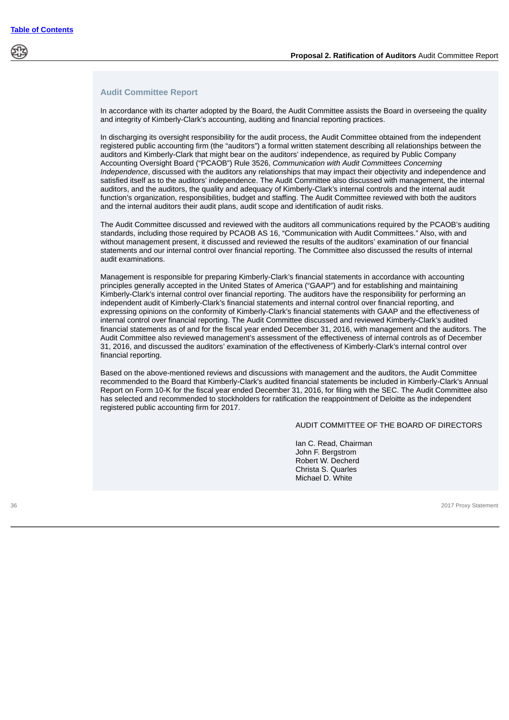## **Audit Committee Report**

In accordance with its charter adopted by the Board, the Audit Committee assists the Board in overseeing the quality and integrity of Kimberly-Clark's accounting, auditing and financial reporting practices.

In discharging its oversight responsibility for the audit process, the Audit Committee obtained from the independent registered public accounting firm (the "auditors") a formal written statement describing all relationships between the auditors and Kimberly-Clark that might bear on the auditors' independence, as required by Public Company Accounting Oversight Board ("PCAOB") Rule 3526, *Communication with Audit Committees Concerning Independence*, discussed with the auditors any relationships that may impact their objectivity and independence and satisfied itself as to the auditors' independence. The Audit Committee also discussed with management, the internal auditors, and the auditors, the quality and adequacy of Kimberly-Clark's internal controls and the internal audit function's organization, responsibilities, budget and staffing. The Audit Committee reviewed with both the auditors and the internal auditors their audit plans, audit scope and identification of audit risks.

The Audit Committee discussed and reviewed with the auditors all communications required by the PCAOB's auditing standards, including those required by PCAOB AS 16, "Communication with Audit Committees." Also, with and without management present, it discussed and reviewed the results of the auditors' examination of our financial statements and our internal control over financial reporting. The Committee also discussed the results of internal audit examinations.

Management is responsible for preparing Kimberly-Clark's financial statements in accordance with accounting principles generally accepted in the United States of America ("GAAP") and for establishing and maintaining Kimberly-Clark's internal control over financial reporting. The auditors have the responsibility for performing an independent audit of Kimberly-Clark's financial statements and internal control over financial reporting, and expressing opinions on the conformity of Kimberly-Clark's financial statements with GAAP and the effectiveness of internal control over financial reporting. The Audit Committee discussed and reviewed Kimberly-Clark's audited financial statements as of and for the fiscal year ended December 31, 2016, with management and the auditors. The Audit Committee also reviewed management's assessment of the effectiveness of internal controls as of December 31, 2016, and discussed the auditors' examination of the effectiveness of Kimberly-Clark's internal control over financial reporting.

Based on the above-mentioned reviews and discussions with management and the auditors, the Audit Committee recommended to the Board that Kimberly-Clark's audited financial statements be included in Kimberly-Clark's Annual Report on Form 10-K for the fiscal year ended December 31, 2016, for filing with the SEC. The Audit Committee also has selected and recommended to stockholders for ratification the reappointment of Deloitte as the independent registered public accounting firm for 2017.

## AUDIT COMMITTEE OF THE BOARD OF DIRECTORS

Ian C. Read, Chairman John F. Bergstrom Robert W. Decherd Christa S. Quarles Michael D. White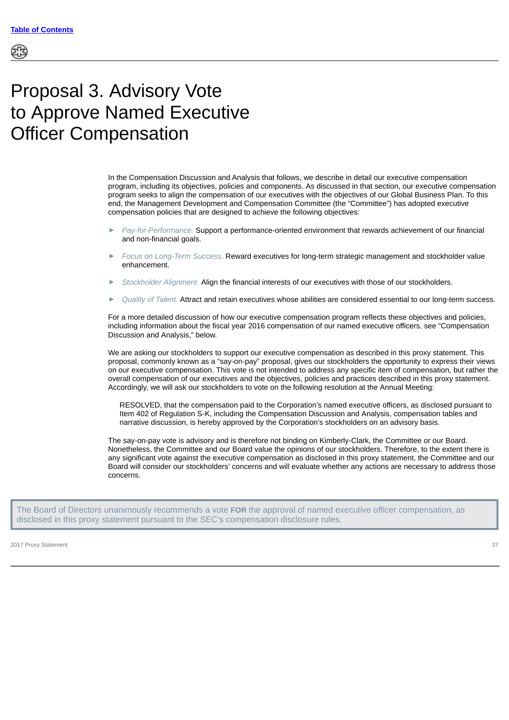# Proposal 3. Advisory Vote to Approve Named Executive Officer Compensation

In the Compensation Discussion and Analysis that follows, we describe in detail our executive compensation program, including its objectives, policies and components. As discussed in that section, our executive compensation program seeks to align the compensation of our executives with the objectives of our Global Business Plan. To this end, the Management Development and Compensation Committee (the "Committee") has adopted executive compensation policies that are designed to achieve the following objectives:

- ► *Pay-for-Performance.* Support a performance-oriented environment that rewards achievement of our financial and non-financial goals.
- ► *Focus on Long-Term Success.* Reward executives for long-term strategic management and stockholder value enhancement.
- ► *Stockholder Alignment.* Align the financial interests of our executives with those of our stockholders.
- ► *Quality of Talent.* Attract and retain executives whose abilities are considered essential to our long-term success.

For a more detailed discussion of how our executive compensation program reflects these objectives and policies, including information about the fiscal year 2016 compensation of our named executive officers, see "Compensation Discussion and Analysis," below.

We are asking our stockholders to support our executive compensation as described in this proxy statement. This proposal, commonly known as a "say-on-pay" proposal, gives our stockholders the opportunity to express their views on our executive compensation. This vote is not intended to address any specific item of compensation, but rather the overall compensation of our executives and the objectives, policies and practices described in this proxy statement. Accordingly, we will ask our stockholders to vote on the following resolution at the Annual Meeting:

RESOLVED, that the compensation paid to the Corporation's named executive officers, as disclosed pursuant to Item 402 of Regulation S-K, including the Compensation Discussion and Analysis, compensation tables and narrative discussion, is hereby approved by the Corporation's stockholders on an advisory basis.

The say-on-pay vote is advisory and is therefore not binding on Kimberly-Clark, the Committee or our Board. Nonetheless, the Committee and our Board value the opinions of our stockholders. Therefore, to the extent there is any significant vote against the executive compensation as disclosed in this proxy statement, the Committee and our Board will consider our stockholders' concerns and will evaluate whether any actions are necessary to address those concerns.

The Board of Directors unanimously recommends a vote **FOR** the approval of named executive officer compensation, as disclosed in this proxy statement pursuant to the SEC's compensation disclosure rules.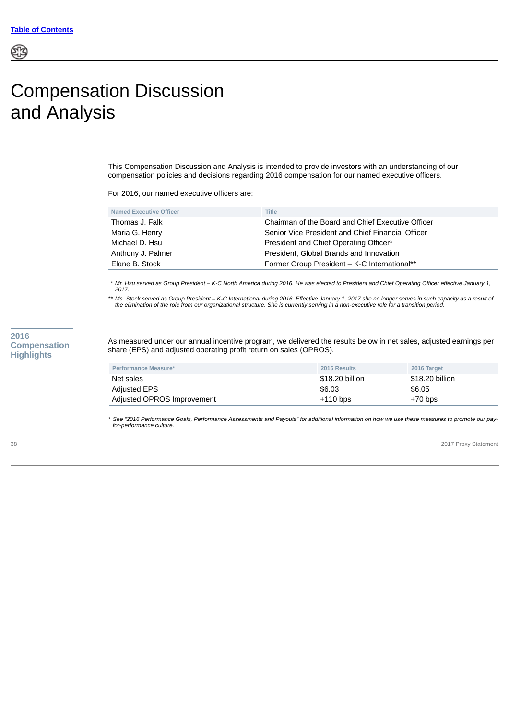# Compensation Discussion and Analysis

This Compensation Discussion and Analysis is intended to provide investors with an understanding of our compensation policies and decisions regarding 2016 compensation for our named executive officers.

For 2016, our named executive officers are:

| Elane B. Stock                 | Former Group President - K-C International**      |
|--------------------------------|---------------------------------------------------|
| Anthony J. Palmer              | President, Global Brands and Innovation           |
| Michael D. Hsu                 | President and Chief Operating Officer*            |
| Maria G. Henry                 | Senior Vice President and Chief Financial Officer |
| Thomas J. Falk                 | Chairman of the Board and Chief Executive Officer |
| <b>Named Executive Officer</b> | Title                                             |
|                                |                                                   |

*\* Mr. Hsu served as Group President – K-C North America during 2016. He was elected to President and Chief Operating Officer effective January 1, 2017.*

\*\* Ms. Stock served as Group President – K-C International during 2016. Effective January 1, 2017 she no longer serves in such capacity as a result of<br>the elimination of the role from our organizational structure. She is c

# **2016 Compensation Highlights**

As measured under our annual incentive program, we delivered the results below in net sales, adjusted earnings per share (EPS) and adjusted operating profit return on sales (OPROS).

| Performance Measure*       | <b>2016 Results</b> | 2016 Target     |
|----------------------------|---------------------|-----------------|
| Net sales                  | \$18.20 billion     | \$18,20 billion |
| Adjusted EPS               | \$6.03              | \$6.05          |
| Adjusted OPROS Improvement | $+110$ bps          | $+70$ bps       |

*\* See "2016 Performance Goals, Performance Assessments and Payouts" for additional information on how we use these measures to promote our payfor-performance culture.*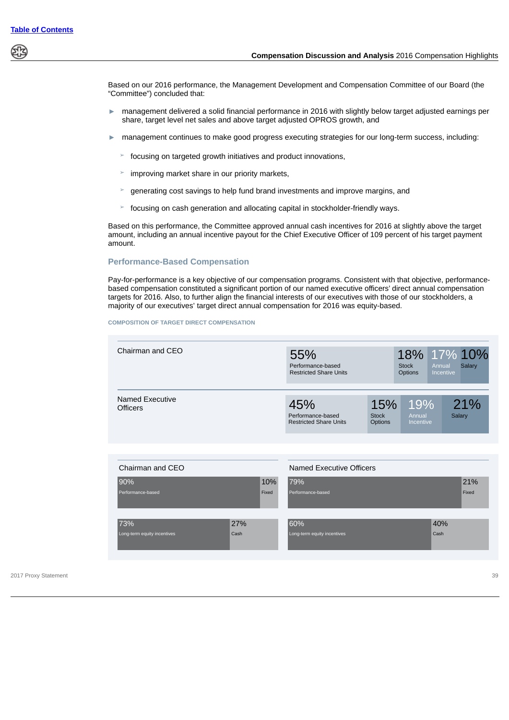Based on our 2016 performance, the Management Development and Compensation Committee of our Board (the "Committee") concluded that:

- ► management delivered a solid financial performance in 2016 with slightly below target adjusted earnings per share, target level net sales and above target adjusted OPROS growth, and
- ► management continues to make good progress executing strategies for our long-term success, including:
	- $\geq$  focusing on targeted growth initiatives and product innovations,
	- improving market share in our priority markets,
	- generating cost savings to help fund brand investments and improve margins, and
	- focusing on cash generation and allocating capital in stockholder-friendly ways.

Based on this performance, the Committee approved annual cash incentives for 2016 at slightly above the target amount, including an annual incentive payout for the Chief Executive Officer of 109 percent of his target payment amount.

# **Performance-Based Compensation**

Pay-for-performance is a key objective of our compensation programs. Consistent with that objective, performancebased compensation constituted a significant portion of our named executive officers' direct annual compensation targets for 2016. Also, to further align the financial interests of our executives with those of our stockholders, a majority of our executives' target direct annual compensation for 2016 was equity-based.

#### **COMPOSITION OF TARGET DIRECT COMPENSATION**

| Chairman and CEO                   | 55%<br>Performance-based<br><b>Restricted Share Units</b> |                                       | <b>Stock</b><br><b>Options</b> | Annual<br>Incentive | 18% 17% 10%<br>Salary |
|------------------------------------|-----------------------------------------------------------|---------------------------------------|--------------------------------|---------------------|-----------------------|
| Named Executive<br><b>Officers</b> | 45%<br>Performance-based<br><b>Restricted Share Units</b> | 15%<br><b>Stock</b><br><b>Options</b> | 19%<br>Annual<br>Incentive     |                     | 21%<br>Salary         |

| Chairman and CEO            |      |       | Named Executive Officers    |      |       |
|-----------------------------|------|-------|-----------------------------|------|-------|
| 90%                         |      | 10%   | 79%                         |      | 21%   |
| Performance-based           |      | Fixed | Performance-based           |      | Fixed |
| 73%                         | 27%  |       | 60%                         | 40%  |       |
| Long-term equity incentives | Cash |       | Long-term equity incentives | Cash |       |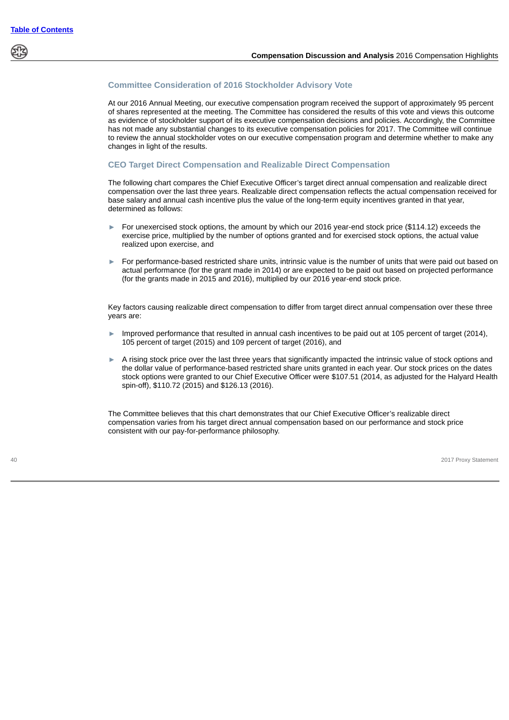

# **Committee Consideration of 2016 Stockholder Advisory Vote**

At our 2016 Annual Meeting, our executive compensation program received the support of approximately 95 percent of shares represented at the meeting. The Committee has considered the results of this vote and views this outcome as evidence of stockholder support of its executive compensation decisions and policies. Accordingly, the Committee has not made any substantial changes to its executive compensation policies for 2017. The Committee will continue to review the annual stockholder votes on our executive compensation program and determine whether to make any changes in light of the results.

## **CEO Target Direct Compensation and Realizable Direct Compensation**

The following chart compares the Chief Executive Officer's target direct annual compensation and realizable direct compensation over the last three years. Realizable direct compensation reflects the actual compensation received for base salary and annual cash incentive plus the value of the long-term equity incentives granted in that year, determined as follows:

- For unexercised stock options, the amount by which our 2016 year-end stock price (\$114.12) exceeds the exercise price, multiplied by the number of options granted and for exercised stock options, the actual value realized upon exercise, and
- ► For performance-based restricted share units, intrinsic value is the number of units that were paid out based on actual performance (for the grant made in 2014) or are expected to be paid out based on projected performance (for the grants made in 2015 and 2016), multiplied by our 2016 year-end stock price.

Key factors causing realizable direct compensation to differ from target direct annual compensation over these three years are:

- Improved performance that resulted in annual cash incentives to be paid out at 105 percent of target (2014), 105 percent of target (2015) and 109 percent of target (2016), and
- ► A rising stock price over the last three years that significantly impacted the intrinsic value of stock options and the dollar value of performance-based restricted share units granted in each year. Our stock prices on the dates stock options were granted to our Chief Executive Officer were \$107.51 (2014, as adjusted for the Halyard Health spin-off), \$110.72 (2015) and \$126.13 (2016).

The Committee believes that this chart demonstrates that our Chief Executive Officer's realizable direct compensation varies from his target direct annual compensation based on our performance and stock price consistent with our pay-for-performance philosophy.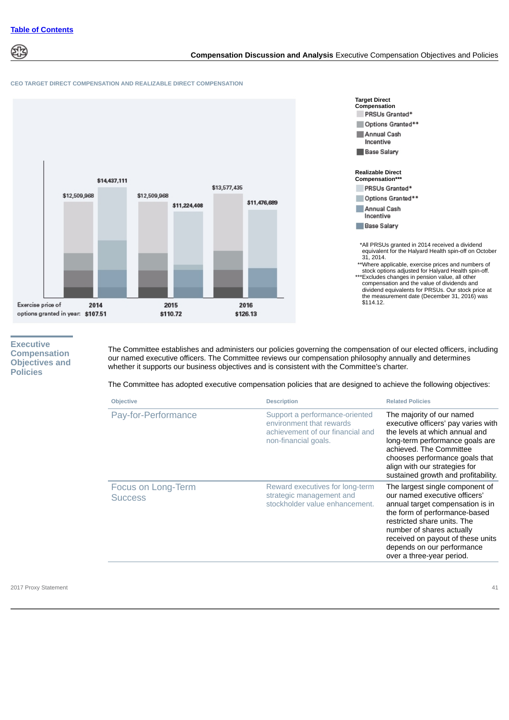

# **Compensation Discussion and Analysis** Executive Compensation Objectives and Policies

#### **CEO TARGET DIRECT COMPENSATION AND REALIZABLE DIRECT COMPENSATION**





\*\*\*Excludes changes in pension value, all other compensation and the value of dividends and dividend equivalents for PRSUs. Our stock price at the measurement date (December 31, 2016) was \$114.12.

# **Executive Compensation Objectives and Policies**

The Committee establishes and administers our policies governing the compensation of our elected officers, including our named executive officers. The Committee reviews our compensation philosophy annually and determines whether it supports our business objectives and is consistent with the Committee's charter.

The Committee has adopted executive compensation policies that are designed to achieve the following objectives:

| <b>Objective</b>                     | <b>Description</b>                                                                                                     | <b>Related Policies</b>                                                                                                                                                                                                                                                                           |
|--------------------------------------|------------------------------------------------------------------------------------------------------------------------|---------------------------------------------------------------------------------------------------------------------------------------------------------------------------------------------------------------------------------------------------------------------------------------------------|
| Pay-for-Performance                  | Support a performance-oriented<br>environment that rewards<br>achievement of our financial and<br>non-financial goals. | The majority of our named<br>executive officers' pay varies with<br>the levels at which annual and<br>long-term performance goals are<br>achieved. The Committee<br>chooses performance goals that<br>align with our strategies for<br>sustained growth and profitability.                        |
| Focus on Long-Term<br><b>Success</b> | Reward executives for long-term<br>strategic management and<br>stockholder value enhancement.                          | The largest single component of<br>our named executive officers'<br>annual target compensation is in<br>the form of performance-based<br>restricted share units. The<br>number of shares actually<br>received on payout of these units<br>depends on our performance<br>over a three-year period. |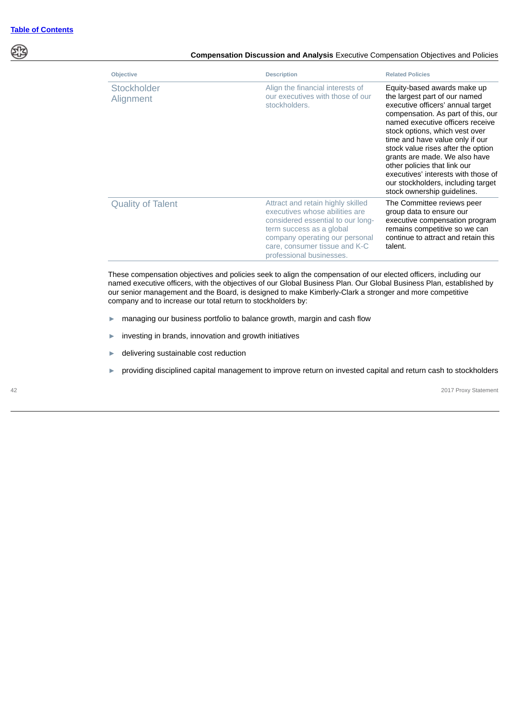প্ৰাই

## **Compensation Discussion and Analysis** Executive Compensation Objectives and Policies

| <b>Objective</b>         | <b>Description</b>                                                                                                                                                                                                                  | <b>Related Policies</b>                                                                                                                                                                                                                                                                                                                                                                                                                                             |
|--------------------------|-------------------------------------------------------------------------------------------------------------------------------------------------------------------------------------------------------------------------------------|---------------------------------------------------------------------------------------------------------------------------------------------------------------------------------------------------------------------------------------------------------------------------------------------------------------------------------------------------------------------------------------------------------------------------------------------------------------------|
| Stockholder<br>Alignment | Align the financial interests of<br>our executives with those of our<br>stockholders.                                                                                                                                               | Equity-based awards make up<br>the largest part of our named<br>executive officers' annual target<br>compensation. As part of this, our<br>named executive officers receive<br>stock options, which vest over<br>time and have value only if our<br>stock value rises after the option<br>grants are made. We also have<br>other policies that link our<br>executives' interests with those of<br>our stockholders, including target<br>stock ownership guidelines. |
| <b>Quality of Talent</b> | Attract and retain highly skilled<br>executives whose abilities are<br>considered essential to our long-<br>term success as a global<br>company operating our personal<br>care, consumer tissue and K-C<br>professional businesses. | The Committee reviews peer<br>group data to ensure our<br>executive compensation program<br>remains competitive so we can<br>continue to attract and retain this<br>talent.                                                                                                                                                                                                                                                                                         |

These compensation objectives and policies seek to align the compensation of our elected officers, including our named executive officers, with the objectives of our Global Business Plan. Our Global Business Plan, established by our senior management and the Board, is designed to make Kimberly-Clark a stronger and more competitive company and to increase our total return to stockholders by:

- ► managing our business portfolio to balance growth, margin and cash flow
- ► investing in brands, innovation and growth initiatives
- ► delivering sustainable cost reduction
- ► providing disciplined capital management to improve return on invested capital and return cash to stockholders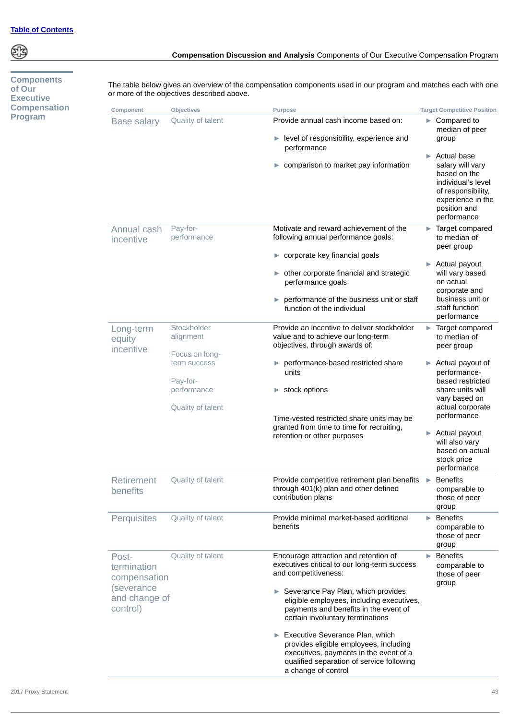**Components of Our Executive Compensation Program**

**Compensation Discussion and Analysis** Components of Our Executive Compensation Program

The table below gives an overview of the compensation components used in our program and matches each with one

| <b>Component</b>                                | <b>Objectives</b>              | <b>Purpose</b>                                                                                                                                                        | <b>Target Competitive Position</b>                                                                                                                          |
|-------------------------------------------------|--------------------------------|-----------------------------------------------------------------------------------------------------------------------------------------------------------------------|-------------------------------------------------------------------------------------------------------------------------------------------------------------|
| <b>Base salary</b>                              | Quality of talent              | Provide annual cash income based on:<br>level of responsibility, experience and                                                                                       | $\blacktriangleright$ Compared to<br>median of peer<br>group                                                                                                |
|                                                 |                                | performance<br>comparison to market pay information<br>▶                                                                                                              | <b>Actual base</b><br>ь<br>salary will vary<br>based on the<br>individual's level<br>of responsibility,<br>experience in the<br>position and<br>performance |
| Annual cash<br>incentive                        | Pay-for-<br>performance        | Motivate and reward achievement of the<br>following annual performance goals:                                                                                         | Target compared<br>to median of<br>peer group                                                                                                               |
|                                                 |                                | $\triangleright$ corporate key financial goals                                                                                                                        | Actual payout                                                                                                                                               |
|                                                 |                                | $\triangleright$ other corporate financial and strategic<br>performance goals                                                                                         | will vary based<br>on actual                                                                                                                                |
|                                                 |                                | performance of the business unit or staff<br>Þ.<br>function of the individual                                                                                         | corporate and<br>business unit or<br>staff function<br>performance                                                                                          |
| Long-term<br>equity<br>incentive                | Stockholder<br>alignment       | Provide an incentive to deliver stockholder<br>value and to achieve our long-term<br>objectives, through awards of:                                                   | Target compared<br>$\blacktriangleright$<br>to median of<br>peer group                                                                                      |
|                                                 | Focus on long-<br>term success | performance-based restricted share<br>Þ.<br>units                                                                                                                     | $\blacktriangleright$ Actual payout of<br>performance-                                                                                                      |
|                                                 | Pay-for-<br>performance        | stock options                                                                                                                                                         | based restricted<br>share units will<br>vary based on                                                                                                       |
|                                                 | Quality of talent              | Time-vested restricted share units may be                                                                                                                             | actual corporate<br>performance                                                                                                                             |
|                                                 |                                | granted from time to time for recruiting,<br>retention or other purposes                                                                                              | Actual payout<br>Þ.<br>will also vary<br>based on actual<br>stock price<br>performance                                                                      |
| <b>Retirement</b><br>benefits                   | Quality of talent              | Provide competitive retirement plan benefits<br>through 401(k) plan and other defined<br>contribution plans                                                           | $\blacktriangleright$ Benefits<br>comparable to<br>those of peer<br>group                                                                                   |
| Perquisites                                     | Quality of talent              | Provide minimal market-based additional<br>benefits                                                                                                                   | <b>Benefits</b><br>ь<br>comparable to<br>those of peer<br>group                                                                                             |
| Post-<br>termination<br>compensation            | Quality of talent              | Encourage attraction and retention of<br>executives critical to our long-term success<br>and competitiveness:                                                         | <b>Benefits</b><br>Þ.<br>comparable to<br>those of peer<br>group                                                                                            |
| <i>(severance)</i><br>and change of<br>control) |                                | Severance Pay Plan, which provides<br>eligible employees, including executives,<br>payments and benefits in the event of<br>certain involuntary terminations          |                                                                                                                                                             |
|                                                 |                                | Executive Severance Plan, which<br>▶<br>provides eligible employees, including<br>executives, payments in the event of a<br>qualified separation of service following |                                                                                                                                                             |

a change of control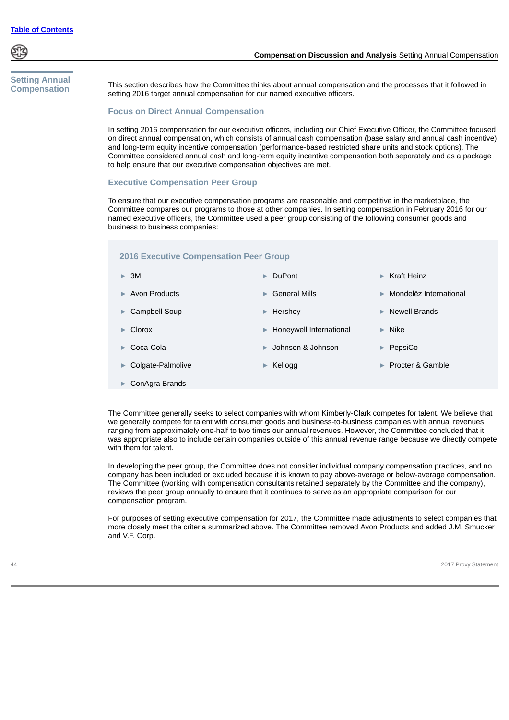

# **Compensation Discussion and Analysis** Setting Annual Compensation

# **Setting Annual Compensation**

This section describes how the Committee thinks about annual compensation and the processes that it followed in setting 2016 target annual compensation for our named executive officers.

# **Focus on Direct Annual Compensation**

In setting 2016 compensation for our executive officers, including our Chief Executive Officer, the Committee focused on direct annual compensation, which consists of annual cash compensation (base salary and annual cash incentive) and long-term equity incentive compensation (performance-based restricted share units and stock options). The Committee considered annual cash and long-term equity incentive compensation both separately and as a package to help ensure that our executive compensation objectives are met.

# **Executive Compensation Peer Group**

To ensure that our executive compensation programs are reasonable and competitive in the marketplace, the Committee compares our programs to those at other companies. In setting compensation in February 2016 for our named executive officers, the Committee used a peer group consisting of the following consumer goods and business to business companies:

# **2016 Executive Compensation Peer Group**

| $\triangleright$ 3M                 | $\blacktriangleright$ DuPont       | $\triangleright$ Kraft Heinz            |
|-------------------------------------|------------------------------------|-----------------------------------------|
| $\blacktriangleright$ Avon Products | $\triangleright$ General Mills     | $\triangleright$ Mondelez International |
| $\triangleright$ Campbell Soup      | $\blacktriangleright$ Hershey      | <b>Newell Brands</b><br>ь.              |
| $\blacktriangleright$ Clorox        | ► Honeywell International          | $\blacktriangleright$ Nike              |
| $\triangleright$ Coca-Cola          | $\triangleright$ Johnson & Johnson | PepsiCo<br>$\blacktriangleright$        |
| $\triangleright$ Colgate-Palmolive  | $\blacktriangleright$ Kellogg      | $\blacktriangleright$ Procter & Gamble  |
|                                     |                                    |                                         |

► ConAgra Brands

The Committee generally seeks to select companies with whom Kimberly-Clark competes for talent. We believe that we generally compete for talent with consumer goods and business-to-business companies with annual revenues ranging from approximately one-half to two times our annual revenues. However, the Committee concluded that it was appropriate also to include certain companies outside of this annual revenue range because we directly compete with them for talent.

In developing the peer group, the Committee does not consider individual company compensation practices, and no company has been included or excluded because it is known to pay above-average or below-average compensation. The Committee (working with compensation consultants retained separately by the Committee and the company), reviews the peer group annually to ensure that it continues to serve as an appropriate comparison for our compensation program.

For purposes of setting executive compensation for 2017, the Committee made adjustments to select companies that more closely meet the criteria summarized above. The Committee removed Avon Products and added J.M. Smucker and V.F. Corp.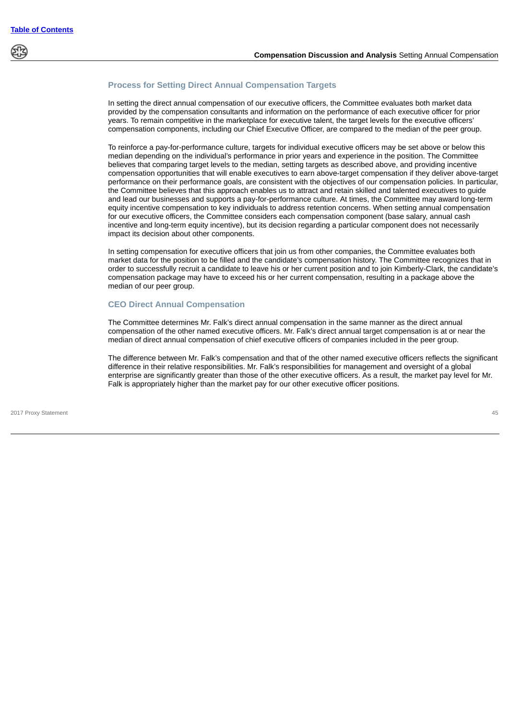

## **Process for Setting Direct Annual Compensation Targets**

In setting the direct annual compensation of our executive officers, the Committee evaluates both market data provided by the compensation consultants and information on the performance of each executive officer for prior years. To remain competitive in the marketplace for executive talent, the target levels for the executive officers' compensation components, including our Chief Executive Officer, are compared to the median of the peer group.

To reinforce a pay-for-performance culture, targets for individual executive officers may be set above or below this median depending on the individual's performance in prior years and experience in the position. The Committee believes that comparing target levels to the median, setting targets as described above, and providing incentive compensation opportunities that will enable executives to earn above-target compensation if they deliver above-target performance on their performance goals, are consistent with the objectives of our compensation policies. In particular, the Committee believes that this approach enables us to attract and retain skilled and talented executives to guide and lead our businesses and supports a pay-for-performance culture. At times, the Committee may award long-term equity incentive compensation to key individuals to address retention concerns. When setting annual compensation for our executive officers, the Committee considers each compensation component (base salary, annual cash incentive and long-term equity incentive), but its decision regarding a particular component does not necessarily impact its decision about other components.

In setting compensation for executive officers that join us from other companies, the Committee evaluates both market data for the position to be filled and the candidate's compensation history. The Committee recognizes that in order to successfully recruit a candidate to leave his or her current position and to join Kimberly-Clark, the candidate's compensation package may have to exceed his or her current compensation, resulting in a package above the median of our peer group.

# **CEO Direct Annual Compensation**

The Committee determines Mr. Falk's direct annual compensation in the same manner as the direct annual compensation of the other named executive officers. Mr. Falk's direct annual target compensation is at or near the median of direct annual compensation of chief executive officers of companies included in the peer group.

The difference between Mr. Falk's compensation and that of the other named executive officers reflects the significant difference in their relative responsibilities. Mr. Falk's responsibilities for management and oversight of a global enterprise are significantly greater than those of the other executive officers. As a result, the market pay level for Mr. Falk is appropriately higher than the market pay for our other executive officer positions.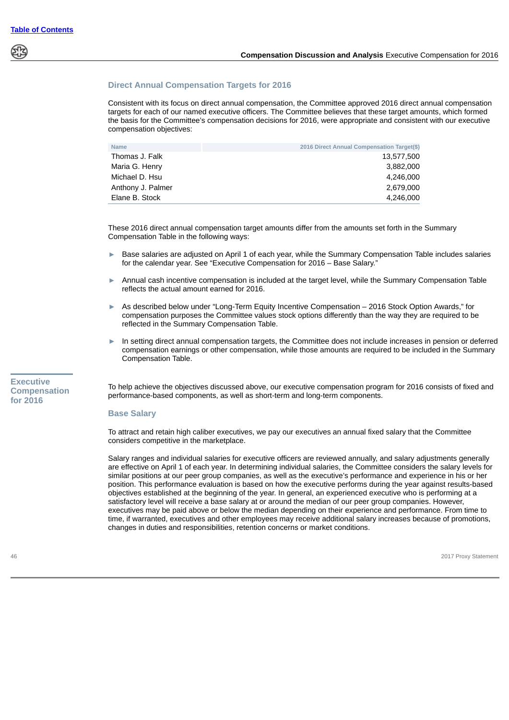# **Direct Annual Compensation Targets for 2016**

Consistent with its focus on direct annual compensation, the Committee approved 2016 direct annual compensation targets for each of our named executive officers. The Committee believes that these target amounts, which formed the basis for the Committee's compensation decisions for 2016, were appropriate and consistent with our executive compensation objectives:

| <b>Name</b>       | 2016 Direct Annual Compensation Target(\$) |
|-------------------|--------------------------------------------|
| Thomas J. Falk    | 13,577,500                                 |
| Maria G. Henry    | 3.882.000                                  |
| Michael D. Hsu    | 4.246.000                                  |
| Anthony J. Palmer | 2.679.000                                  |
| Elane B. Stock    | 4,246,000                                  |

These 2016 direct annual compensation target amounts differ from the amounts set forth in the Summary Compensation Table in the following ways:

- ► Base salaries are adjusted on April 1 of each year, while the Summary Compensation Table includes salaries for the calendar year. See "Executive Compensation for 2016 – Base Salary."
- Annual cash incentive compensation is included at the target level, while the Summary Compensation Table reflects the actual amount earned for 2016.
- ► As described below under "Long-Term Equity Incentive Compensation 2016 Stock Option Awards," for compensation purposes the Committee values stock options differently than the way they are required to be reflected in the Summary Compensation Table.
- In setting direct annual compensation targets, the Committee does not include increases in pension or deferred compensation earnings or other compensation, while those amounts are required to be included in the Summary Compensation Table.

**Executive Compensation for 2016**

To help achieve the objectives discussed above, our executive compensation program for 2016 consists of fixed and performance-based components, as well as short-term and long-term components.

#### **Base Salary**

To attract and retain high caliber executives, we pay our executives an annual fixed salary that the Committee considers competitive in the marketplace.

Salary ranges and individual salaries for executive officers are reviewed annually, and salary adjustments generally are effective on April 1 of each year. In determining individual salaries, the Committee considers the salary levels for similar positions at our peer group companies, as well as the executive's performance and experience in his or her position. This performance evaluation is based on how the executive performs during the year against results-based objectives established at the beginning of the year. In general, an experienced executive who is performing at a satisfactory level will receive a base salary at or around the median of our peer group companies. However, executives may be paid above or below the median depending on their experience and performance. From time to time, if warranted, executives and other employees may receive additional salary increases because of promotions, changes in duties and responsibilities, retention concerns or market conditions.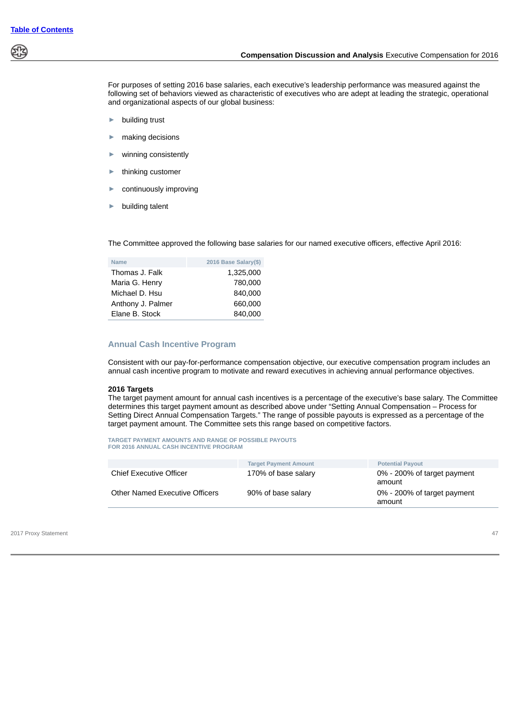

For purposes of setting 2016 base salaries, each executive's leadership performance was measured against the following set of behaviors viewed as characteristic of executives who are adept at leading the strategic, operational and organizational aspects of our global business:

- ► building trust
- making decisions
- winning consistently
- thinking customer
- continuously improving
- building talent

The Committee approved the following base salaries for our named executive officers, effective April 2016:

| <b>Name</b>       | 2016 Base Salary(\$) |
|-------------------|----------------------|
| Thomas J. Falk    | 1,325,000            |
| Maria G. Henry    | 780,000              |
| Michael D. Hsu    | 840,000              |
| Anthony J. Palmer | 660,000              |
| Elane B. Stock    | 840.000              |

# **Annual Cash Incentive Program**

Consistent with our pay-for-performance compensation objective, our executive compensation program includes an annual cash incentive program to motivate and reward executives in achieving annual performance objectives.

#### **2016 Targets**

The target payment amount for annual cash incentives is a percentage of the executive's base salary. The Committee determines this target payment amount as described above under "Setting Annual Compensation – Process for Setting Direct Annual Compensation Targets." The range of possible payouts is expressed as a percentage of the target payment amount. The Committee sets this range based on competitive factors.

**TARGET PAYMENT AMOUNTS AND RANGE OF POSSIBLE PAYOUTS FOR 2016 ANNUAL CASH INCENTIVE PROGRAM**

|                                | <b>Target Payment Amount</b> | <b>Potential Payout</b>               |
|--------------------------------|------------------------------|---------------------------------------|
| <b>Chief Executive Officer</b> | 170% of base salary          | 0% - 200% of target payment<br>amount |
| Other Named Executive Officers | 90% of base salary           | 0% - 200% of target payment<br>amount |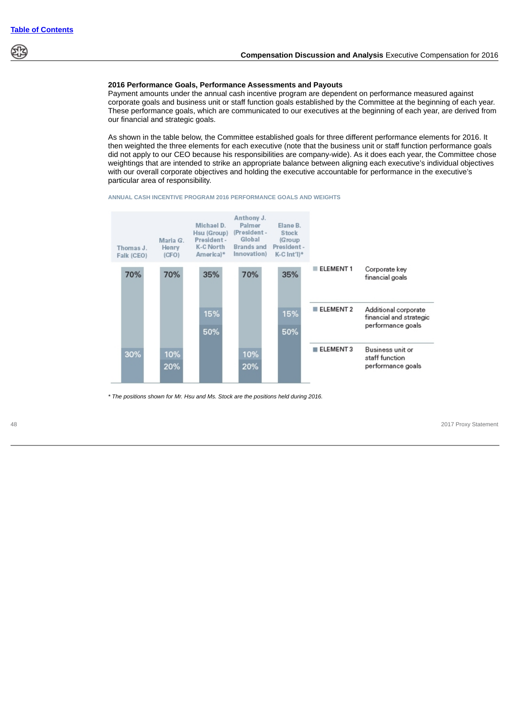

## **2016 Performance Goals, Performance Assessments and Payouts**

Payment amounts under the annual cash incentive program are dependent on performance measured against corporate goals and business unit or staff function goals established by the Committee at the beginning of each year. These performance goals, which are communicated to our executives at the beginning of each year, are derived from our financial and strategic goals.

As shown in the table below, the Committee established goals for three different performance elements for 2016. It then weighted the three elements for each executive (note that the business unit or staff function performance goals did not apply to our CEO because his responsibilities are company-wide). As it does each year, the Committee chose weightings that are intended to strike an appropriate balance between aligning each executive's individual objectives with our overall corporate objectives and holding the executive accountable for performance in the executive's particular area of responsibility.





*\* The positions shown for Mr. Hsu and Ms. Stock are the positions held during 2016.*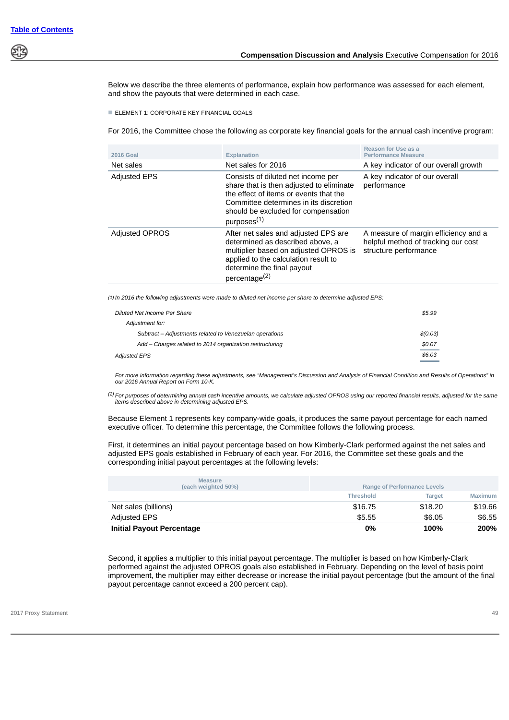

Below we describe the three elements of performance, explain how performance was assessed for each element, and show the payouts that were determined in each case.

**ELEMENT 1: CORPORATE KEY FINANCIAL GOALS** 

For 2016, the Committee chose the following as corporate key financial goals for the annual cash incentive program:

| <b>2016 Goal</b>      | <b>Explanation</b>                                                                                                                                                                                                                   | Reason for Use as a<br><b>Performance Measure</b>                                                    |
|-----------------------|--------------------------------------------------------------------------------------------------------------------------------------------------------------------------------------------------------------------------------------|------------------------------------------------------------------------------------------------------|
| Net sales             | Net sales for 2016                                                                                                                                                                                                                   | A key indicator of our overall growth                                                                |
| <b>Adjusted EPS</b>   | Consists of diluted net income per<br>share that is then adjusted to eliminate<br>the effect of items or events that the<br>Committee determines in its discretion<br>should be excluded for compensation<br>purposes <sup>(1)</sup> | A key indicator of our overall<br>performance                                                        |
| <b>Adjusted OPROS</b> | After net sales and adjusted EPS are<br>determined as described above, a<br>multiplier based on adjusted OPROS is<br>applied to the calculation result to<br>determine the final payout<br>percentage <sup>(2)</sup>                 | A measure of margin efficiency and a<br>helpful method of tracking our cost<br>structure performance |

*(1) In 2016 the following adjustments were made to diluted net income per share to determine adjusted EPS:*

| Diluted Net Income Per Share                             | \$5.99   |
|----------------------------------------------------------|----------|
| Adjustment for:                                          |          |
| Subtract – Adjustments related to Venezuelan operations  | \$(0.03) |
| Add – Charges related to 2014 organization restructuring | \$0.07   |
| Adjusted EPS                                             | \$6.03   |

 *For more information regarding these adjustments, see "Management's Discussion and Analysis of Financial Condition and Results of Operations" in our 2016 Annual Report on Form 10-K.*

*(2) For purposes of determining annual cash incentive amounts, we calculate adjusted OPROS using our reported financial results, adjusted for the same items described above in determining adjusted EPS.*

Because Element 1 represents key company-wide goals, it produces the same payout percentage for each named executive officer. To determine this percentage, the Committee follows the following process.

First, it determines an initial payout percentage based on how Kimberly-Clark performed against the net sales and adjusted EPS goals established in February of each year. For 2016, the Committee set these goals and the corresponding initial payout percentages at the following levels:

| <b>Measure</b><br>(each weighted 50%) |                  | <b>Range of Performance Levels</b> |                |
|---------------------------------------|------------------|------------------------------------|----------------|
|                                       | <b>Threshold</b> | <b>Target</b>                      | <b>Maximum</b> |
| Net sales (billions)                  | \$16.75          | \$18.20                            | \$19.66        |
| <b>Adjusted EPS</b>                   | \$5.55           | \$6.05                             | \$6.55         |
| <b>Initial Payout Percentage</b>      | 0%               | 100%                               | 200%           |

Second, it applies a multiplier to this initial payout percentage. The multiplier is based on how Kimberly-Clark performed against the adjusted OPROS goals also established in February. Depending on the level of basis point improvement, the multiplier may either decrease or increase the initial payout percentage (but the amount of the final payout percentage cannot exceed a 200 percent cap).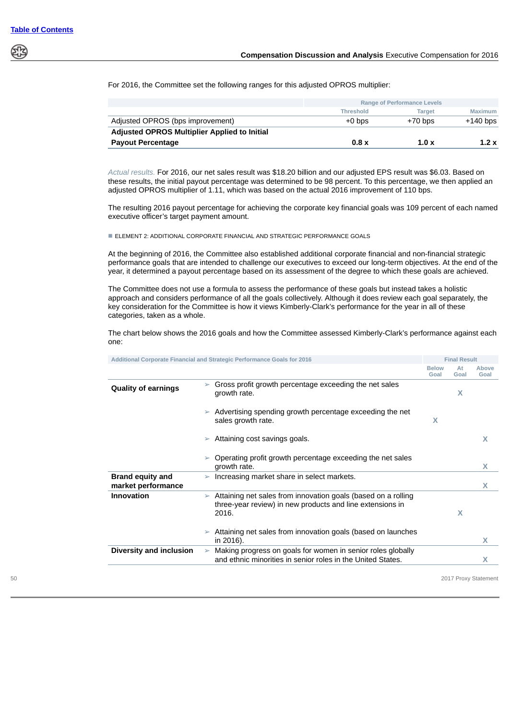

For 2016, the Committee set the following ranges for this adjusted OPROS multiplier:

|                                              | <b>Range of Performance Levels</b> |               |                |
|----------------------------------------------|------------------------------------|---------------|----------------|
|                                              | <b>Threshold</b>                   | <b>Target</b> | <b>Maximum</b> |
| Adjusted OPROS (bps improvement)             | $+0$ bps                           | $+70$ bps     | $+140$ bps     |
| Adjusted OPROS Multiplier Applied to Initial |                                    |               |                |
| <b>Payout Percentage</b>                     | 0.8 x                              | 1.0 x         | 1.2x           |

*Actual results.* For 2016, our net sales result was \$18.20 billion and our adjusted EPS result was \$6.03. Based on these results, the initial payout percentage was determined to be 98 percent. To this percentage, we then applied an adjusted OPROS multiplier of 1.11, which was based on the actual 2016 improvement of 110 bps.

The resulting 2016 payout percentage for achieving the corporate key financial goals was 109 percent of each named executive officer's target payment amount.

■ ELEMENT 2: ADDITIONAL CORPORATE FINANCIAL AND STRATEGIC PERFORMANCE GOALS

At the beginning of 2016, the Committee also established additional corporate financial and non-financial strategic performance goals that are intended to challenge our executives to exceed our long-term objectives. At the end of the year, it determined a payout percentage based on its assessment of the degree to which these goals are achieved.

The Committee does not use a formula to assess the performance of these goals but instead takes a holistic approach and considers performance of all the goals collectively. Although it does review each goal separately, the key consideration for the Committee is how it views Kimberly-Clark's performance for the year in all of these categories, taken as a whole.

The chart below shows the 2016 goals and how the Committee assessed Kimberly-Clark's performance against each one:

|                                               |                       | Additional Corporate Financial and Strategic Performance Goals for 2016                                                             |                      | <b>Final Result</b> |               |
|-----------------------------------------------|-----------------------|-------------------------------------------------------------------------------------------------------------------------------------|----------------------|---------------------|---------------|
|                                               |                       |                                                                                                                                     | <b>Below</b><br>Goal | At<br>Goal          | Above<br>Goal |
| <b>Quality of earnings</b>                    | $\geq$                | Gross profit growth percentage exceeding the net sales<br>growth rate.                                                              |                      | X                   |               |
|                                               |                       | Advertising spending growth percentage exceeding the net<br>sales growth rate.                                                      | X                    |                     |               |
|                                               |                       | Attaining cost savings goals.                                                                                                       |                      |                     | X             |
|                                               |                       | Operating profit growth percentage exceeding the net sales<br>growth rate.                                                          |                      |                     | X             |
| <b>Brand equity and</b><br>market performance | ➤                     | Increasing market share in select markets.                                                                                          |                      |                     | X             |
| <b>Innovation</b>                             | $\blacktriangleright$ | Attaining net sales from innovation goals (based on a rolling<br>three-year review) in new products and line extensions in<br>2016. |                      | X                   |               |
|                                               |                       | Attaining net sales from innovation goals (based on launches<br>in 2016).                                                           |                      |                     | X             |
| Diversity and inclusion                       | $\blacktriangleright$ | Making progress on goals for women in senior roles globally<br>and ethnic minorities in senior roles in the United States.          |                      |                     | X             |
|                                               |                       |                                                                                                                                     |                      |                     |               |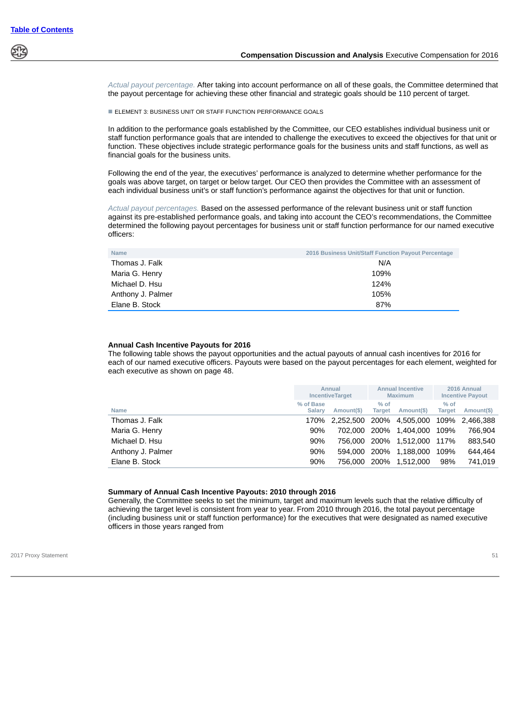

*Actual payout percentage.* After taking into account performance on all of these goals, the Committee determined that the payout percentage for achieving these other financial and strategic goals should be 110 percent of target.

■ ELEMENT 3: BUSINESS UNIT OR STAFF FUNCTION PERFORMANCE GOALS

In addition to the performance goals established by the Committee, our CEO establishes individual business unit or staff function performance goals that are intended to challenge the executives to exceed the objectives for that unit or function. These objectives include strategic performance goals for the business units and staff functions, as well as financial goals for the business units.

Following the end of the year, the executives' performance is analyzed to determine whether performance for the goals was above target, on target or below target. Our CEO then provides the Committee with an assessment of each individual business unit's or staff function's performance against the objectives for that unit or function.

*Actual payout percentages.* Based on the assessed performance of the relevant business unit or staff function against its pre-established performance goals, and taking into account the CEO's recommendations, the Committee determined the following payout percentages for business unit or staff function performance for our named executive officers:

| <b>Name</b>       | <b>2016 Business Unit/Staff Function Payout Percentage</b> |
|-------------------|------------------------------------------------------------|
| Thomas J. Falk    | N/A                                                        |
| Maria G. Henry    | 109%                                                       |
| Michael D. Hsu    | 124%                                                       |
| Anthony J. Palmer | 105%                                                       |
| Elane B. Stock    | 87%                                                        |

#### **Annual Cash Incentive Payouts for 2016**

The following table shows the payout opportunities and the actual payouts of annual cash incentives for 2016 for each of our named executive officers. Payouts were based on the payout percentages for each element, weighted for each executive as shown on page 48.

|                   |                            | Annual<br><b>IncentiveTarget</b> |                         | <b>Annual Incentive</b><br><b>Maximum</b> |                         | 2016 Annual<br><b>Incentive Payout</b> |
|-------------------|----------------------------|----------------------------------|-------------------------|-------------------------------------------|-------------------------|----------------------------------------|
| <b>Name</b>       | % of Base<br><b>Salary</b> | Amount(\$)                       | $%$ of<br><b>Target</b> | Amount(\$)                                | $%$ of<br><b>Target</b> | Amount(\$)                             |
| Thomas J. Falk    | 170%                       | 2,252,500 200% 4,505,000         |                         |                                           |                         | 109% 2.466.388                         |
| Maria G. Henry    | 90%                        |                                  |                         | 702.000 200% 1.404.000                    | 109%                    | 766.904                                |
| Michael D. Hsu    | 90%                        |                                  |                         | 756.000 200% 1.512.000                    | 117%                    | 883.540                                |
| Anthony J. Palmer | 90%                        |                                  |                         | 594.000 200% 1.188.000                    | 109%                    | 644.464                                |
| Elane B. Stock    | 90%                        |                                  |                         | 756.000 200% 1.512.000                    | 98%                     | 741.019                                |

#### **Summary of Annual Cash Incentive Payouts: 2010 through 2016**

Generally, the Committee seeks to set the minimum, target and maximum levels such that the relative difficulty of achieving the target level is consistent from year to year. From 2010 through 2016, the total payout percentage (including business unit or staff function performance) for the executives that were designated as named executive officers in those years ranged from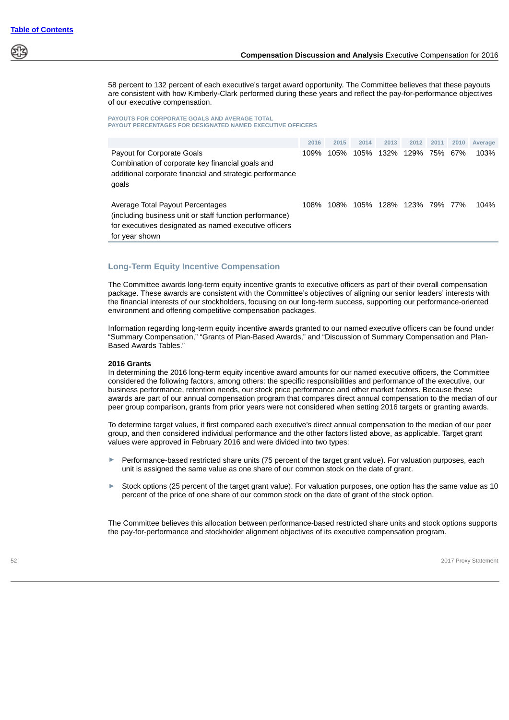58 percent to 132 percent of each executive's target award opportunity. The Committee believes that these payouts are consistent with how Kimberly-Clark performed during these years and reflect the pay-for-performance objectives of our executive compensation.

#### **PAYOUTS FOR CORPORATE GOALS AND AVERAGE TOTAL PAYOUT PERCENTAGES FOR DESIGNATED NAMED EXECUTIVE OFFICERS**

|                                                                                                                                                                        | 2016 | 2015 | 2014 | 2013 | 2012 | 2011 | 2010 | Average |
|------------------------------------------------------------------------------------------------------------------------------------------------------------------------|------|------|------|------|------|------|------|---------|
| Payout for Corporate Goals<br>Combination of corporate key financial goals and<br>additional corporate financial and strategic performance<br>goals                    | 109% | 105% | 105% | 132% | 129% | 75%  | 67%  | 103%    |
| Average Total Payout Percentages<br>(including business unit or staff function performance)<br>for executives designated as named executive officers<br>for year shown | 108% | 108% | 105% | 128% | 123% | 79%  | 77%  | 104%    |

# **Long-Term Equity Incentive Compensation**

The Committee awards long-term equity incentive grants to executive officers as part of their overall compensation package. These awards are consistent with the Committee's objectives of aligning our senior leaders' interests with the financial interests of our stockholders, focusing on our long-term success, supporting our performance-oriented environment and offering competitive compensation packages.

Information regarding long-term equity incentive awards granted to our named executive officers can be found under "Summary Compensation," "Grants of Plan-Based Awards," and "Discussion of Summary Compensation and Plan-Based Awards Tables."

## **2016 Grants**

In determining the 2016 long-term equity incentive award amounts for our named executive officers, the Committee considered the following factors, among others: the specific responsibilities and performance of the executive, our business performance, retention needs, our stock price performance and other market factors. Because these awards are part of our annual compensation program that compares direct annual compensation to the median of our peer group comparison, grants from prior years were not considered when setting 2016 targets or granting awards.

To determine target values, it first compared each executive's direct annual compensation to the median of our peer group, and then considered individual performance and the other factors listed above, as applicable. Target grant values were approved in February 2016 and were divided into two types:

- ► Performance-based restricted share units (75 percent of the target grant value). For valuation purposes, each unit is assigned the same value as one share of our common stock on the date of grant.
- ► Stock options (25 percent of the target grant value). For valuation purposes, one option has the same value as 10 percent of the price of one share of our common stock on the date of grant of the stock option.

The Committee believes this allocation between performance-based restricted share units and stock options supports the pay-for-performance and stockholder alignment objectives of its executive compensation program.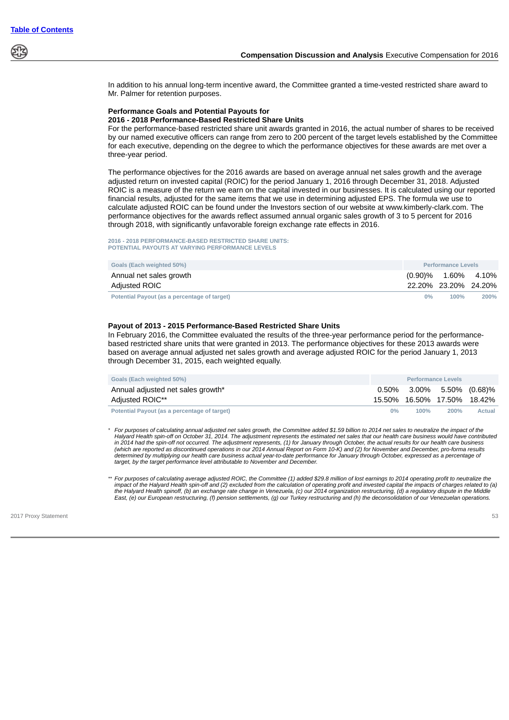

In addition to his annual long-term incentive award, the Committee granted a time-vested restricted share award to Mr. Palmer for retention purposes.

#### **Performance Goals and Potential Payouts for 2016 - 2018 Performance-Based Restricted Share Units**

For the performance-based restricted share unit awards granted in 2016, the actual number of shares to be received by our named executive officers can range from zero to 200 percent of the target levels established by the Committee for each executive, depending on the degree to which the performance objectives for these awards are met over a three-year period.

The performance objectives for the 2016 awards are based on average annual net sales growth and the average adjusted return on invested capital (ROIC) for the period January 1, 2016 through December 31, 2018. Adjusted ROIC is a measure of the return we earn on the capital invested in our businesses. It is calculated using our reported financial results, adjusted for the same items that we use in determining adjusted EPS. The formula we use to calculate adjusted ROIC can be found under the Investors section of our website at www.kimberly-clark.com. The performance objectives for the awards reflect assumed annual organic sales growth of 3 to 5 percent for 2016 through 2018, with significantly unfavorable foreign exchange rate effects in 2016.

**2016 - 2018 PERFORMANCE-BASED RESTRICTED SHARE UNITS: POTENTIAL PAYOUTS AT VARYING PERFORMANCE LEVELS**

| Goals (Each weighted 50%)                    | <b>Performance Levels</b> |                        |      |
|----------------------------------------------|---------------------------|------------------------|------|
| Annual net sales growth                      |                           | $(0.90)\%$ 1.60% 4.10% |      |
| Adjusted ROIC                                |                           | 22.20% 23.20% 24.20%   |      |
| Potential Payout (as a percentage of target) | $0\%$                     | 100%                   | 200% |

## **Payout of 2013 - 2015 Performance-Based Restricted Share Units**

In February 2016, the Committee evaluated the results of the three-year performance period for the performancebased restricted share units that were granted in 2013. The performance objectives for these 2013 awards were based on average annual adjusted net sales growth and average adjusted ROIC for the period January 1, 2013 through December 31, 2015, each weighted equally.

| Goals (Each weighted 50%)                    | <b>Performance Levels</b> |      |                              |        |  |
|----------------------------------------------|---------------------------|------|------------------------------|--------|--|
| Annual adjusted net sales growth*            |                           |      | $0.50\%$ 3.00% 5.50% (0.68)% |        |  |
| Adjusted ROIC**                              |                           |      | 15.50% 16.50% 17.50% 18.42%  |        |  |
| Potential Payout (as a percentage of target) | 0%                        | 100% | 200%                         | Actual |  |

*\* For purposes of calculating annual adjusted net sales growth, the Committee added \$1.59 billion to 2014 net sales to neutralize the impact of the Halyard Health spin-off on October 31, 2014. The adjustment represents the estimated net sales that our health care business would have contributed* in 2014 had the spin-off not occurred. The adjustment represents, (1) for January through October, the actual results for our health care business<br>(which are reported as discontinued operations in our 2014 Annual Report on *determined by multiplying our health care business actual year-to-date performance for January through October, expressed as a percentage of target, by the target performance level attributable to November and December.*

*\*\* For purposes of calculating average adjusted ROIC, the Committee (1) added \$29.8 million of lost earnings to 2014 operating profit to neutralize the impact of the Halyard Health spin-off and (2) excluded from the calculation of operating profit and invested capital the impacts of charges related to (a)* the Halyard Health spinoff, (b) an exchange rate change in Venezuela, (c) our 2014 organization restructuring, (d) a regulatory dispute in the Middle<br>East, (e) our European restructuring, (f) pension settlements, (g) our T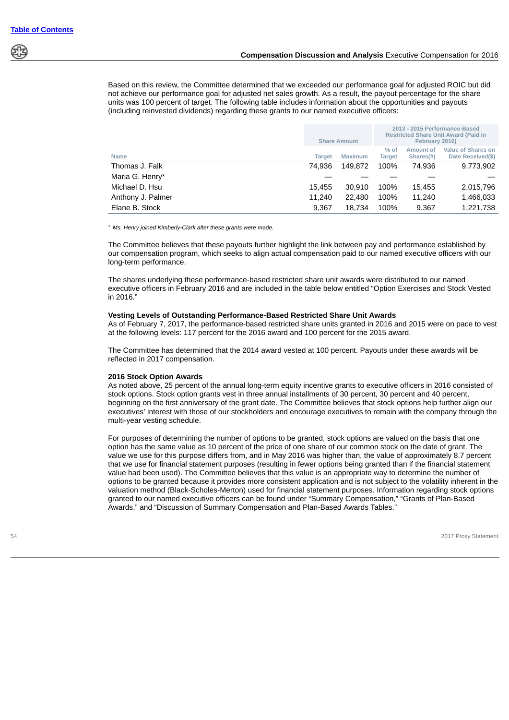Based on this review, the Committee determined that we exceeded our performance goal for adjusted ROIC but did not achieve our performance goal for adjusted net sales growth. As a result, the payout percentage for the share units was 100 percent of target. The following table includes information about the opportunities and payouts (including reinvested dividends) regarding these grants to our named executive officers:

|                   |               | <b>Share Amount</b> | 2013 - 2015 Performance-Based<br><b>Restricted Share Unit Award (Paid in</b><br>February 2016) |                            |                                                |  |
|-------------------|---------------|---------------------|------------------------------------------------------------------------------------------------|----------------------------|------------------------------------------------|--|
| <b>Name</b>       | <b>Target</b> | <b>Maximum</b>      | $%$ of<br><b>Target</b>                                                                        | Amount of<br>Shares $(\#)$ | <b>Value of Shares on</b><br>Date Received(\$) |  |
| Thomas J. Falk    | 74.936        | 149.872             | 100%                                                                                           | 74.936                     | 9,773,902                                      |  |
| Maria G. Henry*   |               |                     |                                                                                                |                            |                                                |  |
| Michael D. Hsu    | 15.455        | 30.910              | 100%                                                                                           | 15.455                     | 2,015,796                                      |  |
| Anthony J. Palmer | 11.240        | 22,480              | 100%                                                                                           | 11,240                     | 1,466,033                                      |  |
| Elane B. Stock    | 9,367         | 18.734              | 100%                                                                                           | 9.367                      | 1.221.738                                      |  |

*\* Ms. Henry joined Kimberly-Clark after these grants were made.*

The Committee believes that these payouts further highlight the link between pay and performance established by our compensation program, which seeks to align actual compensation paid to our named executive officers with our long-term performance.

The shares underlying these performance-based restricted share unit awards were distributed to our named executive officers in February 2016 and are included in the table below entitled "Option Exercises and Stock Vested in 2016."

## **Vesting Levels of Outstanding Performance-Based Restricted Share Unit Awards**

As of February 7, 2017, the performance-based restricted share units granted in 2016 and 2015 were on pace to vest at the following levels: 117 percent for the 2016 award and 100 percent for the 2015 award.

The Committee has determined that the 2014 award vested at 100 percent. Payouts under these awards will be reflected in 2017 compensation.

#### **2016 Stock Option Awards**

As noted above, 25 percent of the annual long-term equity incentive grants to executive officers in 2016 consisted of stock options. Stock option grants vest in three annual installments of 30 percent, 30 percent and 40 percent, beginning on the first anniversary of the grant date. The Committee believes that stock options help further align our executives' interest with those of our stockholders and encourage executives to remain with the company through the multi-year vesting schedule.

For purposes of determining the number of options to be granted, stock options are valued on the basis that one option has the same value as 10 percent of the price of one share of our common stock on the date of grant. The value we use for this purpose differs from, and in May 2016 was higher than, the value of approximately 8.7 percent that we use for financial statement purposes (resulting in fewer options being granted than if the financial statement value had been used). The Committee believes that this value is an appropriate way to determine the number of options to be granted because it provides more consistent application and is not subject to the volatility inherent in the valuation method (Black-Scholes-Merton) used for financial statement purposes. Information regarding stock options granted to our named executive officers can be found under "Summary Compensation," "Grants of Plan-Based Awards," and "Discussion of Summary Compensation and Plan-Based Awards Tables."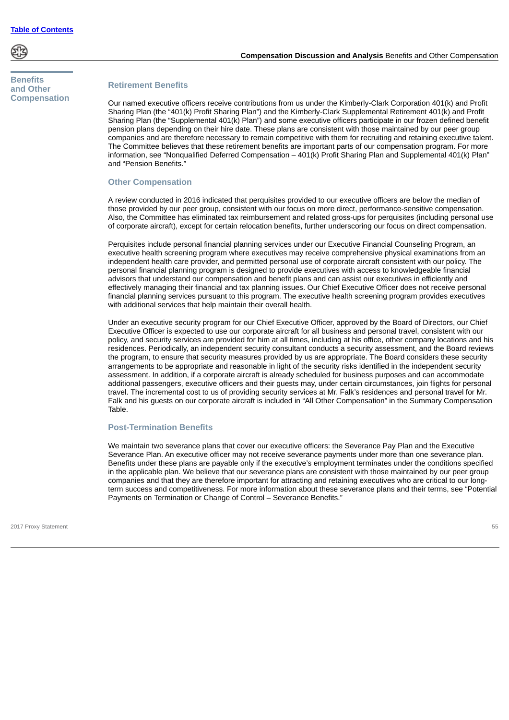

# **Benefits and Other Compensation**

# **Retirement Benefits**

Our named executive officers receive contributions from us under the Kimberly-Clark Corporation 401(k) and Profit Sharing Plan (the "401(k) Profit Sharing Plan") and the Kimberly-Clark Supplemental Retirement 401(k) and Profit Sharing Plan (the "Supplemental 401(k) Plan") and some executive officers participate in our frozen defined benefit pension plans depending on their hire date. These plans are consistent with those maintained by our peer group companies and are therefore necessary to remain competitive with them for recruiting and retaining executive talent. The Committee believes that these retirement benefits are important parts of our compensation program. For more information, see "Nonqualified Deferred Compensation – 401(k) Profit Sharing Plan and Supplemental 401(k) Plan" and "Pension Benefits."

## **Other Compensation**

A review conducted in 2016 indicated that perquisites provided to our executive officers are below the median of those provided by our peer group, consistent with our focus on more direct, performance-sensitive compensation. Also, the Committee has eliminated tax reimbursement and related gross-ups for perquisites (including personal use of corporate aircraft), except for certain relocation benefits, further underscoring our focus on direct compensation.

Perquisites include personal financial planning services under our Executive Financial Counseling Program, an executive health screening program where executives may receive comprehensive physical examinations from an independent health care provider, and permitted personal use of corporate aircraft consistent with our policy. The personal financial planning program is designed to provide executives with access to knowledgeable financial advisors that understand our compensation and benefit plans and can assist our executives in efficiently and effectively managing their financial and tax planning issues. Our Chief Executive Officer does not receive personal financial planning services pursuant to this program. The executive health screening program provides executives with additional services that help maintain their overall health.

Under an executive security program for our Chief Executive Officer, approved by the Board of Directors, our Chief Executive Officer is expected to use our corporate aircraft for all business and personal travel, consistent with our policy, and security services are provided for him at all times, including at his office, other company locations and his residences. Periodically, an independent security consultant conducts a security assessment, and the Board reviews the program, to ensure that security measures provided by us are appropriate. The Board considers these security arrangements to be appropriate and reasonable in light of the security risks identified in the independent security assessment. In addition, if a corporate aircraft is already scheduled for business purposes and can accommodate additional passengers, executive officers and their guests may, under certain circumstances, join flights for personal travel. The incremental cost to us of providing security services at Mr. Falk's residences and personal travel for Mr. Falk and his guests on our corporate aircraft is included in "All Other Compensation" in the Summary Compensation Table.

# **Post-Termination Benefits**

We maintain two severance plans that cover our executive officers: the Severance Pay Plan and the Executive Severance Plan. An executive officer may not receive severance payments under more than one severance plan. Benefits under these plans are payable only if the executive's employment terminates under the conditions specified in the applicable plan. We believe that our severance plans are consistent with those maintained by our peer group companies and that they are therefore important for attracting and retaining executives who are critical to our longterm success and competitiveness. For more information about these severance plans and their terms, see "Potential Payments on Termination or Change of Control – Severance Benefits."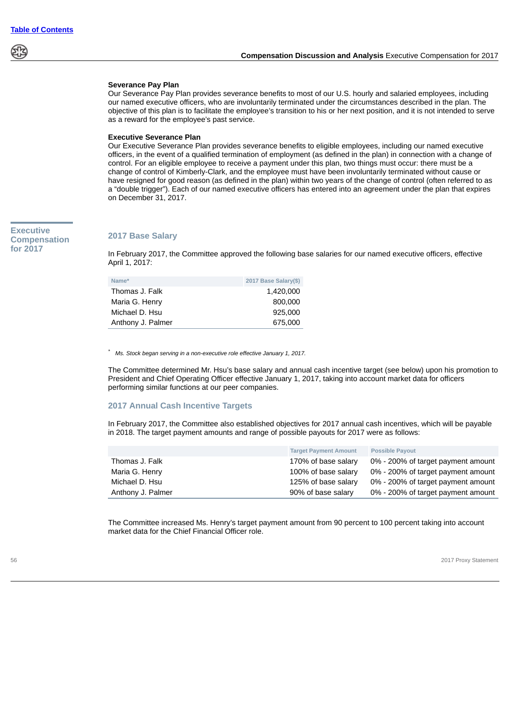

# **Severance Pay Plan**

Our Severance Pay Plan provides severance benefits to most of our U.S. hourly and salaried employees, including our named executive officers, who are involuntarily terminated under the circumstances described in the plan. The objective of this plan is to facilitate the employee's transition to his or her next position, and it is not intended to serve as a reward for the employee's past service.

### **Executive Severance Plan**

Our Executive Severance Plan provides severance benefits to eligible employees, including our named executive officers, in the event of a qualified termination of employment (as defined in the plan) in connection with a change of control. For an eligible employee to receive a payment under this plan, two things must occur: there must be a change of control of Kimberly-Clark, and the employee must have been involuntarily terminated without cause or have resigned for good reason (as defined in the plan) within two years of the change of control (often referred to as a "double trigger"). Each of our named executive officers has entered into an agreement under the plan that expires on December 31, 2017.

# **Executive Compensation for 2017**

## **2017 Base Salary**

In February 2017, the Committee approved the following base salaries for our named executive officers, effective April 1, 2017:

| Name*             | 2017 Base Salary(\$) |
|-------------------|----------------------|
| Thomas J. Falk    | 1.420.000            |
| Maria G. Henry    | 800,000              |
| Michael D. Hsu    | 925,000              |
| Anthony J. Palmer | 675,000              |

*\* Ms. Stock began serving in a non-executive role effective January 1, 2017.*

The Committee determined Mr. Hsu's base salary and annual cash incentive target (see below) upon his promotion to President and Chief Operating Officer effective January 1, 2017, taking into account market data for officers performing similar functions at our peer companies.

### **2017 Annual Cash Incentive Targets**

In February 2017, the Committee also established objectives for 2017 annual cash incentives, which will be payable in 2018. The target payment amounts and range of possible payouts for 2017 were as follows:

|                   | <b>Target Payment Amount</b> | <b>Possible Payout</b>             |
|-------------------|------------------------------|------------------------------------|
| Thomas J. Falk    | 170% of base salary          | 0% - 200% of target payment amount |
| Maria G. Henry    | 100% of base salary          | 0% - 200% of target payment amount |
| Michael D. Hsu    | 125% of base salary          | 0% - 200% of target payment amount |
| Anthony J. Palmer | 90% of base salary           | 0% - 200% of target payment amount |

The Committee increased Ms. Henry's target payment amount from 90 percent to 100 percent taking into account market data for the Chief Financial Officer role.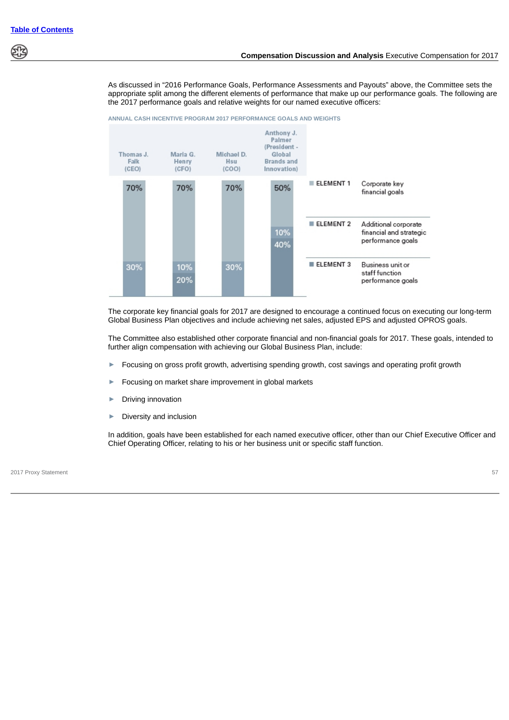As discussed in "2016 Performance Goals, Performance Assessments and Payouts" above, the Committee sets the appropriate split among the different elements of performance that make up our performance goals. The following are the 2017 performance goals and relative weights for our named executive officers:



The corporate key financial goals for 2017 are designed to encourage a continued focus on executing our long-term Global Business Plan objectives and include achieving net sales, adjusted EPS and adjusted OPROS goals.

The Committee also established other corporate financial and non-financial goals for 2017. These goals, intended to further align compensation with achieving our Global Business Plan, include:

- Focusing on gross profit growth, advertising spending growth, cost savings and operating profit growth
- ► Focusing on market share improvement in global markets
- ► Driving innovation
- ► Diversity and inclusion

In addition, goals have been established for each named executive officer, other than our Chief Executive Officer and Chief Operating Officer, relating to his or her business unit or specific staff function.

2017 Proxy Statement 57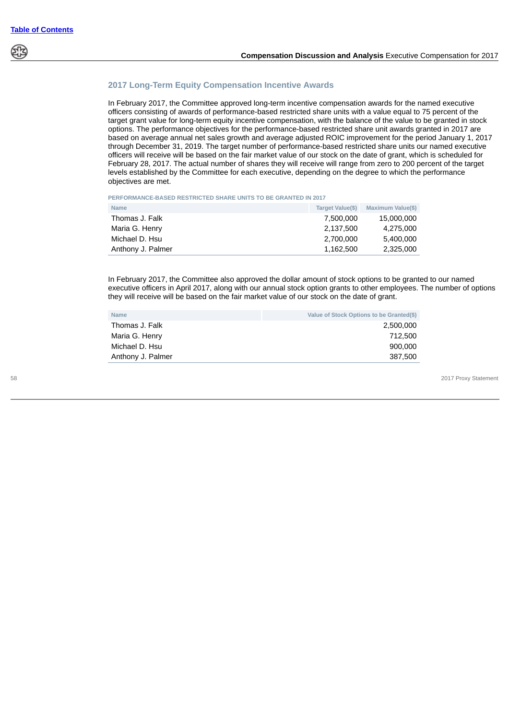

# **2017 Long-Term Equity Compensation Incentive Awards**

In February 2017, the Committee approved long-term incentive compensation awards for the named executive officers consisting of awards of performance-based restricted share units with a value equal to 75 percent of the target grant value for long-term equity incentive compensation, with the balance of the value to be granted in stock options. The performance objectives for the performance-based restricted share unit awards granted in 2017 are based on average annual net sales growth and average adjusted ROIC improvement for the period January 1, 2017 through December 31, 2019. The target number of performance-based restricted share units our named executive officers will receive will be based on the fair market value of our stock on the date of grant, which is scheduled for February 28, 2017. The actual number of shares they will receive will range from zero to 200 percent of the target levels established by the Committee for each executive, depending on the degree to which the performance objectives are met.

**PERFORMANCE-BASED RESTRICTED SHARE UNITS TO BE GRANTED IN 2017**

| <b>Name</b>       | Target Value(\$) | Maximum Value(\$) |
|-------------------|------------------|-------------------|
| Thomas J. Falk    | 7.500.000        | 15.000.000        |
| Maria G. Henry    | 2.137.500        | 4.275.000         |
| Michael D. Hsu    | 2.700.000        | 5.400.000         |
| Anthony J. Palmer | 1.162.500        | 2.325.000         |

In February 2017, the Committee also approved the dollar amount of stock options to be granted to our named executive officers in April 2017, along with our annual stock option grants to other employees. The number of options they will receive will be based on the fair market value of our stock on the date of grant.

| <b>Name</b>       | Value of Stock Options to be Granted(\$) |
|-------------------|------------------------------------------|
| Thomas J. Falk    | 2.500.000                                |
| Maria G. Henry    | 712.500                                  |
| Michael D. Hsu    | 900.000                                  |
| Anthony J. Palmer | 387.500                                  |
|                   |                                          |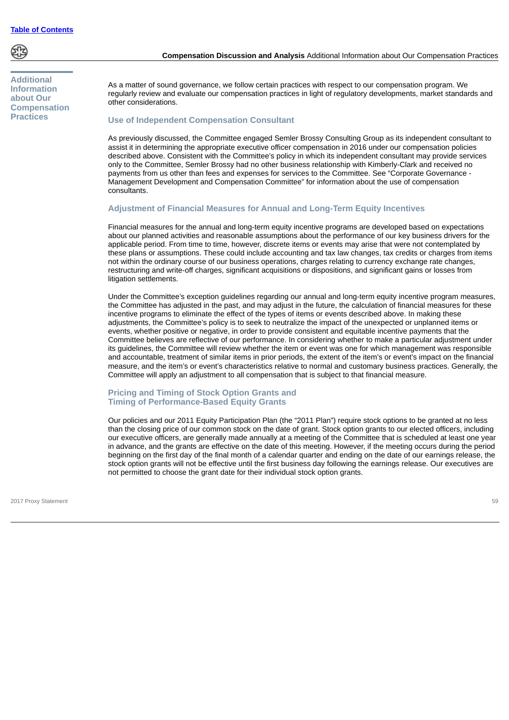

**Additional Information about Our Compensation Practices**

## **Compensation Discussion and Analysis** Additional Information about Our Compensation Practices

As a matter of sound governance, we follow certain practices with respect to our compensation program. We regularly review and evaluate our compensation practices in light of regulatory developments, market standards and other considerations.

## **Use of Independent Compensation Consultant**

As previously discussed, the Committee engaged Semler Brossy Consulting Group as its independent consultant to assist it in determining the appropriate executive officer compensation in 2016 under our compensation policies described above. Consistent with the Committee's policy in which its independent consultant may provide services only to the Committee, Semler Brossy had no other business relationship with Kimberly-Clark and received no payments from us other than fees and expenses for services to the Committee. See "Corporate Governance - Management Development and Compensation Committee" for information about the use of compensation consultants.

## **Adjustment of Financial Measures for Annual and Long-Term Equity Incentives**

Financial measures for the annual and long-term equity incentive programs are developed based on expectations about our planned activities and reasonable assumptions about the performance of our key business drivers for the applicable period. From time to time, however, discrete items or events may arise that were not contemplated by these plans or assumptions. These could include accounting and tax law changes, tax credits or charges from items not within the ordinary course of our business operations, charges relating to currency exchange rate changes, restructuring and write-off charges, significant acquisitions or dispositions, and significant gains or losses from litigation settlements.

Under the Committee's exception guidelines regarding our annual and long-term equity incentive program measures, the Committee has adjusted in the past, and may adjust in the future, the calculation of financial measures for these incentive programs to eliminate the effect of the types of items or events described above. In making these adjustments, the Committee's policy is to seek to neutralize the impact of the unexpected or unplanned items or events, whether positive or negative, in order to provide consistent and equitable incentive payments that the Committee believes are reflective of our performance. In considering whether to make a particular adjustment under its guidelines, the Committee will review whether the item or event was one for which management was responsible and accountable, treatment of similar items in prior periods, the extent of the item's or event's impact on the financial measure, and the item's or event's characteristics relative to normal and customary business practices. Generally, the Committee will apply an adjustment to all compensation that is subject to that financial measure.

## **Pricing and Timing of Stock Option Grants and Timing of Performance-Based Equity Grants**

Our policies and our 2011 Equity Participation Plan (the "2011 Plan") require stock options to be granted at no less than the closing price of our common stock on the date of grant. Stock option grants to our elected officers, including our executive officers, are generally made annually at a meeting of the Committee that is scheduled at least one year in advance, and the grants are effective on the date of this meeting. However, if the meeting occurs during the period beginning on the first day of the final month of a calendar quarter and ending on the date of our earnings release, the stock option grants will not be effective until the first business day following the earnings release. Our executives are not permitted to choose the grant date for their individual stock option grants.

2017 Proxy Statement 59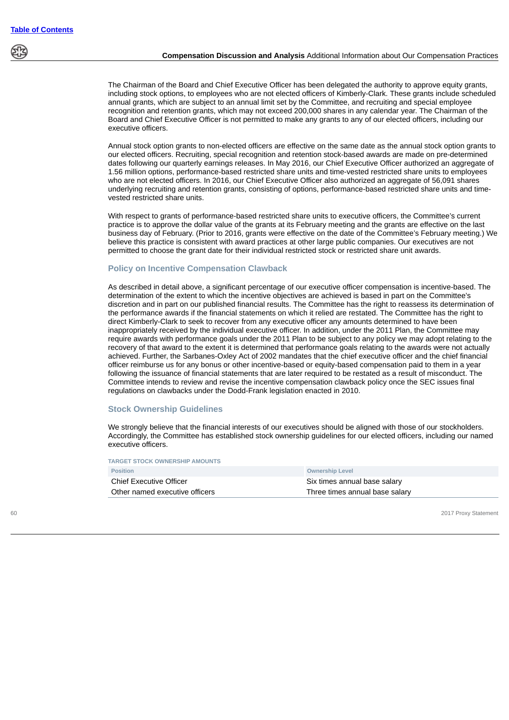

# **Compensation Discussion and Analysis** Additional Information about Our Compensation Practices

The Chairman of the Board and Chief Executive Officer has been delegated the authority to approve equity grants, including stock options, to employees who are not elected officers of Kimberly-Clark. These grants include scheduled annual grants, which are subject to an annual limit set by the Committee, and recruiting and special employee recognition and retention grants, which may not exceed 200,000 shares in any calendar year. The Chairman of the Board and Chief Executive Officer is not permitted to make any grants to any of our elected officers, including our executive officers.

Annual stock option grants to non-elected officers are effective on the same date as the annual stock option grants to our elected officers. Recruiting, special recognition and retention stock-based awards are made on pre-determined dates following our quarterly earnings releases. In May 2016, our Chief Executive Officer authorized an aggregate of 1.56 million options, performance-based restricted share units and time-vested restricted share units to employees who are not elected officers. In 2016, our Chief Executive Officer also authorized an aggregate of 56,091 shares underlying recruiting and retention grants, consisting of options, performance-based restricted share units and timevested restricted share units.

With respect to grants of performance-based restricted share units to executive officers, the Committee's current practice is to approve the dollar value of the grants at its February meeting and the grants are effective on the last business day of February. (Prior to 2016, grants were effective on the date of the Committee's February meeting.) We believe this practice is consistent with award practices at other large public companies. Our executives are not permitted to choose the grant date for their individual restricted stock or restricted share unit awards.

# **Policy on Incentive Compensation Clawback**

As described in detail above, a significant percentage of our executive officer compensation is incentive-based. The determination of the extent to which the incentive objectives are achieved is based in part on the Committee's discretion and in part on our published financial results. The Committee has the right to reassess its determination of the performance awards if the financial statements on which it relied are restated. The Committee has the right to direct Kimberly-Clark to seek to recover from any executive officer any amounts determined to have been inappropriately received by the individual executive officer. In addition, under the 2011 Plan, the Committee may require awards with performance goals under the 2011 Plan to be subject to any policy we may adopt relating to the recovery of that award to the extent it is determined that performance goals relating to the awards were not actually achieved. Further, the Sarbanes-Oxley Act of 2002 mandates that the chief executive officer and the chief financial officer reimburse us for any bonus or other incentive-based or equity-based compensation paid to them in a year following the issuance of financial statements that are later required to be restated as a result of misconduct. The Committee intends to review and revise the incentive compensation clawback policy once the SEC issues final regulations on clawbacks under the Dodd-Frank legislation enacted in 2010.

### **Stock Ownership Guidelines**

We strongly believe that the financial interests of our executives should be aligned with those of our stockholders. Accordingly, the Committee has established stock ownership guidelines for our elected officers, including our named executive officers.

**TARGET STOCK OWNERSHIP AMOUNTS**

| <b>Position</b>                | <b>Ownership Level</b>         |
|--------------------------------|--------------------------------|
| <b>Chief Executive Officer</b> | Six times annual base salary   |
| Other named executive officers | Three times annual base salary |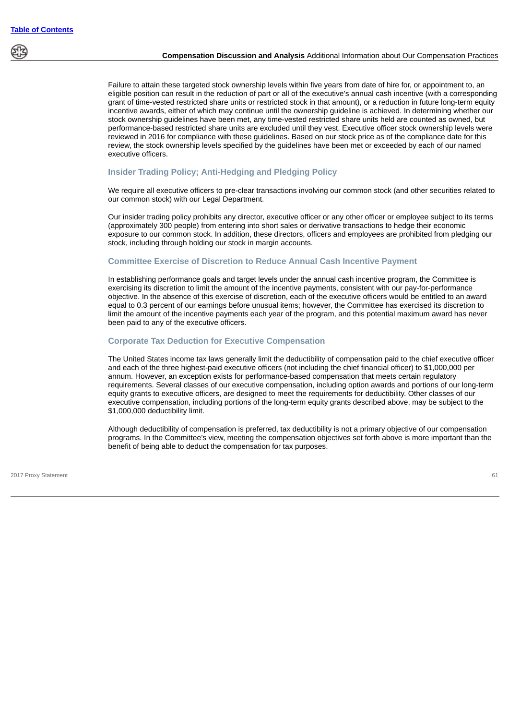

## **Compensation Discussion and Analysis** Additional Information about Our Compensation Practices

Failure to attain these targeted stock ownership levels within five years from date of hire for, or appointment to, an eligible position can result in the reduction of part or all of the executive's annual cash incentive (with a corresponding grant of time-vested restricted share units or restricted stock in that amount), or a reduction in future long-term equity incentive awards, either of which may continue until the ownership guideline is achieved. In determining whether our stock ownership guidelines have been met, any time-vested restricted share units held are counted as owned, but performance-based restricted share units are excluded until they vest. Executive officer stock ownership levels were reviewed in 2016 for compliance with these guidelines. Based on our stock price as of the compliance date for this review, the stock ownership levels specified by the guidelines have been met or exceeded by each of our named executive officers.

## **Insider Trading Policy; Anti-Hedging and Pledging Policy**

We require all executive officers to pre-clear transactions involving our common stock (and other securities related to our common stock) with our Legal Department.

Our insider trading policy prohibits any director, executive officer or any other officer or employee subject to its terms (approximately 300 people) from entering into short sales or derivative transactions to hedge their economic exposure to our common stock. In addition, these directors, officers and employees are prohibited from pledging our stock, including through holding our stock in margin accounts.

## **Committee Exercise of Discretion to Reduce Annual Cash Incentive Payment**

In establishing performance goals and target levels under the annual cash incentive program, the Committee is exercising its discretion to limit the amount of the incentive payments, consistent with our pay-for-performance objective. In the absence of this exercise of discretion, each of the executive officers would be entitled to an award equal to 0.3 percent of our earnings before unusual items; however, the Committee has exercised its discretion to limit the amount of the incentive payments each year of the program, and this potential maximum award has never been paid to any of the executive officers.

# **Corporate Tax Deduction for Executive Compensation**

The United States income tax laws generally limit the deductibility of compensation paid to the chief executive officer and each of the three highest-paid executive officers (not including the chief financial officer) to \$1,000,000 per annum. However, an exception exists for performance-based compensation that meets certain regulatory requirements. Several classes of our executive compensation, including option awards and portions of our long-term equity grants to executive officers, are designed to meet the requirements for deductibility. Other classes of our executive compensation, including portions of the long-term equity grants described above, may be subject to the \$1,000,000 deductibility limit.

Although deductibility of compensation is preferred, tax deductibility is not a primary objective of our compensation programs. In the Committee's view, meeting the compensation objectives set forth above is more important than the benefit of being able to deduct the compensation for tax purposes.

2017 Proxy Statement 61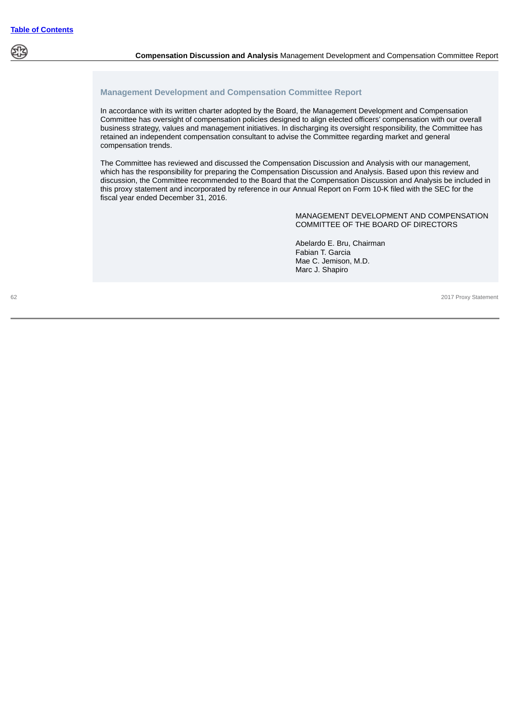

# **Management Development and Compensation Committee Report**

In accordance with its written charter adopted by the Board, the Management Development and Compensation Committee has oversight of compensation policies designed to align elected officers' compensation with our overall business strategy, values and management initiatives. In discharging its oversight responsibility, the Committee has retained an independent compensation consultant to advise the Committee regarding market and general compensation trends.

The Committee has reviewed and discussed the Compensation Discussion and Analysis with our management, which has the responsibility for preparing the Compensation Discussion and Analysis. Based upon this review and discussion, the Committee recommended to the Board that the Compensation Discussion and Analysis be included in this proxy statement and incorporated by reference in our Annual Report on Form 10-K filed with the SEC for the fiscal year ended December 31, 2016.

#### MANAGEMENT DEVELOPMENT AND COMPENSATION COMMITTEE OF THE BOARD OF DIRECTORS

Abelardo E. Bru, Chairman Fabian T. Garcia Mae C. Jemison, M.D. Marc J. Shapiro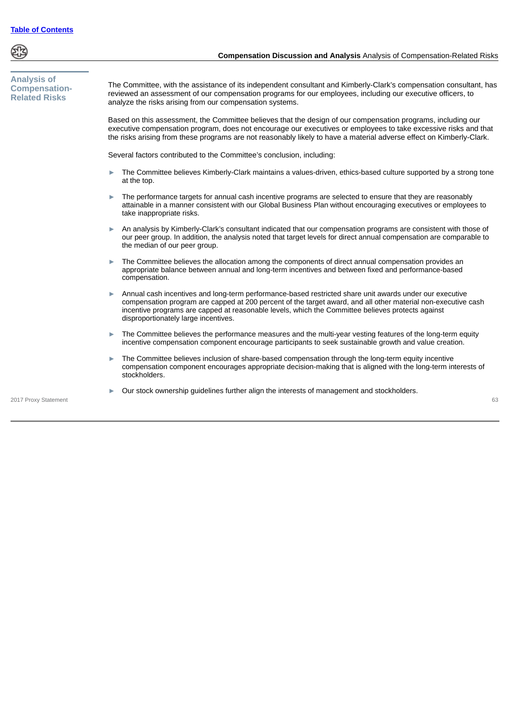

| <b>Analysis of</b><br><b>Compensation-</b><br><b>Related Risks</b> | The Committee, with the assistance of its independent consultant and Kimberly-Clark's compensation consultant, has<br>reviewed an assessment of our compensation programs for our employees, including our executive officers, to<br>analyze the risks arising from our compensation systems.                                                                         |  |  |  |  |  |  |  |
|--------------------------------------------------------------------|-----------------------------------------------------------------------------------------------------------------------------------------------------------------------------------------------------------------------------------------------------------------------------------------------------------------------------------------------------------------------|--|--|--|--|--|--|--|
|                                                                    | Based on this assessment, the Committee believes that the design of our compensation programs, including our<br>executive compensation program, does not encourage our executives or employees to take excessive risks and that<br>the risks arising from these programs are not reasonably likely to have a material adverse effect on Kimberly-Clark.               |  |  |  |  |  |  |  |
|                                                                    | Several factors contributed to the Committee's conclusion, including:                                                                                                                                                                                                                                                                                                 |  |  |  |  |  |  |  |
|                                                                    | The Committee believes Kimberly-Clark maintains a values-driven, ethics-based culture supported by a strong tone<br>at the top.                                                                                                                                                                                                                                       |  |  |  |  |  |  |  |
|                                                                    | The performance targets for annual cash incentive programs are selected to ensure that they are reasonably<br>attainable in a manner consistent with our Global Business Plan without encouraging executives or employees to<br>take inappropriate risks.                                                                                                             |  |  |  |  |  |  |  |
|                                                                    | An analysis by Kimberly-Clark's consultant indicated that our compensation programs are consistent with those of<br>our peer group. In addition, the analysis noted that target levels for direct annual compensation are comparable to<br>the median of our peer group.                                                                                              |  |  |  |  |  |  |  |
|                                                                    | The Committee believes the allocation among the components of direct annual compensation provides an<br>appropriate balance between annual and long-term incentives and between fixed and performance-based<br>compensation.                                                                                                                                          |  |  |  |  |  |  |  |
|                                                                    | Annual cash incentives and long-term performance-based restricted share unit awards under our executive<br>compensation program are capped at 200 percent of the target award, and all other material non-executive cash<br>incentive programs are capped at reasonable levels, which the Committee believes protects against<br>disproportionately large incentives. |  |  |  |  |  |  |  |
|                                                                    | The Committee believes the performance measures and the multi-year vesting features of the long-term equity<br>▶<br>incentive compensation component encourage participants to seek sustainable growth and value creation.                                                                                                                                            |  |  |  |  |  |  |  |
|                                                                    | The Committee believes inclusion of share-based compensation through the long-term equity incentive<br>compensation component encourages appropriate decision-making that is aligned with the long-term interests of                                                                                                                                                  |  |  |  |  |  |  |  |

stockholders.

► Our stock ownership guidelines further align the interests of management and stockholders.

2017 Proxy Statement 63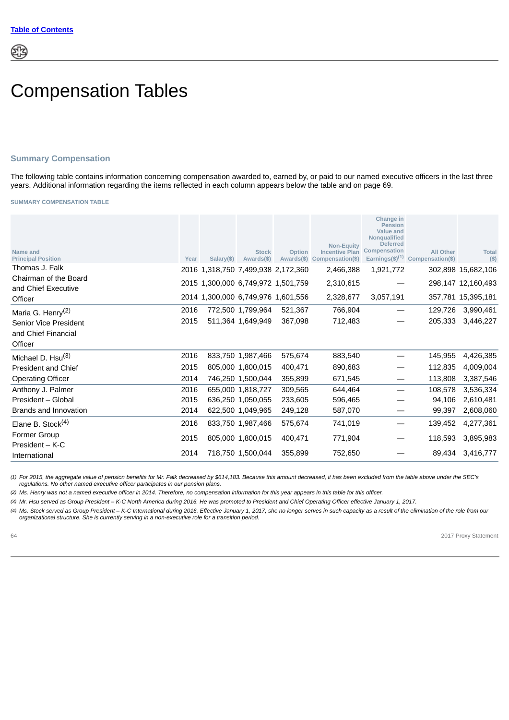# Compensation Tables

# **Summary Compensation**

The following table contains information concerning compensation awarded to, earned by, or paid to our named executive officers in the last three years. Additional information regarding the items reflected in each column appears below the table and on page 69.

**SUMMARY COMPENSATION TABLE**

| Name and<br><b>Principal Position</b>        | Year | $Salary(\$)$                       | <b>Stock</b><br>Awards(\$) | Option<br>Awards(\$)               | <b>Non-Equity</b><br><b>Incentive Plan</b><br>Compensation(\$) | Change in<br>Pension<br>Value and<br><b>Nongualified</b><br><b>Deferred</b><br><b>Compensation</b> | <b>All Other</b><br>Earnings $(\$)^{(1)}$ Compensation(\$) | <b>Total</b><br>(S) |
|----------------------------------------------|------|------------------------------------|----------------------------|------------------------------------|----------------------------------------------------------------|----------------------------------------------------------------------------------------------------|------------------------------------------------------------|---------------------|
| Thomas J. Falk                               |      |                                    |                            | 2016 1,318,750 7,499,938 2,172,360 | 2,466,388                                                      | 1,921,772                                                                                          |                                                            | 302,898 15,682,106  |
| Chairman of the Board<br>and Chief Executive |      | 2015 1,300,000 6,749,972 1,501,759 |                            |                                    | 2,310,615                                                      |                                                                                                    |                                                            | 298,147 12,160,493  |
| Officer                                      |      |                                    |                            | 2014 1,300,000 6,749,976 1,601,556 | 2,328,677                                                      | 3,057,191                                                                                          |                                                            | 357,781 15,395,181  |
| Maria G. Henry <sup>(2)</sup>                | 2016 |                                    | 772,500 1,799,964          | 521,367                            | 766,904                                                        |                                                                                                    | 129.726                                                    | 3,990,461           |
| Senior Vice President                        | 2015 |                                    | 511,364 1,649,949          | 367,098                            | 712,483                                                        |                                                                                                    | 205.333                                                    | 3,446,227           |
| and Chief Financial                          |      |                                    |                            |                                    |                                                                |                                                                                                    |                                                            |                     |
| Officer                                      |      |                                    |                            |                                    |                                                                |                                                                                                    |                                                            |                     |
| Michael D. Hsu <sup>(3)</sup>                | 2016 |                                    | 833,750 1,987,466          | 575.674                            | 883,540                                                        |                                                                                                    | 145,955                                                    | 4,426,385           |
| <b>President and Chief</b>                   | 2015 |                                    | 805,000 1,800,015          | 400,471                            | 890,683                                                        |                                                                                                    | 112.835                                                    | 4,009,004           |
| <b>Operating Officer</b>                     | 2014 |                                    | 746,250 1,500,044          | 355,899                            | 671,545                                                        |                                                                                                    | 113,808                                                    | 3,387,546           |
| Anthony J. Palmer                            | 2016 |                                    | 655,000 1,818,727          | 309,565                            | 644,464                                                        |                                                                                                    | 108,578                                                    | 3,536,334           |
| President - Global                           | 2015 |                                    | 636,250 1,050,055          | 233,605                            | 596,465                                                        |                                                                                                    | 94,106                                                     | 2,610,481           |
| Brands and Innovation                        | 2014 |                                    | 622,500 1,049,965          | 249,128                            | 587,070                                                        |                                                                                                    | 99.397                                                     | 2,608,060           |
| Elane B. Stock $(4)$                         | 2016 |                                    | 833,750 1,987,466          | 575,674                            | 741,019                                                        |                                                                                                    | 139,452                                                    | 4,277,361           |
| <b>Former Group</b><br>$President - K-C$     | 2015 |                                    | 805,000 1,800,015          | 400,471                            | 771,904                                                        |                                                                                                    | 118,593                                                    | 3,895,983           |
| International                                | 2014 |                                    | 718,750 1,500,044          | 355,899                            | 752,650                                                        |                                                                                                    | 89,434                                                     | 3,416,777           |

*(1) For 2015, the aggregate value of pension benefits for Mr. Falk decreased by \$614,183. Because this amount decreased, it has been excluded from the table above under the SEC's regulations. No other named executive officer participates in our pension plans.*

*(2) Ms. Henry was not a named executive officer in 2014. Therefore, no compensation information for this year appears in this table for this officer.*

*(3) Mr. Hsu served as Group President – K-C North America during 2016. He was promoted to President and Chief Operating Officer effective January 1, 2017.*

*(4) Ms. Stock served as Group President – K-C International during 2016. Effective January 1, 2017, she no longer serves in such capacity as a result of the elimination of the role from our organizational structure. She is currently serving in a non-executive role for a transition period.*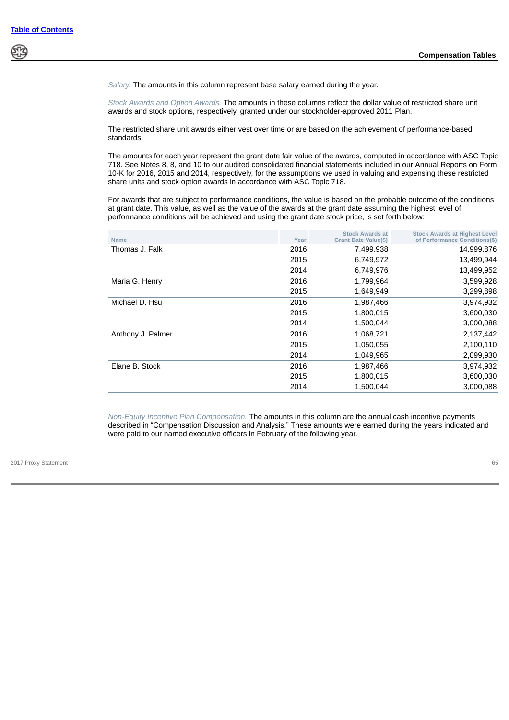*Salary.* The amounts in this column represent base salary earned during the year.

*Stock Awards and Option Awards.* The amounts in these columns reflect the dollar value of restricted share unit awards and stock options, respectively, granted under our stockholder-approved 2011 Plan.

The restricted share unit awards either vest over time or are based on the achievement of performance-based standards.

The amounts for each year represent the grant date fair value of the awards, computed in accordance with ASC Topic 718. See Notes 8, 8, and 10 to our audited consolidated financial statements included in our Annual Reports on Form 10-K for 2016, 2015 and 2014, respectively, for the assumptions we used in valuing and expensing these restricted share units and stock option awards in accordance with ASC Topic 718.

For awards that are subject to performance conditions, the value is based on the probable outcome of the conditions at grant date. This value, as well as the value of the awards at the grant date assuming the highest level of performance conditions will be achieved and using the grant date stock price, is set forth below:

| <b>Name</b>       | Year | <b>Stock Awards at</b><br>Grant Date Value(\$) | <b>Stock Awards at Highest Level</b><br>of Performance Conditions(\$) |
|-------------------|------|------------------------------------------------|-----------------------------------------------------------------------|
| Thomas J. Falk    | 2016 | 7,499,938                                      | 14,999,876                                                            |
|                   | 2015 | 6,749,972                                      | 13,499,944                                                            |
|                   | 2014 | 6,749,976                                      | 13,499,952                                                            |
| Maria G. Henry    | 2016 | 1,799,964                                      | 3,599,928                                                             |
|                   | 2015 | 1,649,949                                      | 3,299,898                                                             |
| Michael D. Hsu    | 2016 | 1,987,466                                      | 3,974,932                                                             |
|                   | 2015 | 1,800,015                                      | 3,600,030                                                             |
|                   | 2014 | 1,500,044                                      | 3,000,088                                                             |
| Anthony J. Palmer | 2016 | 1,068,721                                      | 2,137,442                                                             |
|                   | 2015 | 1,050,055                                      | 2,100,110                                                             |
|                   | 2014 | 1,049,965                                      | 2,099,930                                                             |
| Elane B. Stock    | 2016 | 1,987,466                                      | 3,974,932                                                             |
|                   | 2015 | 1,800,015                                      | 3,600,030                                                             |
|                   | 2014 | 1,500,044                                      | 3,000,088                                                             |

*Non-Equity Incentive Plan Compensation.* The amounts in this column are the annual cash incentive payments described in "Compensation Discussion and Analysis." These amounts were earned during the years indicated and were paid to our named executive officers in February of the following year.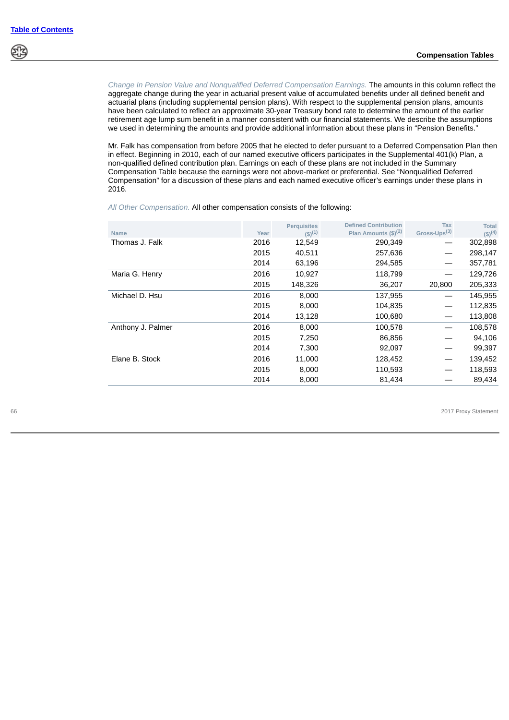*Change In Pension Value and Nonqualified Deferred Compensation Earnings.* The amounts in this column reflect the aggregate change during the year in actuarial present value of accumulated benefits under all defined benefit and actuarial plans (including supplemental pension plans). With respect to the supplemental pension plans, amounts have been calculated to reflect an approximate 30-year Treasury bond rate to determine the amount of the earlier retirement age lump sum benefit in a manner consistent with our financial statements. We describe the assumptions we used in determining the amounts and provide additional information about these plans in "Pension Benefits."

Mr. Falk has compensation from before 2005 that he elected to defer pursuant to a Deferred Compensation Plan then in effect. Beginning in 2010, each of our named executive officers participates in the Supplemental 401(k) Plan, a non-qualified defined contribution plan. Earnings on each of these plans are not included in the Summary Compensation Table because the earnings were not above-market or preferential. See "Nonqualified Deferred Compensation" for a discussion of these plans and each named executive officer's earnings under these plans in 2016.

*All Other Compensation.* All other compensation consists of the following:

| <b>Name</b>       | Year | <b>Perquisites</b><br>$(S)^{(1)}$ | <b>Defined Contribution</b><br>Plan Amounts $(\$)^{(2)}$ | <b>Tax</b><br>Gross-Ups <sup>(3)</sup> | <b>Total</b><br>$(s)$ <sup>(4)</sup> |
|-------------------|------|-----------------------------------|----------------------------------------------------------|----------------------------------------|--------------------------------------|
| Thomas J. Falk    | 2016 | 12,549                            | 290,349                                                  |                                        | 302,898                              |
|                   | 2015 | 40,511                            | 257,636                                                  |                                        | 298,147                              |
|                   | 2014 | 63,196                            | 294,585                                                  |                                        | 357,781                              |
| Maria G. Henry    | 2016 | 10,927                            | 118,799                                                  |                                        | 129,726                              |
|                   | 2015 | 148,326                           | 36,207                                                   | 20,800                                 | 205,333                              |
| Michael D. Hsu    | 2016 | 8,000                             | 137,955                                                  |                                        | 145,955                              |
|                   | 2015 | 8,000                             | 104,835                                                  |                                        | 112,835                              |
|                   | 2014 | 13,128                            | 100,680                                                  |                                        | 113,808                              |
| Anthony J. Palmer | 2016 | 8,000                             | 100,578                                                  |                                        | 108,578                              |
|                   | 2015 | 7,250                             | 86,856                                                   |                                        | 94,106                               |
|                   | 2014 | 7,300                             | 92,097                                                   |                                        | 99,397                               |
| Elane B. Stock    | 2016 | 11,000                            | 128,452                                                  |                                        | 139,452                              |
|                   | 2015 | 8,000                             | 110,593                                                  |                                        | 118,593                              |
|                   | 2014 | 8,000                             | 81,434                                                   |                                        | 89,434                               |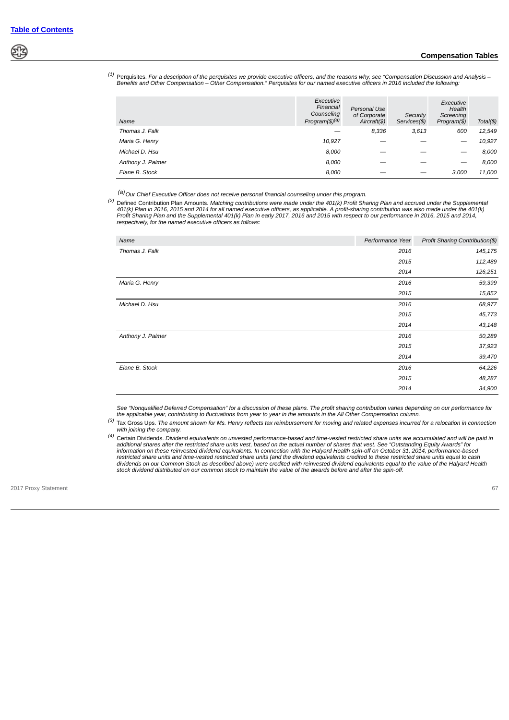## **Compensation Tables**

*(1)* Perquisites. *For a description of the perquisites we provide executive officers, and the reasons why, see "Compensation Discussion and Analysis – Benefits and Other Compensation – Other Compensation." Perquisites for our named executive officers in 2016 included the following:*

| Name              | Executive<br>Financial<br>Counseling<br>Program(\$) <sup>(a)</sup> | Personal Use<br>of Corporate<br>Aircraft(\$) | Security<br>Services(\$) | Executive<br>Health<br>Screening<br>Program(\$) | Total(\$) |
|-------------------|--------------------------------------------------------------------|----------------------------------------------|--------------------------|-------------------------------------------------|-----------|
| Thomas J. Falk    |                                                                    | 8,336                                        | 3,613                    | 600                                             | 12,549    |
| Maria G. Henry    | 10,927                                                             |                                              |                          |                                                 | 10,927    |
| Michael D. Hsu    | 8,000                                                              |                                              |                          |                                                 | 8,000     |
| Anthony J. Palmer | 8.000                                                              |                                              |                          |                                                 | 8,000     |
| Elane B. Stock    | 8.000                                                              |                                              |                          | 3.000                                           | 11,000    |

 *(a)Our Chief Executive Officer does not receive personal financial counseling under this program.*

<sup>(2)</sup> Defined Contribution Plan Amounts. Matching contributions were made under the 401(k) Profit Sharing Plan and accrued under the Supplemental<br>401(k) Plan in 2016, 2015 and 2014 for all named executive officers, as app *respectively, for the named executive officers as follows:*

| Name              | Performance Year | Profit Sharing Contribution(\$) |
|-------------------|------------------|---------------------------------|
| Thomas J. Falk    | 2016             | 145,175                         |
|                   | 2015             | 112,489                         |
|                   | 2014             | 126,251                         |
| Maria G. Henry    | 2016             | 59,399                          |
|                   | 2015             | 15,852                          |
| Michael D. Hsu    | 2016             | 68,977                          |
|                   | 2015             | 45,773                          |
|                   | 2014             | 43,148                          |
| Anthony J. Palmer | 2016             | 50,289                          |
|                   | 2015             | 37,923                          |
|                   | 2014             | 39,470                          |
| Elane B. Stock    | 2016             | 64,226                          |
|                   | 2015             | 48,287                          |
|                   | 2014             | 34,900                          |

*See "Nonqualified Deferred Compensation" for a discussion of these plans. The profit sharing contribution varies depending on our performance for the applicable year, contributing to fluctuations from year to year in the amounts in the All Other Compensation column.*

*(3)* Tax Gross Ups. *The amount shown for Ms. Henry reflects tax reimbursement for moving and related expenses incurred for a relocation in connection with joining the company.*

*(4)* Certain Dividends. *Dividend equivalents on unvested performance-based and time-vested restricted share units are accumulated and will be paid in additional shares after the restricted share units vest, based on the actual number of shares that vest. See "Outstanding Equity Awards" for information on these reinvested dividend equivalents. In connection with the Halyard Health spin-off on October 31, 2014, performance-based* restricted share units and time-vested restricted share units (and the dividend equivalents credited to these restricted share units equal to cash<br>dividends on our Common Stock as described above) were credited with reinve *stock dividend distributed on our common stock to maintain the value of the awards before and after the spin-off.*

2017 Proxy Statement 67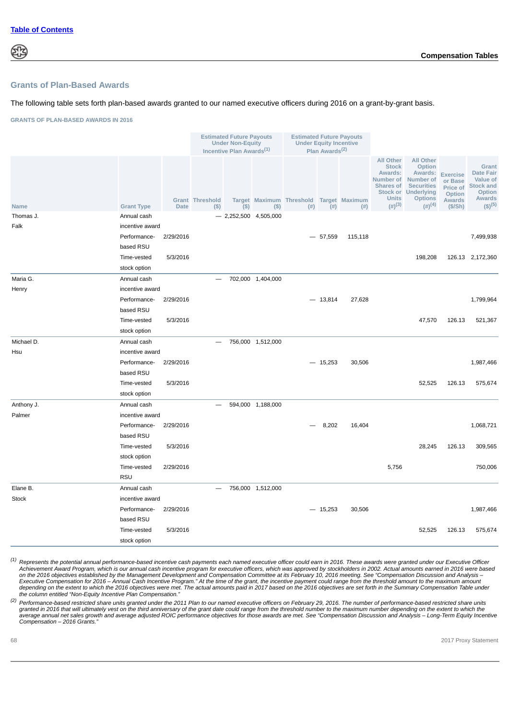# **Grants of Plan-Based Awards**

#### The following table sets forth plan-based awards granted to our named executive officers during 2016 on a grant-by-grant basis.

**GRANTS OF PLAN-BASED AWARDS IN 2016**

|              |                   |             |                               | <b>Estimated Future Payouts</b><br><b>Under Non-Equity</b><br>Incentive Plan Awards <sup>(1)</sup> |                        | <b>Estimated Future Payouts</b>         | <b>Under Equity Incentive</b><br>Plan Awards <sup>(2)</sup> |         |                                                                                     |                                                                                                                                                              |                                                                              |                                                                                                                |
|--------------|-------------------|-------------|-------------------------------|----------------------------------------------------------------------------------------------------|------------------------|-----------------------------------------|-------------------------------------------------------------|---------|-------------------------------------------------------------------------------------|--------------------------------------------------------------------------------------------------------------------------------------------------------------|------------------------------------------------------------------------------|----------------------------------------------------------------------------------------------------------------|
| Name         | <b>Grant Type</b> | <b>Date</b> | <b>Grant Threshold</b><br>(S) | $($ \$)                                                                                            | $($)$                  | Target Maximum Threshold Target Maximum | $(\#)$ $(\#)$                                               | (# )    | <b>All Other</b><br><b>Stock</b><br>Awards:<br><b>Units</b><br>$(4)$ <sup>(3)</sup> | <b>All Other</b><br>Option<br>Awards:<br>Number of Number of<br><b>Shares of Securities</b><br>Stock or Underlying<br><b>Options</b><br>$(4)$ <sup>(4)</sup> | <b>Exercise</b><br>or Base<br>Price of<br>Option<br><b>Awards</b><br>(\$/Sh) | Grant<br><b>Date Fair</b><br>Value of<br><b>Stock and</b><br>Option<br><b>Awards</b><br>$($ \$) <sup>(5)</sup> |
| Thomas J.    | Annual cash       |             |                               |                                                                                                    | $-2,252,500$ 4,505,000 |                                         |                                                             |         |                                                                                     |                                                                                                                                                              |                                                                              |                                                                                                                |
| Falk         | incentive award   |             |                               |                                                                                                    |                        |                                         |                                                             |         |                                                                                     |                                                                                                                                                              |                                                                              |                                                                                                                |
|              | Performance-      | 2/29/2016   |                               |                                                                                                    |                        |                                         | $-57,559$                                                   | 115,118 |                                                                                     |                                                                                                                                                              |                                                                              | 7,499,938                                                                                                      |
|              | based RSU         |             |                               |                                                                                                    |                        |                                         |                                                             |         |                                                                                     |                                                                                                                                                              |                                                                              |                                                                                                                |
|              | Time-vested       | 5/3/2016    |                               |                                                                                                    |                        |                                         |                                                             |         |                                                                                     | 198,208                                                                                                                                                      |                                                                              | 126.13 2,172,360                                                                                               |
|              | stock option      |             |                               |                                                                                                    |                        |                                         |                                                             |         |                                                                                     |                                                                                                                                                              |                                                                              |                                                                                                                |
| Maria G.     | Annual cash       |             |                               |                                                                                                    | 702,000 1,404,000      |                                         |                                                             |         |                                                                                     |                                                                                                                                                              |                                                                              |                                                                                                                |
| Henry        | incentive award   |             |                               |                                                                                                    |                        |                                         |                                                             |         |                                                                                     |                                                                                                                                                              |                                                                              |                                                                                                                |
|              | Performance-      | 2/29/2016   |                               |                                                                                                    |                        |                                         | $-13,814$                                                   | 27,628  |                                                                                     |                                                                                                                                                              |                                                                              | 1,799,964                                                                                                      |
|              | based RSU         |             |                               |                                                                                                    |                        |                                         |                                                             |         |                                                                                     |                                                                                                                                                              |                                                                              |                                                                                                                |
|              | Time-vested       | 5/3/2016    |                               |                                                                                                    |                        |                                         |                                                             |         |                                                                                     | 47,570                                                                                                                                                       | 126.13                                                                       | 521,367                                                                                                        |
|              | stock option      |             |                               |                                                                                                    |                        |                                         |                                                             |         |                                                                                     |                                                                                                                                                              |                                                                              |                                                                                                                |
| Michael D.   | Annual cash       |             |                               |                                                                                                    | 756,000 1,512,000      |                                         |                                                             |         |                                                                                     |                                                                                                                                                              |                                                                              |                                                                                                                |
| Hsu          | incentive award   |             |                               |                                                                                                    |                        |                                         |                                                             |         |                                                                                     |                                                                                                                                                              |                                                                              |                                                                                                                |
|              | Performance-      | 2/29/2016   |                               |                                                                                                    |                        |                                         | $-15,253$                                                   | 30,506  |                                                                                     |                                                                                                                                                              |                                                                              | 1,987,466                                                                                                      |
|              | based RSU         |             |                               |                                                                                                    |                        |                                         |                                                             |         |                                                                                     |                                                                                                                                                              |                                                                              |                                                                                                                |
|              | Time-vested       | 5/3/2016    |                               |                                                                                                    |                        |                                         |                                                             |         |                                                                                     | 52,525                                                                                                                                                       | 126.13                                                                       | 575,674                                                                                                        |
|              | stock option      |             |                               |                                                                                                    |                        |                                         |                                                             |         |                                                                                     |                                                                                                                                                              |                                                                              |                                                                                                                |
| Anthony J.   | Annual cash       |             |                               |                                                                                                    | 594,000 1,188,000      |                                         |                                                             |         |                                                                                     |                                                                                                                                                              |                                                                              |                                                                                                                |
| Palmer       | incentive award   |             |                               |                                                                                                    |                        |                                         |                                                             |         |                                                                                     |                                                                                                                                                              |                                                                              |                                                                                                                |
|              | Performance-      | 2/29/2016   |                               |                                                                                                    |                        |                                         | 8,202                                                       | 16,404  |                                                                                     |                                                                                                                                                              |                                                                              | 1,068,721                                                                                                      |
|              | based RSU         |             |                               |                                                                                                    |                        |                                         |                                                             |         |                                                                                     |                                                                                                                                                              |                                                                              |                                                                                                                |
|              | Time-vested       | 5/3/2016    |                               |                                                                                                    |                        |                                         |                                                             |         |                                                                                     | 28,245                                                                                                                                                       | 126.13                                                                       | 309,565                                                                                                        |
|              | stock option      |             |                               |                                                                                                    |                        |                                         |                                                             |         |                                                                                     |                                                                                                                                                              |                                                                              |                                                                                                                |
|              | Time-vested       | 2/29/2016   |                               |                                                                                                    |                        |                                         |                                                             |         | 5,756                                                                               |                                                                                                                                                              |                                                                              | 750,006                                                                                                        |
|              | <b>RSU</b>        |             |                               |                                                                                                    |                        |                                         |                                                             |         |                                                                                     |                                                                                                                                                              |                                                                              |                                                                                                                |
| Elane B.     | Annual cash       |             | $\overline{\phantom{0}}$      |                                                                                                    | 756,000 1,512,000      |                                         |                                                             |         |                                                                                     |                                                                                                                                                              |                                                                              |                                                                                                                |
| <b>Stock</b> | incentive award   |             |                               |                                                                                                    |                        |                                         |                                                             |         |                                                                                     |                                                                                                                                                              |                                                                              |                                                                                                                |
|              | Performance-      | 2/29/2016   |                               |                                                                                                    |                        |                                         | $-15,253$                                                   | 30,506  |                                                                                     |                                                                                                                                                              |                                                                              | 1,987,466                                                                                                      |
|              | based RSU         |             |                               |                                                                                                    |                        |                                         |                                                             |         |                                                                                     |                                                                                                                                                              |                                                                              |                                                                                                                |
|              | Time-vested       | 5/3/2016    |                               |                                                                                                    |                        |                                         |                                                             |         |                                                                                     | 52,525                                                                                                                                                       | 126.13                                                                       | 575,674                                                                                                        |
|              | stock option      |             |                               |                                                                                                    |                        |                                         |                                                             |         |                                                                                     |                                                                                                                                                              |                                                                              |                                                                                                                |

*(1) Represents the potential annual performance-based incentive cash payments each named executive officer could earn in 2016. These awards were granted under our Executive Officer Achievement Award Program, which is our annual cash incentive program for executive officers, which was approved by stockholders in 2002. Actual amounts earned in 2016 were based* on the 2016 objectives established by the Management Development and Compensation Committee at its February 10, 2016 meeting. See "Compensation Discussion and Analysis –<br>Executive Compensation for 2016 – Annual Cash Incent *the column entitled "Non-Equity Incentive Plan Compensation."*

*(2) Performance-based restricted share units granted under the 2011 Plan to our named executive officers on February 29, 2016. The number of performance-based restricted share units* granted in 2016 that will ultimately vest on the third anniversary of the grant date could range from the threshold number to the maximum number depending on the extent to which the<br>average annual net sales growth and aver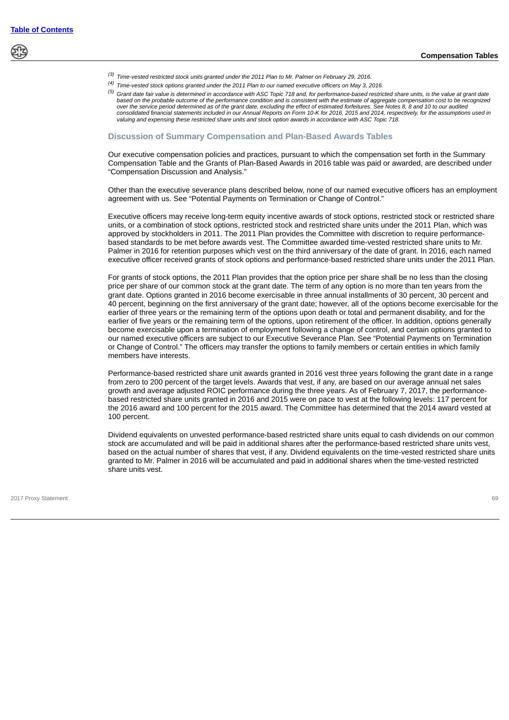- *(3) Time-vested restricted stock units granted under the 2011 Plan to Mr. Palmer on February 29, 2016.*
- *(4) Time-vested stock options granted under the 2011 Plan to our named executive officers on May 3, 2016.*
- *(5) Grant date fair value is determined in accordance with ASC Topic 718 and, for performance-based restricted share units, is the value at grant date based on the probable outcome of the performance condition and is consistent with the estimate of aggregate compensation cost to be recognized over the service period determined as of the grant date, excluding the effect of estimated forfeitures. See Notes 8, 8 and 10 to our audited consolidated financial statements included in our Annual Reports on Form 10-K for 2016, 2015 and 2014, respectively, for the assumptions used in valuing and expensing these restricted share units and stock option awards in accordance with ASC Topic 718.*

## **Discussion of Summary Compensation and Plan-Based Awards Tables**

Our executive compensation policies and practices, pursuant to which the compensation set forth in the Summary Compensation Table and the Grants of Plan-Based Awards in 2016 table was paid or awarded, are described under "Compensation Discussion and Analysis."

Other than the executive severance plans described below, none of our named executive officers has an employment agreement with us. See "Potential Payments on Termination or Change of Control."

Executive officers may receive long-term equity incentive awards of stock options, restricted stock or restricted share units, or a combination of stock options, restricted stock and restricted share units under the 2011 Plan, which was approved by stockholders in 2011. The 2011 Plan provides the Committee with discretion to require performancebased standards to be met before awards vest. The Committee awarded time-vested restricted share units to Mr. Palmer in 2016 for retention purposes which vest on the third anniversary of the date of grant. In 2016, each named executive officer received grants of stock options and performance-based restricted share units under the 2011 Plan.

For grants of stock options, the 2011 Plan provides that the option price per share shall be no less than the closing price per share of our common stock at the grant date. The term of any option is no more than ten years from the grant date. Options granted in 2016 become exercisable in three annual installments of 30 percent, 30 percent and 40 percent, beginning on the first anniversary of the grant date; however, all of the options become exercisable for the earlier of three years or the remaining term of the options upon death or total and permanent disability, and for the earlier of five years or the remaining term of the options, upon retirement of the officer. In addition, options generally become exercisable upon a termination of employment following a change of control, and certain options granted to our named executive officers are subject to our Executive Severance Plan. See "Potential Payments on Termination or Change of Control." The officers may transfer the options to family members or certain entities in which family members have interests.

Performance-based restricted share unit awards granted in 2016 vest three years following the grant date in a range from zero to 200 percent of the target levels. Awards that vest, if any, are based on our average annual net sales growth and average adjusted ROIC performance during the three years. As of February 7, 2017, the performancebased restricted share units granted in 2016 and 2015 were on pace to vest at the following levels: 117 percent for the 2016 award and 100 percent for the 2015 award. The Committee has determined that the 2014 award vested at 100 percent.

Dividend equivalents on unvested performance-based restricted share units equal to cash dividends on our common stock are accumulated and will be paid in additional shares after the performance-based restricted share units vest, based on the actual number of shares that vest, if any. Dividend equivalents on the time-vested restricted share units granted to Mr. Palmer in 2016 will be accumulated and paid in additional shares when the time-vested restricted share units vest.

2017 Proxy Statement 69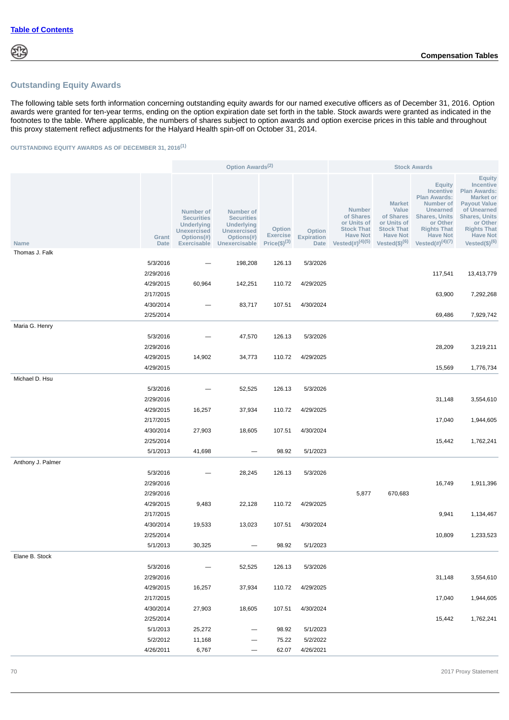# **Outstanding Equity Awards**

The following table sets forth information concerning outstanding equity awards for our named executive officers as of December 31, 2016. Option awards were granted for ten-year terms, ending on the option expiration date set forth in the table. Stock awards were granted as indicated in the footnotes to the table. Where applicable, the numbers of shares subject to option awards and option exercise prices in this table and throughout this proxy statement reflect adjustments for the Halyard Health spin-off on October 31, 2014.

# **OUTSTANDING EQUITY AWARDS AS OF DECEMBER 31, 2016(1)**

|                               |               | Option Awards <sup>(2)</sup>                                                                           |                                                                                                                 |                                                 | <b>Stock Awards</b>                        |                                                                                                             |                                                                                                                   |                                                                                                                                                                                   |                                                                                                                                                                                                                        |
|-------------------------------|---------------|--------------------------------------------------------------------------------------------------------|-----------------------------------------------------------------------------------------------------------------|-------------------------------------------------|--------------------------------------------|-------------------------------------------------------------------------------------------------------------|-------------------------------------------------------------------------------------------------------------------|-----------------------------------------------------------------------------------------------------------------------------------------------------------------------------------|------------------------------------------------------------------------------------------------------------------------------------------------------------------------------------------------------------------------|
| <b>Name</b><br>Thomas J. Falk | Grant<br>Date | Number of<br><b>Securities</b><br>Underlying<br><b>Unexercised</b><br>Options(#)<br><b>Exercisable</b> | <b>Number of</b><br><b>Securities</b><br><b>Underlying</b><br><b>Unexercised</b><br>Options(#)<br>Unexercisable | Option<br><b>Exercise</b><br>Price $(\$)^{(3)}$ | Option<br><b>Expiration</b><br><b>Date</b> | <b>Number</b><br>of Shares<br>or Units of<br><b>Stock That</b><br><b>Have Not</b><br>Vested $(\#)^{(4)(5)}$ | <b>Market</b><br>Value<br>of Shares<br>or Units of<br><b>Stock That</b><br><b>Have Not</b><br>Vested $(\$)^{(6)}$ | <b>Equity</b><br>Incentive<br><b>Plan Awards:</b><br>Number of<br>Unearned<br><b>Shares, Units</b><br>or Other<br><b>Rights That</b><br><b>Have Not</b><br>Vested $(\#)^{(4)(7)}$ | <b>Equity</b><br><b>Incentive</b><br><b>Plan Awards:</b><br><b>Market or</b><br><b>Payout Value</b><br>of Unearned<br><b>Shares, Units</b><br>or Other<br><b>Rights That</b><br><b>Have Not</b><br>Vested $(\$)^{(6)}$ |
|                               |               |                                                                                                        |                                                                                                                 |                                                 |                                            |                                                                                                             |                                                                                                                   |                                                                                                                                                                                   |                                                                                                                                                                                                                        |
|                               | 5/3/2016      |                                                                                                        | 198,208                                                                                                         | 126.13                                          | 5/3/2026                                   |                                                                                                             |                                                                                                                   |                                                                                                                                                                                   |                                                                                                                                                                                                                        |
|                               | 2/29/2016     |                                                                                                        |                                                                                                                 |                                                 |                                            |                                                                                                             |                                                                                                                   | 117,541                                                                                                                                                                           | 13,413,779                                                                                                                                                                                                             |
|                               | 4/29/2015     | 60,964                                                                                                 | 142,251                                                                                                         | 110.72                                          | 4/29/2025                                  |                                                                                                             |                                                                                                                   |                                                                                                                                                                                   |                                                                                                                                                                                                                        |
|                               | 2/17/2015     |                                                                                                        |                                                                                                                 |                                                 |                                            |                                                                                                             |                                                                                                                   | 63,900                                                                                                                                                                            | 7,292,268                                                                                                                                                                                                              |
|                               | 4/30/2014     |                                                                                                        | 83,717                                                                                                          | 107.51                                          | 4/30/2024                                  |                                                                                                             |                                                                                                                   |                                                                                                                                                                                   |                                                                                                                                                                                                                        |
|                               | 2/25/2014     |                                                                                                        |                                                                                                                 |                                                 |                                            |                                                                                                             |                                                                                                                   | 69,486                                                                                                                                                                            | 7,929,742                                                                                                                                                                                                              |
| Maria G. Henry                |               |                                                                                                        |                                                                                                                 |                                                 |                                            |                                                                                                             |                                                                                                                   |                                                                                                                                                                                   |                                                                                                                                                                                                                        |
|                               | 5/3/2016      |                                                                                                        | 47,570                                                                                                          | 126.13                                          | 5/3/2026                                   |                                                                                                             |                                                                                                                   |                                                                                                                                                                                   |                                                                                                                                                                                                                        |
|                               | 2/29/2016     |                                                                                                        |                                                                                                                 |                                                 |                                            |                                                                                                             |                                                                                                                   | 28,209                                                                                                                                                                            | 3,219,211                                                                                                                                                                                                              |
|                               | 4/29/2015     | 14,902                                                                                                 | 34,773                                                                                                          | 110.72                                          | 4/29/2025                                  |                                                                                                             |                                                                                                                   |                                                                                                                                                                                   |                                                                                                                                                                                                                        |
|                               | 4/29/2015     |                                                                                                        |                                                                                                                 |                                                 |                                            |                                                                                                             |                                                                                                                   | 15,569                                                                                                                                                                            | 1,776,734                                                                                                                                                                                                              |
| Michael D. Hsu                |               |                                                                                                        |                                                                                                                 |                                                 |                                            |                                                                                                             |                                                                                                                   |                                                                                                                                                                                   |                                                                                                                                                                                                                        |
|                               | 5/3/2016      |                                                                                                        | 52,525                                                                                                          | 126.13                                          | 5/3/2026                                   |                                                                                                             |                                                                                                                   |                                                                                                                                                                                   |                                                                                                                                                                                                                        |
|                               | 2/29/2016     |                                                                                                        |                                                                                                                 |                                                 |                                            |                                                                                                             |                                                                                                                   | 31,148                                                                                                                                                                            | 3,554,610                                                                                                                                                                                                              |
|                               |               |                                                                                                        |                                                                                                                 |                                                 |                                            |                                                                                                             |                                                                                                                   |                                                                                                                                                                                   |                                                                                                                                                                                                                        |
|                               | 4/29/2015     | 16,257                                                                                                 | 37,934                                                                                                          | 110.72                                          | 4/29/2025                                  |                                                                                                             |                                                                                                                   |                                                                                                                                                                                   |                                                                                                                                                                                                                        |
|                               | 2/17/2015     |                                                                                                        |                                                                                                                 |                                                 |                                            |                                                                                                             |                                                                                                                   | 17,040                                                                                                                                                                            | 1,944,605                                                                                                                                                                                                              |
|                               | 4/30/2014     | 27,903                                                                                                 | 18,605                                                                                                          | 107.51                                          | 4/30/2024                                  |                                                                                                             |                                                                                                                   |                                                                                                                                                                                   |                                                                                                                                                                                                                        |
|                               | 2/25/2014     |                                                                                                        |                                                                                                                 |                                                 |                                            |                                                                                                             |                                                                                                                   | 15,442                                                                                                                                                                            | 1,762,241                                                                                                                                                                                                              |
|                               | 5/1/2013      | 41,698                                                                                                 |                                                                                                                 | 98.92                                           | 5/1/2023                                   |                                                                                                             |                                                                                                                   |                                                                                                                                                                                   |                                                                                                                                                                                                                        |
| Anthony J. Palmer             |               |                                                                                                        |                                                                                                                 |                                                 |                                            |                                                                                                             |                                                                                                                   |                                                                                                                                                                                   |                                                                                                                                                                                                                        |
|                               | 5/3/2016      |                                                                                                        | 28,245                                                                                                          | 126.13                                          | 5/3/2026                                   |                                                                                                             |                                                                                                                   |                                                                                                                                                                                   |                                                                                                                                                                                                                        |
|                               | 2/29/2016     |                                                                                                        |                                                                                                                 |                                                 |                                            |                                                                                                             |                                                                                                                   | 16,749                                                                                                                                                                            | 1,911,396                                                                                                                                                                                                              |
|                               | 2/29/2016     |                                                                                                        |                                                                                                                 |                                                 |                                            | 5,877                                                                                                       | 670,683                                                                                                           |                                                                                                                                                                                   |                                                                                                                                                                                                                        |
|                               | 4/29/2015     | 9,483                                                                                                  | 22,128                                                                                                          | 110.72                                          | 4/29/2025                                  |                                                                                                             |                                                                                                                   |                                                                                                                                                                                   |                                                                                                                                                                                                                        |
|                               | 2/17/2015     |                                                                                                        |                                                                                                                 |                                                 |                                            |                                                                                                             |                                                                                                                   | 9,941                                                                                                                                                                             | 1,134,467                                                                                                                                                                                                              |
|                               | 4/30/2014     | 19,533                                                                                                 | 13,023                                                                                                          | 107.51                                          | 4/30/2024                                  |                                                                                                             |                                                                                                                   |                                                                                                                                                                                   |                                                                                                                                                                                                                        |
|                               | 2/25/2014     |                                                                                                        |                                                                                                                 |                                                 |                                            |                                                                                                             |                                                                                                                   | 10,809                                                                                                                                                                            | 1,233,523                                                                                                                                                                                                              |
|                               | 5/1/2013      | 30,325                                                                                                 |                                                                                                                 | 98.92                                           | 5/1/2023                                   |                                                                                                             |                                                                                                                   |                                                                                                                                                                                   |                                                                                                                                                                                                                        |
| Elane B. Stock                |               |                                                                                                        |                                                                                                                 |                                                 |                                            |                                                                                                             |                                                                                                                   |                                                                                                                                                                                   |                                                                                                                                                                                                                        |
|                               | 5/3/2016      |                                                                                                        | 52,525                                                                                                          | 126.13                                          | 5/3/2026                                   |                                                                                                             |                                                                                                                   |                                                                                                                                                                                   |                                                                                                                                                                                                                        |
|                               | 2/29/2016     |                                                                                                        |                                                                                                                 |                                                 |                                            |                                                                                                             |                                                                                                                   | 31,148                                                                                                                                                                            | 3,554,610                                                                                                                                                                                                              |
|                               | 4/29/2015     | 16,257                                                                                                 | 37,934                                                                                                          | 110.72                                          | 4/29/2025                                  |                                                                                                             |                                                                                                                   |                                                                                                                                                                                   |                                                                                                                                                                                                                        |
|                               | 2/17/2015     |                                                                                                        |                                                                                                                 |                                                 |                                            |                                                                                                             |                                                                                                                   | 17,040                                                                                                                                                                            | 1,944,605                                                                                                                                                                                                              |
|                               |               |                                                                                                        |                                                                                                                 |                                                 | 4/30/2024                                  |                                                                                                             |                                                                                                                   |                                                                                                                                                                                   |                                                                                                                                                                                                                        |
|                               | 4/30/2014     | 27,903                                                                                                 | 18,605                                                                                                          | 107.51                                          |                                            |                                                                                                             |                                                                                                                   |                                                                                                                                                                                   |                                                                                                                                                                                                                        |
|                               | 2/25/2014     |                                                                                                        |                                                                                                                 |                                                 |                                            |                                                                                                             |                                                                                                                   | 15,442                                                                                                                                                                            | 1,762,241                                                                                                                                                                                                              |
|                               | 5/1/2013      | 25,272                                                                                                 |                                                                                                                 | 98.92                                           | 5/1/2023                                   |                                                                                                             |                                                                                                                   |                                                                                                                                                                                   |                                                                                                                                                                                                                        |
|                               | 5/2/2012      | 11,168                                                                                                 |                                                                                                                 | 75.22                                           | 5/2/2022                                   |                                                                                                             |                                                                                                                   |                                                                                                                                                                                   |                                                                                                                                                                                                                        |
|                               | 4/26/2011     | 6,767                                                                                                  | $\qquad \qquad -$                                                                                               | 62.07                                           | 4/26/2021                                  |                                                                                                             |                                                                                                                   |                                                                                                                                                                                   |                                                                                                                                                                                                                        |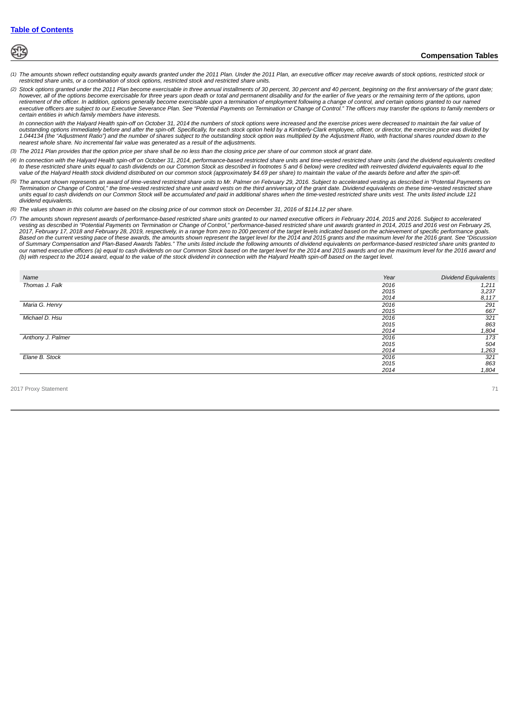

- *(1) The amounts shown reflect outstanding equity awards granted under the 2011 Plan. Under the 2011 Plan, an executive officer may receive awards of stock options, restricted stock or restricted share units, or a combination of stock options, restricted stock and restricted share units.*
- *(2) Stock options granted under the 2011 Plan become exercisable in three annual installments of 30 percent, 30 percent and 40 percent, beginning on the first anniversary of the grant date; however, all of the options become exercisable for three years upon death or total and permanent disability and for the earlier of five years or the remaining term of the options, upon* retirement of the officer. In addition, options generally become exercisable upon a termination of employment following a change of control, and certain options granted to our named<br>executive officers are subject to our Ex *certain entities in which family members have interests.*

In connection with the Halyard Health spin-off on October 31, 2014 the numbers of stock options were increased and the exercise prices were decreased to maintain the fair value of<br>outstanding options immediately before and *1.044134 (the "Adjustment Ratio") and the number of shares subject to the outstanding stock option was multiplied by the Adjustment Ratio, with fractional shares rounded down to the nearest whole share. No incremental fair value was generated as a result of the adjustments.*

- *(3) The 2011 Plan provides that the option price per share shall be no less than the closing price per share of our common stock at grant date.*
- *(4) In connection with the Halyard Health spin-off on October 31, 2014, performance-based restricted share units and time-vested restricted share units (and the dividend equivalents credited to these restricted share units equal to cash dividends on our Common Stock as described in footnotes 5 and 6 below) were credited with reinvested dividend equivalents equal to the value of the Halyard Health stock dividend distributed on our common stock (approximately \$4.69 per share) to maintain the value of the awards before and after the spin-off.*
- *(5) The amount shown represents an award of time-vested restricted share units to Mr. Palmer on February 29, 2016. Subject to accelerated vesting as described in "Potential Payments on* Termination or Change of Control," the time-vested restricted share unit award vests on the third anniversary of the grant date. Dividend equivalents on these time-vested restricted share<br>units equal to cash dividends on o *dividend equivalents.*
- *(6) The values shown in this column are based on the closing price of our common stock on December 31, 2016 of \$114.12 per share.*
- *(7) The amounts shown represent awards of performance-based restricted share units granted to our named executive officers in February 2014, 2015 and 2016. Subject to accelerated* vesting as described in "Potential Payments on Termination or Change of Control," performance-based restricted share unit awards granted in 2014, 2015 and 2016 vest on February 25,<br>2017, February 17, 2018 and February 28, *Based on the current vesting pace of these awards, the amounts shown represent the target level for the 2014 and 2015 grants and the maximum level for the 2016 grant. See "Discussion of Summary Compensation and Plan-Based Awards Tables." The units listed include the following amounts of dividend equivalents on performance-based restricted share units granted to* our named executive officers (a) equal to cash dividends on our Common Stock based on the target level for the 2014 and 2015 awards and on the maximum level for the 2016 award and<br>(b) with respect to the 2014 award, equal

| Name              | Year | <b>Dividend Equivalents</b> |
|-------------------|------|-----------------------------|
| Thomas J. Falk    | 2016 | 1,211                       |
|                   | 2015 | 3,237                       |
|                   | 2014 | 8,117                       |
| Maria G. Henry    | 2016 | 291                         |
|                   | 2015 | 667                         |
| Michael D. Hsu    | 2016 | $\frac{321}{863}$           |
|                   | 2015 |                             |
|                   | 2014 | 1,804                       |
| Anthony J. Palmer | 2016 | 173                         |
|                   | 2015 | 504                         |
|                   | 2014 | 1,263                       |
| Elane B. Stock    | 2016 | 321                         |
|                   | 2015 | 863                         |
|                   | 2014 | 1,804                       |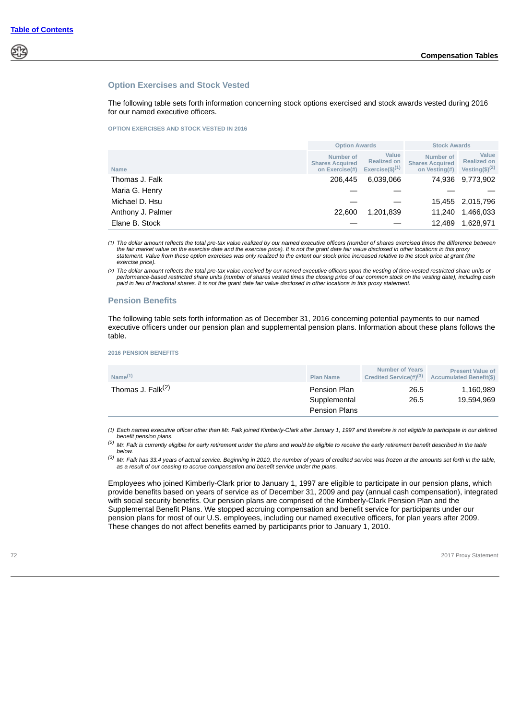

#### **Option Exercises and Stock Vested**

The following table sets forth information concerning stock options exercised and stock awards vested during 2016 for our named executive officers.

#### **OPTION EXERCISES AND STOCK VESTED IN 2016**

|                   | <b>Option Awards</b>                                  |                                                      | <b>Stock Awards</b>                                  |                                                  |  |
|-------------------|-------------------------------------------------------|------------------------------------------------------|------------------------------------------------------|--------------------------------------------------|--|
| <b>Name</b>       | Number of<br><b>Shares Acquired</b><br>on Exercise(#) | Value<br><b>Realized on</b><br>Exercise $(\$)^{(1)}$ | Number of<br><b>Shares Acquired</b><br>on Vesting(#) | Value<br><b>Realized on</b><br>Vesting(\$) $(2)$ |  |
| Thomas J. Falk    | 6.039.066<br>206.445                                  |                                                      | 74.936                                               | 9,773,902                                        |  |
| Maria G. Henry    |                                                       |                                                      |                                                      |                                                  |  |
| Michael D. Hsu    |                                                       |                                                      |                                                      | 15,455 2,015,796                                 |  |
| Anthony J. Palmer | 22,600                                                | 1.201.839                                            | 11.240                                               | 1,466,033                                        |  |
| Elane B. Stock    |                                                       |                                                      | 12.489                                               | 1,628,971                                        |  |

*(1) The dollar amount reflects the total pre-tax value realized by our named executive officers (number of shares exercised times the difference between the fair market value on the exercise date and the exercise price). It is not the grant date fair value disclosed in other locations in this proxy statement. Value from these option exercises was only realized to the extent our stock price increased relative to the stock price at grant (the exercise price).*

*(2) The dollar amount reflects the total pre-tax value received by our named executive officers upon the vesting of time-vested restricted share units or* performance-based restricted share units (number of shares vested times the closing price of our common stock on the vesting date), including cash<br>paid in lieu of fractional shares. It is not the grant date fair value disc

#### **Pension Benefits**

The following table sets forth information as of December 31, 2016 concerning potential payments to our named executive officers under our pension plan and supplemental pension plans. Information about these plans follows the table.

**2016 PENSION BENEFITS**

| Name $(1)$                    | <b>Plan Name</b>                                            | <b>Number of Years</b><br>Credited Service(#) <sup>(3)</sup> | <b>Present Value of</b><br><b>Accumulated Benefit(\$)</b> |
|-------------------------------|-------------------------------------------------------------|--------------------------------------------------------------|-----------------------------------------------------------|
| Thomas J. Falk <sup>(2)</sup> | <b>Pension Plan</b><br>Supplemental<br><b>Pension Plans</b> | 26.5<br>26.5                                                 | 1.160.989<br>19.594.969                                   |

*(1) Each named executive officer other than Mr. Falk joined Kimberly-Clark after January 1, 1997 and therefore is not eligible to participate in our defined benefit pension plans.*

*(2) Mr. Falk is currently eligible for early retirement under the plans and would be eligible to receive the early retirement benefit described in the table below.*

*(3) Mr. Falk has 33.4 years of actual service. Beginning in 2010, the number of years of credited service was frozen at the amounts set forth in the table, as a result of our ceasing to accrue compensation and benefit service under the plans.*

Employees who joined Kimberly-Clark prior to January 1, 1997 are eligible to participate in our pension plans, which provide benefits based on years of service as of December 31, 2009 and pay (annual cash compensation), integrated with social security benefits. Our pension plans are comprised of the Kimberly-Clark Pension Plan and the Supplemental Benefit Plans. We stopped accruing compensation and benefit service for participants under our pension plans for most of our U.S. employees, including our named executive officers, for plan years after 2009. These changes do not affect benefits earned by participants prior to January 1, 2010.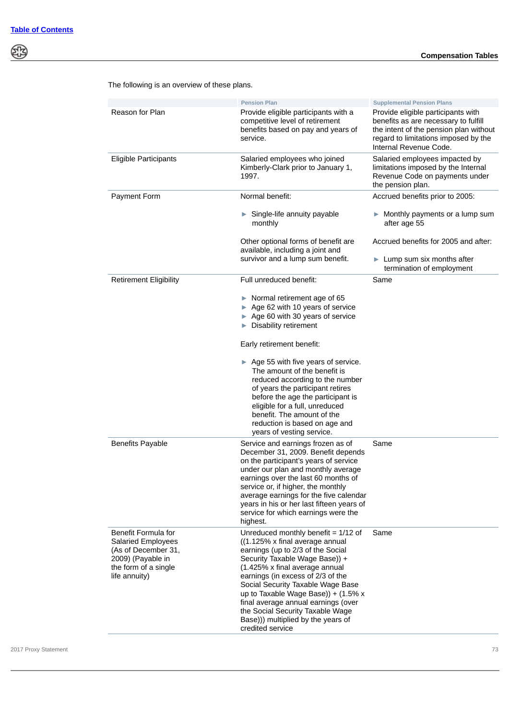|                                                                                                                                       | <b>Pension Plan</b>                                                                                                                                                                                                                                                                                                                                                                                                                             | <b>Supplemental Pension Plans</b>                                                                                                                                                      |
|---------------------------------------------------------------------------------------------------------------------------------------|-------------------------------------------------------------------------------------------------------------------------------------------------------------------------------------------------------------------------------------------------------------------------------------------------------------------------------------------------------------------------------------------------------------------------------------------------|----------------------------------------------------------------------------------------------------------------------------------------------------------------------------------------|
| Reason for Plan                                                                                                                       | Provide eligible participants with a<br>competitive level of retirement<br>benefits based on pay and years of<br>service.                                                                                                                                                                                                                                                                                                                       | Provide eligible participants with<br>benefits as are necessary to fulfill<br>the intent of the pension plan without<br>regard to limitations imposed by the<br>Internal Revenue Code. |
| <b>Eligible Participants</b>                                                                                                          | Salaried employees who joined<br>Kimberly-Clark prior to January 1,<br>1997.                                                                                                                                                                                                                                                                                                                                                                    | Salaried employees impacted by<br>limitations imposed by the Internal<br>Revenue Code on payments under<br>the pension plan.                                                           |
| <b>Payment Form</b>                                                                                                                   | Normal benefit:                                                                                                                                                                                                                                                                                                                                                                                                                                 | Accrued benefits prior to 2005:                                                                                                                                                        |
|                                                                                                                                       | Single-life annuity payable<br>monthly                                                                                                                                                                                                                                                                                                                                                                                                          | $\blacktriangleright$ Monthly payments or a lump sum<br>after age 55                                                                                                                   |
|                                                                                                                                       | Other optional forms of benefit are<br>available, including a joint and<br>survivor and a lump sum benefit.                                                                                                                                                                                                                                                                                                                                     | Accrued benefits for 2005 and after:                                                                                                                                                   |
|                                                                                                                                       |                                                                                                                                                                                                                                                                                                                                                                                                                                                 | $\blacktriangleright$ Lump sum six months after<br>termination of employment                                                                                                           |
| <b>Retirement Eligibility</b>                                                                                                         | Full unreduced benefit:                                                                                                                                                                                                                                                                                                                                                                                                                         | Same                                                                                                                                                                                   |
|                                                                                                                                       | $\triangleright$ Normal retirement age of 65<br>► Age 62 with 10 years of service<br>Age 60 with 30 years of service<br>Disability retirement                                                                                                                                                                                                                                                                                                   |                                                                                                                                                                                        |
|                                                                                                                                       | Early retirement benefit:                                                                                                                                                                                                                                                                                                                                                                                                                       |                                                                                                                                                                                        |
|                                                                                                                                       | $\triangleright$ Age 55 with five years of service.<br>The amount of the benefit is<br>reduced according to the number<br>of years the participant retires<br>before the age the participant is<br>eligible for a full, unreduced<br>benefit. The amount of the<br>reduction is based on age and<br>years of vesting service.                                                                                                                   |                                                                                                                                                                                        |
| <b>Benefits Payable</b>                                                                                                               | Service and earnings frozen as of<br>December 31, 2009. Benefit depends<br>on the participant's years of service<br>under our plan and monthly average<br>earnings over the last 60 months of<br>service or, if higher, the monthly<br>average earnings for the five calendar<br>years in his or her last fifteen years of<br>service for which earnings were the<br>highest.                                                                   | Same                                                                                                                                                                                   |
| Benefit Formula for<br><b>Salaried Employees</b><br>(As of December 31,<br>2009) (Payable in<br>the form of a single<br>life annuity) | Unreduced monthly benefit = $1/12$ of<br>((1.125% x final average annual<br>earnings (up to 2/3 of the Social<br>Security Taxable Wage Base)) +<br>(1.425% x final average annual<br>earnings (in excess of 2/3 of the<br>Social Security Taxable Wage Base<br>up to Taxable Wage Base)) + $(1.5\% \times$<br>final average annual earnings (over<br>the Social Security Taxable Wage<br>Base))) multiplied by the years of<br>credited service | Same                                                                                                                                                                                   |

The following is an overview of these plans.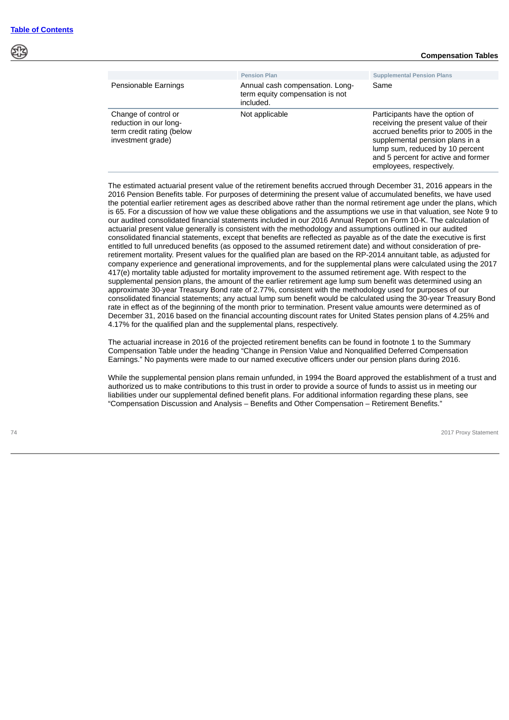#### **Compensation Tables**

|                                                                                                  | <b>Pension Plan</b>                                                             | <b>Supplemental Pension Plans</b>                                                                                                                                                                                                                         |
|--------------------------------------------------------------------------------------------------|---------------------------------------------------------------------------------|-----------------------------------------------------------------------------------------------------------------------------------------------------------------------------------------------------------------------------------------------------------|
| Pensionable Earnings                                                                             | Annual cash compensation. Long-<br>term equity compensation is not<br>included. | Same                                                                                                                                                                                                                                                      |
| Change of control or<br>reduction in our long-<br>term credit rating (below<br>investment grade) | Not applicable                                                                  | Participants have the option of<br>receiving the present value of their<br>accrued benefits prior to 2005 in the<br>supplemental pension plans in a<br>lump sum, reduced by 10 percent<br>and 5 percent for active and former<br>employees, respectively. |

The estimated actuarial present value of the retirement benefits accrued through December 31, 2016 appears in the 2016 Pension Benefits table. For purposes of determining the present value of accumulated benefits, we have used the potential earlier retirement ages as described above rather than the normal retirement age under the plans, which is 65. For a discussion of how we value these obligations and the assumptions we use in that valuation, see Note 9 to our audited consolidated financial statements included in our 2016 Annual Report on Form 10-K. The calculation of actuarial present value generally is consistent with the methodology and assumptions outlined in our audited consolidated financial statements, except that benefits are reflected as payable as of the date the executive is first entitled to full unreduced benefits (as opposed to the assumed retirement date) and without consideration of preretirement mortality. Present values for the qualified plan are based on the RP-2014 annuitant table, as adjusted for company experience and generational improvements, and for the supplemental plans were calculated using the 2017 417(e) mortality table adjusted for mortality improvement to the assumed retirement age. With respect to the supplemental pension plans, the amount of the earlier retirement age lump sum benefit was determined using an approximate 30-year Treasury Bond rate of 2.77%, consistent with the methodology used for purposes of our consolidated financial statements; any actual lump sum benefit would be calculated using the 30-year Treasury Bond rate in effect as of the beginning of the month prior to termination. Present value amounts were determined as of December 31, 2016 based on the financial accounting discount rates for United States pension plans of 4.25% and 4.17% for the qualified plan and the supplemental plans, respectively.

The actuarial increase in 2016 of the projected retirement benefits can be found in footnote 1 to the Summary Compensation Table under the heading "Change in Pension Value and Nonqualified Deferred Compensation Earnings." No payments were made to our named executive officers under our pension plans during 2016.

While the supplemental pension plans remain unfunded, in 1994 the Board approved the establishment of a trust and authorized us to make contributions to this trust in order to provide a source of funds to assist us in meeting our liabilities under our supplemental defined benefit plans. For additional information regarding these plans, see "Compensation Discussion and Analysis – Benefits and Other Compensation – Retirement Benefits."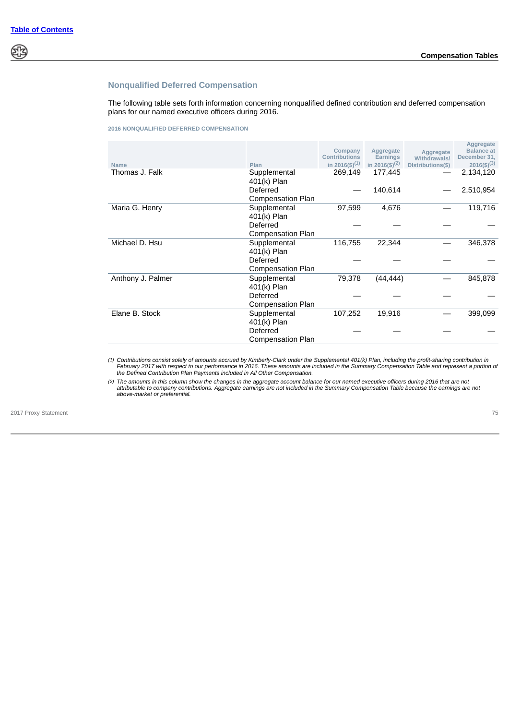# প্ৰাই

# **Nonqualified Deferred Compensation**

The following table sets forth information concerning nonqualified defined contribution and deferred compensation plans for our named executive officers during 2016.

#### **2016 NONQUALIFIED DEFERRED COMPENSATION**

| <b>Name</b>       | Plan                     | Company<br><b>Contributions</b><br>in 2016(\$) <sup>(1)</sup> | Aggregate<br><b>Earnings</b><br>in 2016(\$) <sup>(2)</sup> | Aggregate<br><b>Withdrawals/</b><br>Distributions(\$) | Aggregate<br><b>Balance</b> at<br>December 31,<br>$2016($ \$) <sup>(3)</sup> |
|-------------------|--------------------------|---------------------------------------------------------------|------------------------------------------------------------|-------------------------------------------------------|------------------------------------------------------------------------------|
| Thomas J. Falk    | Supplemental             | 269,149                                                       | 177,445                                                    |                                                       | 2,134,120                                                                    |
|                   | 401(k) Plan              |                                                               |                                                            |                                                       |                                                                              |
|                   | Deferred                 |                                                               | 140,614                                                    |                                                       | 2,510,954                                                                    |
|                   | <b>Compensation Plan</b> |                                                               |                                                            |                                                       |                                                                              |
| Maria G. Henry    | Supplemental             | 97,599                                                        | 4,676                                                      |                                                       | 119,716                                                                      |
|                   | 401(k) Plan              |                                                               |                                                            |                                                       |                                                                              |
|                   | Deferred                 |                                                               |                                                            |                                                       |                                                                              |
|                   | <b>Compensation Plan</b> |                                                               |                                                            |                                                       |                                                                              |
| Michael D. Hsu    | Supplemental             | 116,755                                                       | 22,344                                                     |                                                       | 346,378                                                                      |
|                   | 401(k) Plan              |                                                               |                                                            |                                                       |                                                                              |
|                   | Deferred                 |                                                               |                                                            |                                                       |                                                                              |
|                   | <b>Compensation Plan</b> |                                                               |                                                            |                                                       |                                                                              |
| Anthony J. Palmer | Supplemental             | 79,378                                                        | (44, 444)                                                  |                                                       | 845,878                                                                      |
|                   | 401(k) Plan              |                                                               |                                                            |                                                       |                                                                              |
|                   | Deferred                 |                                                               |                                                            |                                                       |                                                                              |
|                   | <b>Compensation Plan</b> |                                                               |                                                            |                                                       |                                                                              |
| Elane B. Stock    | Supplemental             | 107,252                                                       | 19,916                                                     |                                                       | 399,099                                                                      |
|                   | 401(k) Plan              |                                                               |                                                            |                                                       |                                                                              |
|                   | Deferred                 |                                                               |                                                            |                                                       |                                                                              |
|                   | <b>Compensation Plan</b> |                                                               |                                                            |                                                       |                                                                              |

*(1) Contributions consist solely of amounts accrued by Kimberly-Clark under the Supplemental 401(k) Plan, including the profit-sharing contribution in February 2017 with respect to our performance in 2016. These amounts are included in the Summary Compensation Table and represent a portion of the Defined Contribution Plan Payments included in All Other Compensation.*

*(2) The amounts in this column show the changes in the aggregate account balance for our named executive officers during 2016 that are not attributable to company contributions. Aggregate earnings are not included in the Summary Compensation Table because the earnings are not above-market or preferential.*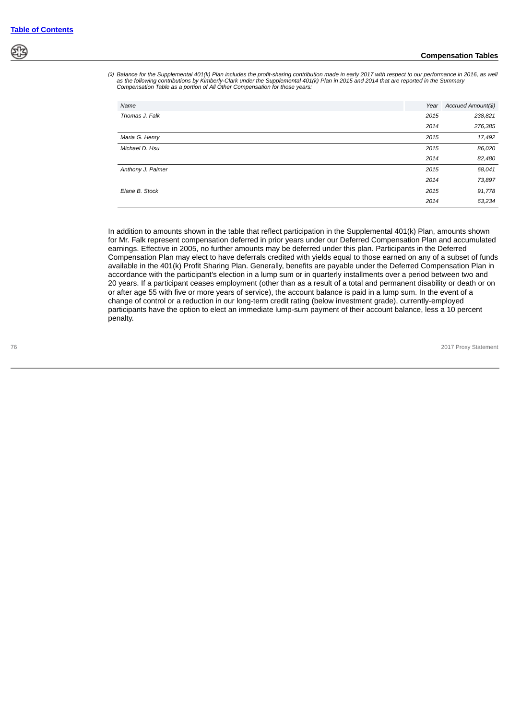*(3) Balance for the Supplemental 401(k) Plan includes the profit-sharing contribution made in early 2017 with respect to our performance in 2016, as well as the following contributions by Kimberly-Clark under the Supplemental 401(k) Plan in 2015 and 2014 that are reported in the Summary Compensation Table as a portion of All Other Compensation for those years:*

| Name              | Year | Accrued Amount(\$) |
|-------------------|------|--------------------|
| Thomas J. Falk    | 2015 | 238,821            |
|                   | 2014 | 276,385            |
| Maria G. Henry    | 2015 | 17,492             |
| Michael D. Hsu    | 2015 | 86,020             |
|                   | 2014 | 82,480             |
| Anthony J. Palmer | 2015 | 68,041             |
|                   | 2014 | 73,897             |
| Elane B. Stock    | 2015 | 91,778             |
|                   | 2014 | 63,234             |

In addition to amounts shown in the table that reflect participation in the Supplemental 401(k) Plan, amounts shown for Mr. Falk represent compensation deferred in prior years under our Deferred Compensation Plan and accumulated earnings. Effective in 2005, no further amounts may be deferred under this plan. Participants in the Deferred Compensation Plan may elect to have deferrals credited with yields equal to those earned on any of a subset of funds available in the 401(k) Profit Sharing Plan. Generally, benefits are payable under the Deferred Compensation Plan in accordance with the participant's election in a lump sum or in quarterly installments over a period between two and 20 years. If a participant ceases employment (other than as a result of a total and permanent disability or death or on or after age 55 with five or more years of service), the account balance is paid in a lump sum. In the event of a change of control or a reduction in our long-term credit rating (below investment grade), currently-employed participants have the option to elect an immediate lump-sum payment of their account balance, less a 10 percent penalty.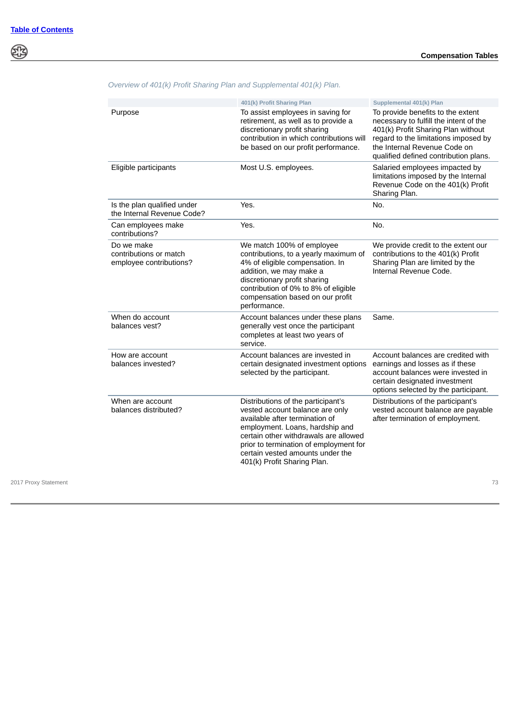\$

|                                                                 | 401(k) Profit Sharing Plan                                                                                                                                                                                                                                                                       | Supplemental 401(k) Plan                                                                                                                                                                                                           |
|-----------------------------------------------------------------|--------------------------------------------------------------------------------------------------------------------------------------------------------------------------------------------------------------------------------------------------------------------------------------------------|------------------------------------------------------------------------------------------------------------------------------------------------------------------------------------------------------------------------------------|
| Purpose                                                         | To assist employees in saving for<br>retirement, as well as to provide a<br>discretionary profit sharing<br>contribution in which contributions will<br>be based on our profit performance.                                                                                                      | To provide benefits to the extent<br>necessary to fulfill the intent of the<br>401(k) Profit Sharing Plan without<br>regard to the limitations imposed by<br>the Internal Revenue Code on<br>qualified defined contribution plans. |
| Eligible participants                                           | Most U.S. employees.                                                                                                                                                                                                                                                                             | Salaried employees impacted by<br>limitations imposed by the Internal<br>Revenue Code on the 401(k) Profit<br>Sharing Plan.                                                                                                        |
| Is the plan qualified under<br>the Internal Revenue Code?       | Yes.                                                                                                                                                                                                                                                                                             | No.                                                                                                                                                                                                                                |
| Can employees make<br>contributions?                            | Yes.                                                                                                                                                                                                                                                                                             | No.                                                                                                                                                                                                                                |
| Do we make<br>contributions or match<br>employee contributions? | We match 100% of employee<br>contributions, to a yearly maximum of<br>4% of eligible compensation. In<br>addition, we may make a<br>discretionary profit sharing<br>contribution of 0% to 8% of eligible<br>compensation based on our profit<br>performance.                                     | We provide credit to the extent our<br>contributions to the 401(k) Profit<br>Sharing Plan are limited by the<br>Internal Revenue Code.                                                                                             |
| When do account<br>balances vest?                               | Account balances under these plans<br>generally vest once the participant<br>completes at least two years of<br>service.                                                                                                                                                                         | Same.                                                                                                                                                                                                                              |
| How are account<br>balances invested?                           | Account balances are invested in<br>certain designated investment options<br>selected by the participant.                                                                                                                                                                                        | Account balances are credited with<br>earnings and losses as if these<br>account balances were invested in<br>certain designated investment<br>options selected by the participant.                                                |
| When are account<br>balances distributed?                       | Distributions of the participant's<br>vested account balance are only<br>available after termination of<br>employment. Loans, hardship and<br>certain other withdrawals are allowed<br>prior to termination of employment for<br>certain vested amounts under the<br>401(k) Profit Sharing Plan. | Distributions of the participant's<br>vested account balance are payable<br>after termination of employment.                                                                                                                       |

*Overview of 401(k) Profit Sharing Plan and Supplemental 401(k) Plan.*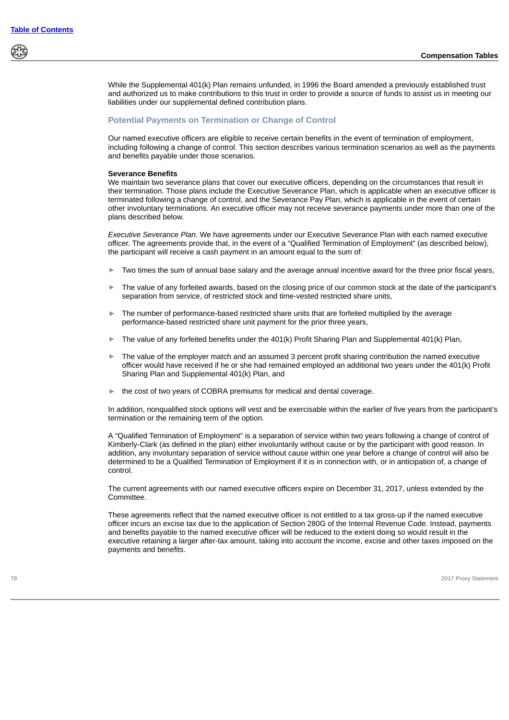While the Supplemental 401(k) Plan remains unfunded, in 1996 the Board amended a previously established trust and authorized us to make contributions to this trust in order to provide a source of funds to assist us in meeting our liabilities under our supplemental defined contribution plans.

### **Potential Payments on Termination or Change of Control**

Our named executive officers are eligible to receive certain benefits in the event of termination of employment, including following a change of control. This section describes various termination scenarios as well as the payments and benefits payable under those scenarios.

#### **Severance Benefits**

We maintain two severance plans that cover our executive officers, depending on the circumstances that result in their termination. Those plans include the Executive Severance Plan, which is applicable when an executive officer is terminated following a change of control, and the Severance Pay Plan, which is applicable in the event of certain other involuntary terminations. An executive officer may not receive severance payments under more than one of the plans described below.

*Executive Severance Plan.* We have agreements under our Executive Severance Plan with each named executive officer. The agreements provide that, in the event of a "Qualified Termination of Employment" (as described below), the participant will receive a cash payment in an amount equal to the sum of:

- Two times the sum of annual base salary and the average annual incentive award for the three prior fiscal years,
- The value of any forfeited awards, based on the closing price of our common stock at the date of the participant's separation from service, of restricted stock and time-vested restricted share units,
- The number of performance-based restricted share units that are forfeited multiplied by the average performance-based restricted share unit payment for the prior three years,
- The value of any forfeited benefits under the 401(k) Profit Sharing Plan and Supplemental 401(k) Plan,
- The value of the employer match and an assumed 3 percent profit sharing contribution the named executive officer would have received if he or she had remained employed an additional two years under the 401(k) Profit Sharing Plan and Supplemental 401(k) Plan, and
- the cost of two years of COBRA premiums for medical and dental coverage.

In addition, nonqualified stock options will vest and be exercisable within the earlier of five years from the participant's termination or the remaining term of the option.

A "Qualified Termination of Employment" is a separation of service within two years following a change of control of Kimberly-Clark (as defined in the plan) either involuntarily without cause or by the participant with good reason. In addition, any involuntary separation of service without cause within one year before a change of control will also be determined to be a Qualified Termination of Employment if it is in connection with, or in anticipation of, a change of control.

The current agreements with our named executive officers expire on December 31, 2017, unless extended by the Committee.

These agreements reflect that the named executive officer is not entitled to a tax gross-up if the named executive officer incurs an excise tax due to the application of Section 280G of the Internal Revenue Code. Instead, payments and benefits payable to the named executive officer will be reduced to the extent doing so would result in the executive retaining a larger after-tax amount, taking into account the income, excise and other taxes imposed on the payments and benefits.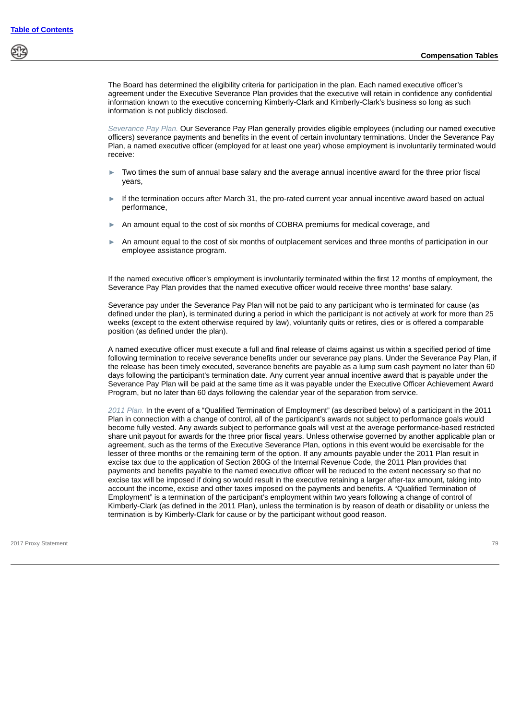The Board has determined the eligibility criteria for participation in the plan. Each named executive officer's agreement under the Executive Severance Plan provides that the executive will retain in confidence any confidential information known to the executive concerning Kimberly-Clark and Kimberly-Clark's business so long as such information is not publicly disclosed.

*Severance Pay Plan.* Our Severance Pay Plan generally provides eligible employees (including our named executive officers) severance payments and benefits in the event of certain involuntary terminations. Under the Severance Pay Plan, a named executive officer (employed for at least one year) whose employment is involuntarily terminated would receive:

- Two times the sum of annual base salary and the average annual incentive award for the three prior fiscal years,
- If the termination occurs after March 31, the pro-rated current year annual incentive award based on actual performance,
- An amount equal to the cost of six months of COBRA premiums for medical coverage, and
- An amount equal to the cost of six months of outplacement services and three months of participation in our employee assistance program.

If the named executive officer's employment is involuntarily terminated within the first 12 months of employment, the Severance Pay Plan provides that the named executive officer would receive three months' base salary.

Severance pay under the Severance Pay Plan will not be paid to any participant who is terminated for cause (as defined under the plan), is terminated during a period in which the participant is not actively at work for more than 25 weeks (except to the extent otherwise required by law), voluntarily quits or retires, dies or is offered a comparable position (as defined under the plan).

A named executive officer must execute a full and final release of claims against us within a specified period of time following termination to receive severance benefits under our severance pay plans. Under the Severance Pay Plan, if the release has been timely executed, severance benefits are payable as a lump sum cash payment no later than 60 days following the participant's termination date. Any current year annual incentive award that is payable under the Severance Pay Plan will be paid at the same time as it was payable under the Executive Officer Achievement Award Program, but no later than 60 days following the calendar year of the separation from service.

*2011 Plan.* In the event of a "Qualified Termination of Employment" (as described below) of a participant in the 2011 Plan in connection with a change of control, all of the participant's awards not subject to performance goals would become fully vested. Any awards subject to performance goals will vest at the average performance-based restricted share unit payout for awards for the three prior fiscal years. Unless otherwise governed by another applicable plan or agreement, such as the terms of the Executive Severance Plan, options in this event would be exercisable for the lesser of three months or the remaining term of the option. If any amounts payable under the 2011 Plan result in excise tax due to the application of Section 280G of the Internal Revenue Code, the 2011 Plan provides that payments and benefits payable to the named executive officer will be reduced to the extent necessary so that no excise tax will be imposed if doing so would result in the executive retaining a larger after-tax amount, taking into account the income, excise and other taxes imposed on the payments and benefits. A "Qualified Termination of Employment" is a termination of the participant's employment within two years following a change of control of Kimberly-Clark (as defined in the 2011 Plan), unless the termination is by reason of death or disability or unless the termination is by Kimberly-Clark for cause or by the participant without good reason.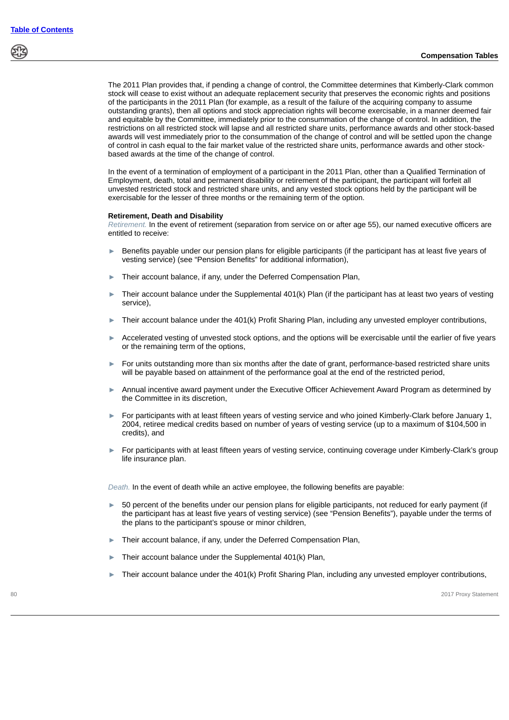The 2011 Plan provides that, if pending a change of control, the Committee determines that Kimberly-Clark common stock will cease to exist without an adequate replacement security that preserves the economic rights and positions of the participants in the 2011 Plan (for example, as a result of the failure of the acquiring company to assume outstanding grants), then all options and stock appreciation rights will become exercisable, in a manner deemed fair and equitable by the Committee, immediately prior to the consummation of the change of control. In addition, the restrictions on all restricted stock will lapse and all restricted share units, performance awards and other stock-based awards will vest immediately prior to the consummation of the change of control and will be settled upon the change of control in cash equal to the fair market value of the restricted share units, performance awards and other stockbased awards at the time of the change of control.

In the event of a termination of employment of a participant in the 2011 Plan, other than a Qualified Termination of Employment, death, total and permanent disability or retirement of the participant, the participant will forfeit all unvested restricted stock and restricted share units, and any vested stock options held by the participant will be exercisable for the lesser of three months or the remaining term of the option.

#### **Retirement, Death and Disability**

*Retirement.* In the event of retirement (separation from service on or after age 55), our named executive officers are entitled to receive:

- ► Benefits payable under our pension plans for eligible participants (if the participant has at least five years of vesting service) (see "Pension Benefits" for additional information),
- Their account balance, if any, under the Deferred Compensation Plan,
- Their account balance under the Supplemental 401(k) Plan (if the participant has at least two years of vesting service),
- Their account balance under the 401(k) Profit Sharing Plan, including any unvested employer contributions,
- Accelerated vesting of unvested stock options, and the options will be exercisable until the earlier of five years or the remaining term of the options,
- ► For units outstanding more than six months after the date of grant, performance-based restricted share units will be payable based on attainment of the performance goal at the end of the restricted period,
- ► Annual incentive award payment under the Executive Officer Achievement Award Program as determined by the Committee in its discretion,
- ► For participants with at least fifteen years of vesting service and who joined Kimberly-Clark before January 1, 2004, retiree medical credits based on number of years of vesting service (up to a maximum of \$104,500 in credits), and
- ► For participants with at least fifteen years of vesting service, continuing coverage under Kimberly-Clark's group life insurance plan.

*Death.* In the event of death while an active employee, the following benefits are payable:

- 50 percent of the benefits under our pension plans for eligible participants, not reduced for early payment (if the participant has at least five years of vesting service) (see "Pension Benefits"), payable under the terms of the plans to the participant's spouse or minor children,
- ► Their account balance, if any, under the Deferred Compensation Plan,
- Their account balance under the Supplemental 401(k) Plan,
- Their account balance under the 401(k) Profit Sharing Plan, including any unvested employer contributions,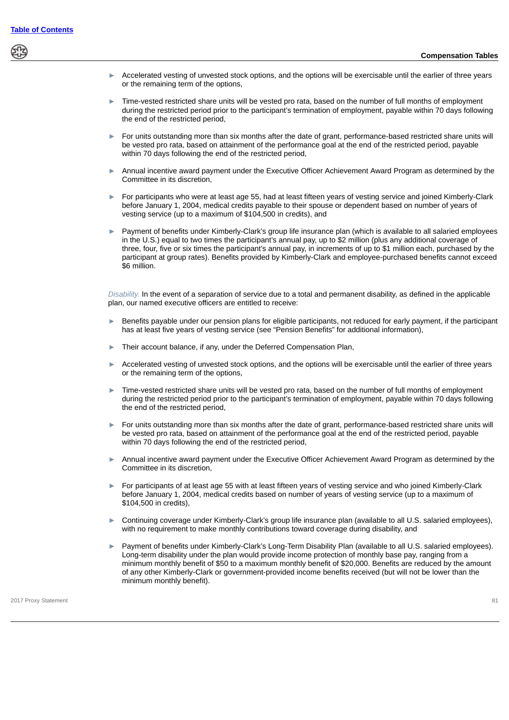- Accelerated vesting of unvested stock options, and the options will be exercisable until the earlier of three years or the remaining term of the options,
- Time-vested restricted share units will be vested pro rata, based on the number of full months of employment during the restricted period prior to the participant's termination of employment, payable within 70 days following the end of the restricted period,
- ► For units outstanding more than six months after the date of grant, performance-based restricted share units will be vested pro rata, based on attainment of the performance goal at the end of the restricted period, payable within 70 days following the end of the restricted period,
- Annual incentive award payment under the Executive Officer Achievement Award Program as determined by the Committee in its discretion,
- ► For participants who were at least age 55, had at least fifteen years of vesting service and joined Kimberly-Clark before January 1, 2004, medical credits payable to their spouse or dependent based on number of years of vesting service (up to a maximum of \$104,500 in credits), and
- ► Payment of benefits under Kimberly-Clark's group life insurance plan (which is available to all salaried employees in the U.S.) equal to two times the participant's annual pay, up to \$2 million (plus any additional coverage of three, four, five or six times the participant's annual pay, in increments of up to \$1 million each, purchased by the participant at group rates). Benefits provided by Kimberly-Clark and employee-purchased benefits cannot exceed \$6 million.

*Disability.* In the event of a separation of service due to a total and permanent disability, as defined in the applicable plan, our named executive officers are entitled to receive:

- Benefits payable under our pension plans for eligible participants, not reduced for early payment, if the participant has at least five years of vesting service (see "Pension Benefits" for additional information),
- Their account balance, if any, under the Deferred Compensation Plan,
- Accelerated vesting of unvested stock options, and the options will be exercisable until the earlier of three years or the remaining term of the options,
- Time-vested restricted share units will be vested pro rata, based on the number of full months of employment during the restricted period prior to the participant's termination of employment, payable within 70 days following the end of the restricted period,
- ► For units outstanding more than six months after the date of grant, performance-based restricted share units will be vested pro rata, based on attainment of the performance goal at the end of the restricted period, payable within 70 days following the end of the restricted period,
- Annual incentive award payment under the Executive Officer Achievement Award Program as determined by the Committee in its discretion,
- ► For participants of at least age 55 with at least fifteen years of vesting service and who joined Kimberly-Clark before January 1, 2004, medical credits based on number of years of vesting service (up to a maximum of \$104,500 in credits),
- ► Continuing coverage under Kimberly-Clark's group life insurance plan (available to all U.S. salaried employees), with no requirement to make monthly contributions toward coverage during disability, and
- Payment of benefits under Kimberly-Clark's Long-Term Disability Plan (available to all U.S. salaried employees). Long-term disability under the plan would provide income protection of monthly base pay, ranging from a minimum monthly benefit of \$50 to a maximum monthly benefit of \$20,000. Benefits are reduced by the amount of any other Kimberly-Clark or government-provided income benefits received (but will not be lower than the minimum monthly benefit).

2017 Proxy Statement 81 Proxy Statement 81 Proxy Statement 81 Proxy Statement 81 Proxy Statement 81 Proxy Statement 81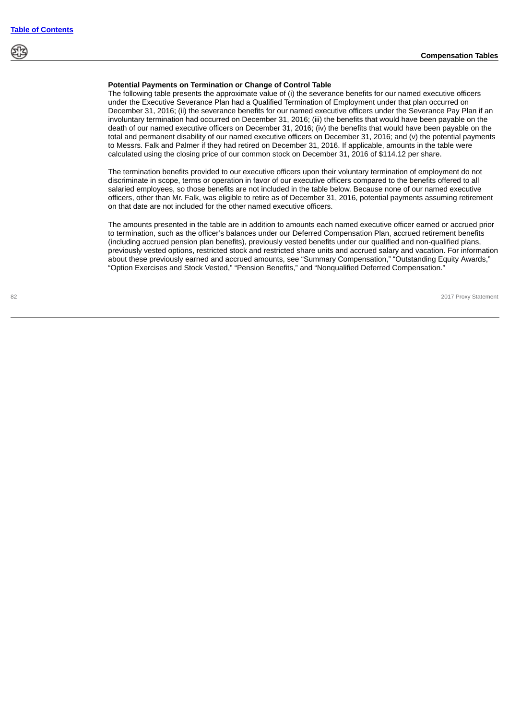# **Potential Payments on Termination or Change of Control Table**

The following table presents the approximate value of (i) the severance benefits for our named executive officers under the Executive Severance Plan had a Qualified Termination of Employment under that plan occurred on December 31, 2016; (ii) the severance benefits for our named executive officers under the Severance Pay Plan if an involuntary termination had occurred on December 31, 2016; (iii) the benefits that would have been payable on the death of our named executive officers on December 31, 2016; (iv) the benefits that would have been payable on the total and permanent disability of our named executive officers on December 31, 2016; and (v) the potential payments to Messrs. Falk and Palmer if they had retired on December 31, 2016. If applicable, amounts in the table were calculated using the closing price of our common stock on December 31, 2016 of \$114.12 per share.

The termination benefits provided to our executive officers upon their voluntary termination of employment do not discriminate in scope, terms or operation in favor of our executive officers compared to the benefits offered to all salaried employees, so those benefits are not included in the table below. Because none of our named executive officers, other than Mr. Falk, was eligible to retire as of December 31, 2016, potential payments assuming retirement on that date are not included for the other named executive officers.

The amounts presented in the table are in addition to amounts each named executive officer earned or accrued prior to termination, such as the officer's balances under our Deferred Compensation Plan, accrued retirement benefits (including accrued pension plan benefits), previously vested benefits under our qualified and non-qualified plans, previously vested options, restricted stock and restricted share units and accrued salary and vacation. For information about these previously earned and accrued amounts, see "Summary Compensation," "Outstanding Equity Awards," "Option Exercises and Stock Vested," "Pension Benefits," and "Nonqualified Deferred Compensation."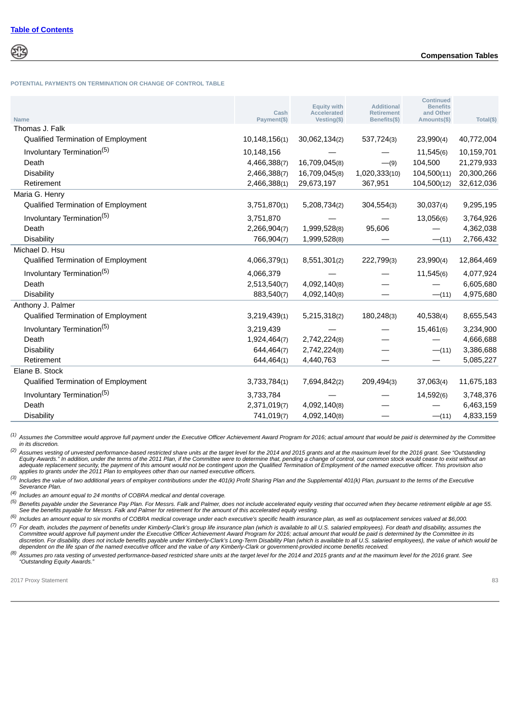**POTENTIAL PAYMENTS ON TERMINATION OR CHANGE OF CONTROL TABLE**

| <b>Name</b>                            | Cash<br>Payment(\$) | <b>Equity with</b><br>Accelerated<br>Vesting(\$) | <b>Additional</b><br><b>Retirement</b><br>Benefits(\$) | <b>Continued</b><br><b>Benefits</b><br>and Other<br>Amounts(\$) | Total(\$)  |
|----------------------------------------|---------------------|--------------------------------------------------|--------------------------------------------------------|-----------------------------------------------------------------|------------|
| Thomas J. Falk                         |                     |                                                  |                                                        |                                                                 |            |
| Qualified Termination of Employment    | 10,148,156(1)       | 30,062,134(2)                                    | 537,724(3)                                             | 23,990(4)                                                       | 40,772,004 |
| Involuntary Termination <sup>(5)</sup> | 10,148,156          |                                                  |                                                        | 11,545(6)                                                       | 10,159,701 |
| Death                                  | 4,466,388(7)        | 16,709,045(8)                                    | $-9)$                                                  | 104,500                                                         | 21,279,933 |
| <b>Disability</b>                      | 2,466,388(7)        | 16,709,045(8)                                    | 1,020,333(10)                                          | 104,500(11)                                                     | 20,300,266 |
| Retirement                             | 2,466,388(1)        | 29,673,197                                       | 367,951                                                | 104,500(12)                                                     | 32,612,036 |
| Maria G. Henry                         |                     |                                                  |                                                        |                                                                 |            |
| Qualified Termination of Employment    | 3,751,870(1)        | 5,208,734(2)                                     | 304,554(3)                                             | 30,037(4)                                                       | 9,295,195  |
| Involuntary Termination <sup>(5)</sup> | 3,751,870           |                                                  |                                                        | 13,056(6)                                                       | 3,764,926  |
| Death                                  | 2,266,904(7)        | 1,999,528(8)                                     | 95,606                                                 |                                                                 | 4,362,038  |
| <b>Disability</b>                      | 766,904(7)          | 1,999,528(8)                                     |                                                        | $-(11)$                                                         | 2,766,432  |
| Michael D. Hsu                         |                     |                                                  |                                                        |                                                                 |            |
| Qualified Termination of Employment    | 4,066,379(1)        | 8,551,301(2)                                     | 222,799(3)                                             | 23,990(4)                                                       | 12,864,469 |
| Involuntary Termination <sup>(5)</sup> | 4,066,379           |                                                  |                                                        | 11,545(6)                                                       | 4,077,924  |
| Death                                  | 2,513,540(7)        | 4,092,140(8)                                     |                                                        |                                                                 | 6,605,680  |
| <b>Disability</b>                      | 883,540(7)          | 4,092,140(8)                                     |                                                        | $-(11)$                                                         | 4,975,680  |
| Anthony J. Palmer                      |                     |                                                  |                                                        |                                                                 |            |
| Qualified Termination of Employment    | 3,219,439(1)        | 5,215,318(2)                                     | 180,248(3)                                             | 40,538(4)                                                       | 8,655,543  |
| Involuntary Termination <sup>(5)</sup> | 3,219,439           |                                                  |                                                        | 15,461(6)                                                       | 3,234,900  |
| Death                                  | 1,924,464(7)        | 2,742,224(8)                                     |                                                        |                                                                 | 4,666,688  |
| <b>Disability</b>                      | 644,464(7)          | 2,742,224(8)                                     |                                                        | $- (11)$                                                        | 3,386,688  |
| Retirement                             | 644,464(1)          | 4,440,763                                        |                                                        |                                                                 | 5,085,227  |
| Elane B. Stock                         |                     |                                                  |                                                        |                                                                 |            |
| Qualified Termination of Employment    | 3,733,784(1)        | 7,694,842(2)                                     | 209,494(3)                                             | 37,063(4)                                                       | 11,675,183 |
| Involuntary Termination <sup>(5)</sup> | 3,733,784           |                                                  |                                                        | 14,592(6)                                                       | 3,748,376  |
| Death                                  | 2,371,019(7)        | 4,092,140(8)                                     |                                                        |                                                                 | 6,463,159  |
| <b>Disability</b>                      | 741,019(7)          | 4,092,140(8)                                     |                                                        | $-(11)$                                                         | 4,833,159  |

*(1) Assumes the Committee would approve full payment under the Executive Officer Achievement Award Program for 2016; actual amount that would be paid is determined by the Committee in its discretion.*

<sup>(2)</sup> Assumes vesting of unvested performance-based restricted share units at the target level for the 2014 and 2015 grants and at the maximum level for the 2016 grant. See "Outstanding<br>Equity Awards." In addition, under t *adequate replacement security, the payment of this amount would not be contingent upon the Qualified Termination of Employment of the named executive officer. This provision also applies to grants under the 2011 Plan to employees other than our named executive officers.*

*(3) Includes the value of two additional years of employer contributions under the 401(k) Profit Sharing Plan and the Supplemental 401(k) Plan, pursuant to the terms of the Executive Severance Plan.*

*(4) Includes an amount equal to 24 months of COBRA medical and dental coverage.*

*(5) Benefits payable under the Severance Pay Plan. For Messrs. Falk and Palmer, does not include accelerated equity vesting that occurred when they became retirement eligible at age 55. See the benefits payable for Messrs. Falk and Palmer for retirement for the amount of this accelerated equity vesting.*

*(6) Includes an amount equal to six months of COBRA medical coverage under each executive's specific health insurance plan, as well as outplacement services valued at \$6,000.*

*(7) For death, includes the payment of benefits under Kimberly-Clark's group life insurance plan (which is available to all U.S. salaried employees). For death and disability, assumes the* Committee would approve full payment under the Executive Officer Achievement Award Program for 2016; actual amount that would be paid is determined by the Committee in its<br>discretion. For disability, does not include benef *dependent on the life span of the named executive officer and the value of any Kimberly-Clark or government-provided income benefits received.*

<sup>(8)</sup> Assumes pro rata vesting of unvested performance-based restricted share units at the target level for the 2014 and 2015 grants and at the maximum level for the 2016 grant. See<br>"Outstanding Equity Awards."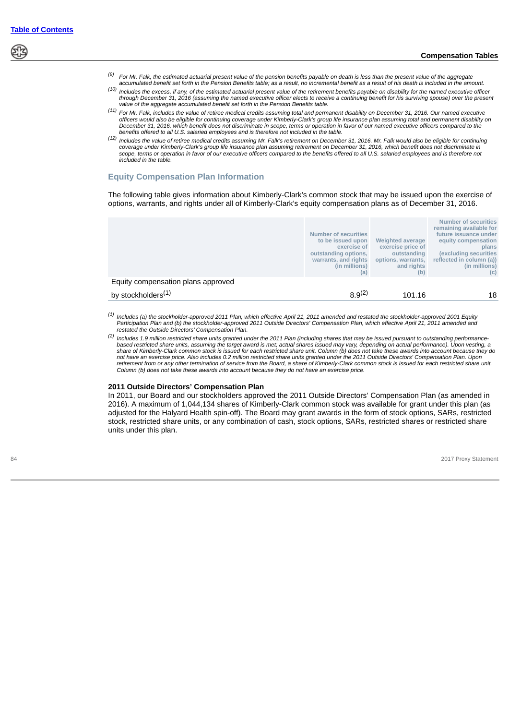- *(9) For Mr. Falk, the estimated actuarial present value of the pension benefits payable on death is less than the present value of the aggregate accumulated benefit set forth in the Pension Benefits table; as a result, no incremental benefit as a result of his death is included in the amount.*
- *(10) Includes the excess, if any, of the estimated actuarial present value of the retirement benefits payable on disability for the named executive officer through December 31, 2016 (assuming the named executive officer elects to receive a continuing benefit for his surviving spouse) over the present value of the aggregate accumulated benefit set forth in the Pension Benefits table.*
- *(11) For Mr. Falk, includes the value of retiree medical credits assuming total and permanent disability on December 31, 2016. Our named executive* officers would also be eligible for continuing coverage under Kimberly-Clark's group life insurance plan assuming total and permanent disability on<br>December 31, 2016, which benefit does not discriminate in scope, terms or *benefits offered to all U.S. salaried employees and is therefore not included in the table.*
- Includes the value of retiree medical credits assuming Mr. Falk's retirement on December 31, 2016. Mr. Falk would also be eligible for continuing (12) Includes the value overage under Kimberly-Clark's group life insurance *scope, terms or operation in favor of our executive officers compared to the benefits offered to all U.S. salaried employees and is therefore not included in the table.*

# **Equity Compensation Plan Information**

The following table gives information about Kimberly-Clark's common stock that may be issued upon the exercise of options, warrants, and rights under all of Kimberly-Clark's equity compensation plans as of December 31, 2016.

|                                    | <b>Number of securities</b><br>to be issued upon<br>exercise of<br>outstanding options,<br>warrants, and rights<br>(in millions)<br>(a) | <b>Weighted average</b><br>exercise price of<br>outstanding<br>options, warrants,<br>and rights<br>(b) | <b>Number of securities</b><br>remaining available for<br>future issuance under<br>equity compensation<br>plans<br>(excluding securities<br>reflected in column (a))<br>(in millions)<br>(c) |
|------------------------------------|-----------------------------------------------------------------------------------------------------------------------------------------|--------------------------------------------------------------------------------------------------------|----------------------------------------------------------------------------------------------------------------------------------------------------------------------------------------------|
| Equity compensation plans approved |                                                                                                                                         |                                                                                                        |                                                                                                                                                                                              |
| by stockholders <sup>(1)</sup>     | $8.9^{(2)}$                                                                                                                             | 101.16                                                                                                 | 18                                                                                                                                                                                           |
|                                    |                                                                                                                                         |                                                                                                        |                                                                                                                                                                                              |

*(1)* Includes (a) the stockholder-approved 2011 Plan, which effective April 21, 2011 amended and restated the stockholder-approved 2001 Equity<br>Participation Plan and (b) the stockholder-approved 2011 Outside Directors' Compensa *restated the Outside Directors' Compensation Plan.*

*(2) Includes 1.9 million restricted share units granted under the 2011 Plan (including shares that may be issued pursuant to outstanding performance*based restricted share units, assuming the target award is met; actual shares issued may vary, depending on actual performance). Upon vesting, a<br>share of Kimberly-Clark common stock is issued for each restricted share unit *not have an exercise price. Also includes 0.2 million restricted share units granted under the 2011 Outside Directors' Compensation Plan. Upon retirement from or any other termination of service from the Board, a share of Kimberly-Clark common stock is issued for each restricted share unit. Column (b) does not take these awards into account because they do not have an exercise price.*

#### **2011 Outside Directors' Compensation Plan**

In 2011, our Board and our stockholders approved the 2011 Outside Directors' Compensation Plan (as amended in 2016). A maximum of 1,044,134 shares of Kimberly-Clark common stock was available for grant under this plan (as adjusted for the Halyard Health spin-off). The Board may grant awards in the form of stock options, SARs, restricted stock, restricted share units, or any combination of cash, stock options, SARs, restricted shares or restricted share units under this plan.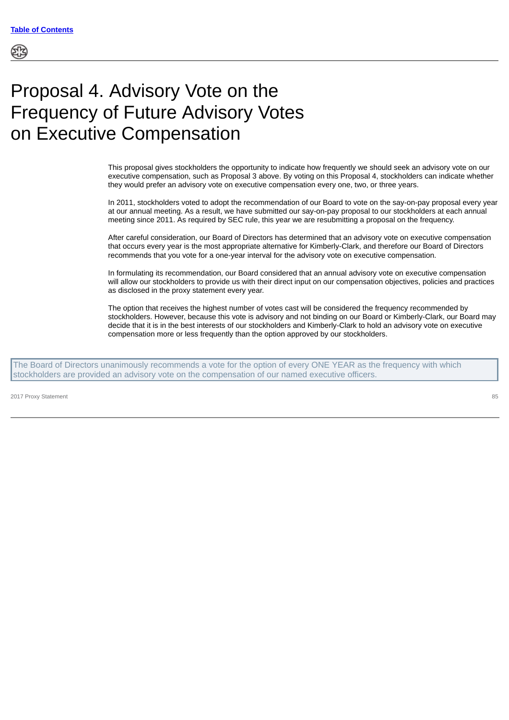# Proposal 4. Advisory Vote on the Frequency of Future Advisory Votes on Executive Compensation

This proposal gives stockholders the opportunity to indicate how frequently we should seek an advisory vote on our executive compensation, such as Proposal 3 above. By voting on this Proposal 4, stockholders can indicate whether they would prefer an advisory vote on executive compensation every one, two, or three years.

In 2011, stockholders voted to adopt the recommendation of our Board to vote on the say-on-pay proposal every year at our annual meeting. As a result, we have submitted our say-on-pay proposal to our stockholders at each annual meeting since 2011. As required by SEC rule, this year we are resubmitting a proposal on the frequency.

After careful consideration, our Board of Directors has determined that an advisory vote on executive compensation that occurs every year is the most appropriate alternative for Kimberly-Clark, and therefore our Board of Directors recommends that you vote for a one-year interval for the advisory vote on executive compensation.

In formulating its recommendation, our Board considered that an annual advisory vote on executive compensation will allow our stockholders to provide us with their direct input on our compensation objectives, policies and practices as disclosed in the proxy statement every year.

The option that receives the highest number of votes cast will be considered the frequency recommended by stockholders. However, because this vote is advisory and not binding on our Board or Kimberly-Clark, our Board may decide that it is in the best interests of our stockholders and Kimberly-Clark to hold an advisory vote on executive compensation more or less frequently than the option approved by our stockholders.

The Board of Directors unanimously recommends a vote for the option of every ONE YEAR as the frequency with which stockholders are provided an advisory vote on the compensation of our named executive officers.

2017 Proxy Statement 85 Proxy Statement 85 Proxy Statement 85 Proxy Statement 85 Proxy Statement 85 Proxy Statement 85 Proxy Statement 85 Proxy Statement 85 Proxy Statement 85 Proxy Statement 85 Proxy Statement 85 Proxy St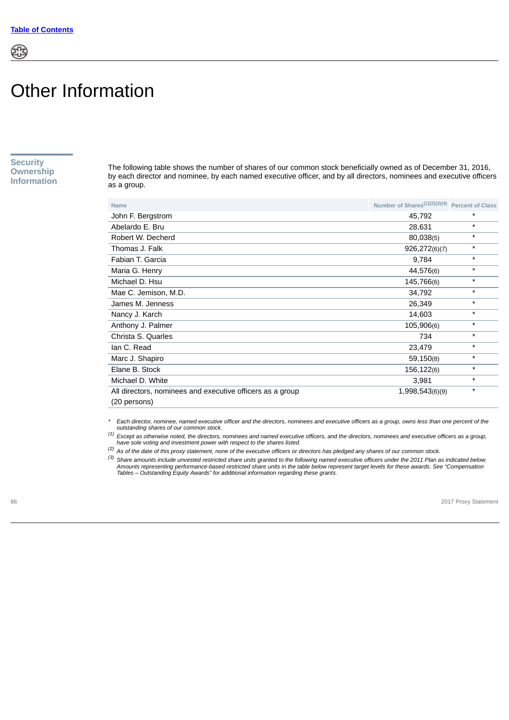# Other Information

**Security Ownership Information**

The following table shows the number of shares of our common stock beneficially owned as of December 31, 2016, by each director and nominee, by each named executive officer, and by all directors, nominees and executive officers as a group.

| <b>Name</b>                                               | Number of Shares $(1)(2)(3)(4)$ Percent of Class |          |
|-----------------------------------------------------------|--------------------------------------------------|----------|
| John F. Bergstrom                                         | 45,792                                           | $^\star$ |
| Abelardo E. Bru                                           | 28,631                                           | $^\star$ |
| Robert W. Decherd                                         | 80,038(5)                                        | $^\star$ |
| Thomas J. Falk                                            | 926,272(6)(7)                                    | *        |
| Fabian T. Garcia                                          | 9,784                                            | $\star$  |
| Maria G. Henry                                            | 44,576(6)                                        | $^\star$ |
| Michael D. Hsu                                            | 145,766(6)                                       | $^\star$ |
| Mae C. Jemison, M.D.                                      | 34,792                                           | $\star$  |
| James M. Jenness                                          | 26,349                                           | $\star$  |
| Nancy J. Karch                                            | 14,603                                           | $\star$  |
| Anthony J. Palmer                                         | 105,906(6)                                       | $^\star$ |
| Christa S. Quarles                                        | 734                                              | $\star$  |
| lan C. Read                                               | 23,479                                           | $^\star$ |
| Marc J. Shapiro                                           | 59,150(8)                                        | $\star$  |
| Elane B. Stock                                            | 156,122(6)                                       | $^\star$ |
| Michael D. White                                          | 3,981                                            | $^\star$ |
| All directors, nominees and executive officers as a group | 1,998,543(6)(9)                                  | $^\star$ |
| (20 persons)                                              |                                                  |          |

*\* Each director, nominee, named executive officer and the directors, nominees and executive officers as a group, owns less than one percent of the outstanding shares of our common stock.*

*(1) Except as otherwise noted, the directors, nominees and named executive officers, and the directors, nominees and executive officers as a group, have sole voting and investment power with respect to the shares listed.*

*(2) As of the date of this proxy statement, none of the executive officers or directors has pledged any shares of our common stock.*

*(3) Share amounts include unvested restricted share units granted to the following named executive officers under the 2011 Plan as indicated below.* Amounts representing performance-based restricted share units in the table below represent target levels for these awards. See "Compensation<br>Tables – Outstanding Equity Awards" for additional information regarding these gr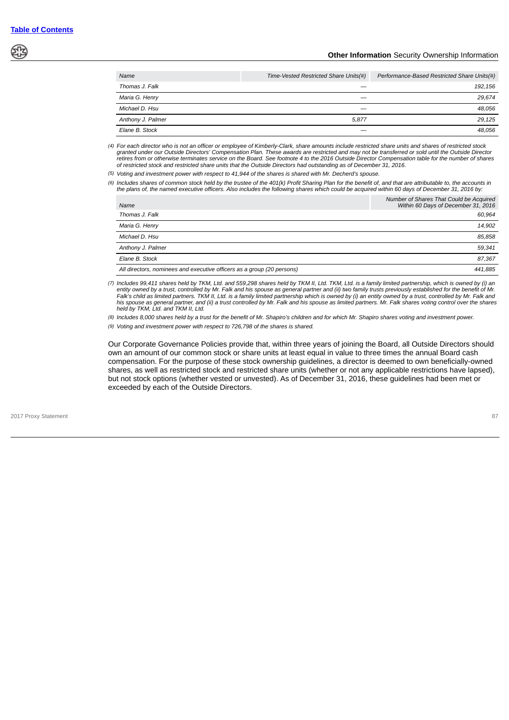# **Other Information** Security Ownership Information

| Name              | Time-Vested Restricted Share Units(#) | Performance-Based Restricted Share Units(#) |
|-------------------|---------------------------------------|---------------------------------------------|
| Thomas J. Falk    |                                       | 192.156                                     |
| Maria G. Henry    |                                       | 29.674                                      |
| Michael D. Hsu    |                                       | 48.056                                      |
| Anthony J. Palmer | 5.877                                 | 29.125                                      |
| Elane B. Stock    |                                       | 48.056                                      |

 *(4) For each director who is not an officer or employee of Kimberly-Clark, share amounts include restricted share units and shares of restricted stock* granted under our Outside Directors' Compensation Plan. These awards are restricted and may not be transferred or sold until the Outside Director<br>retires from or otherwise terminates service on the Board. See footnote 4 to *of restricted stock and restricted share units that the Outside Directors had outstanding as of December 31, 2016.*

*(5) Voting and investment power with respect to 41,944 of the shares is shared with Mr. Decherd's spouse.*

*(6) Includes shares of common stock held by the trustee of the 401(k) Profit Sharing Plan for the benefit of, and that are attributable to, the accounts in the plans of, the named executive officers. Also includes the following shares which could be acquired within 60 days of December 31, 2016 by:*

| Name                                                                   | Number of Shares That Could be Acquired<br>Within 60 Days of December 31, 2016 |
|------------------------------------------------------------------------|--------------------------------------------------------------------------------|
| Thomas J. Falk                                                         | 60.964                                                                         |
| Maria G. Henry                                                         | 14.902                                                                         |
| Michael D. Hsu                                                         | 85.858                                                                         |
| Anthony J. Palmer                                                      | 59.341                                                                         |
| Elane B. Stock                                                         | 87.367                                                                         |
| All directors, nominees and executive officers as a group (20 persons) | 441.885                                                                        |

*(7) Includes 99,411 shares held by TKM, Ltd. and 559,298 shares held by TKM II, Ltd. TKM, Ltd. is a family limited partnership, which is owned by (i) an* entity owned by a trust, controlled by Mr. Falk and his spouse as general partner and (ii) two family trusts previously established for the benefit of Mr.<br>Falk's child as limited partners. TKM II, Ltd. is a family limited *his spouse as general partner, and (ii) a trust controlled by Mr. Falk and his spouse as limited partners. Mr. Falk shares voting control over the shares held by TKM, Ltd. and TKM II, Ltd.*

*(8) Includes 8,000 shares held by a trust for the benefit of Mr. Shapiro's children and for which Mr. Shapiro shares voting and investment power.*

*(9) Voting and investment power with respect to 726,798 of the shares is shared.*

Our Corporate Governance Policies provide that, within three years of joining the Board, all Outside Directors should own an amount of our common stock or share units at least equal in value to three times the annual Board cash compensation. For the purpose of these stock ownership guidelines, a director is deemed to own beneficially-owned shares, as well as restricted stock and restricted share units (whether or not any applicable restrictions have lapsed), but not stock options (whether vested or unvested). As of December 31, 2016, these guidelines had been met or exceeded by each of the Outside Directors.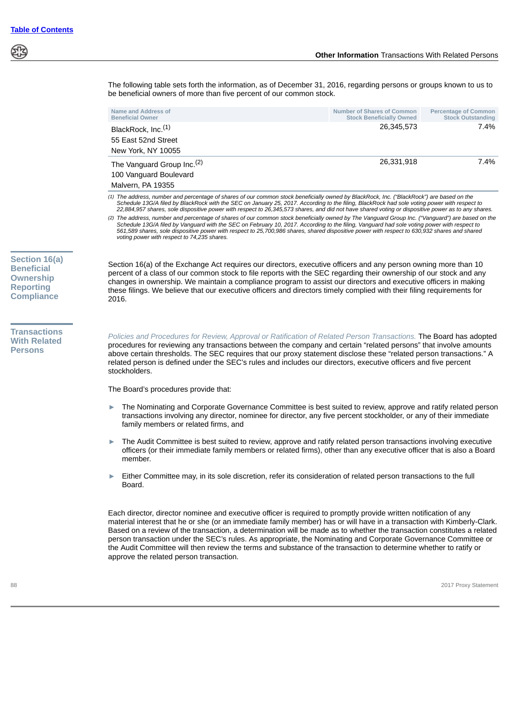

material interest that he or she (or an immediate family member) has or will have in a transaction with Kimberly-Clark. Based on a review of the transaction, a determination will be made as to whether the transaction constitutes a related person transaction under the SEC's rules. As appropriate, the Nominating and Corporate Governance Committee or the Audit Committee will then review the terms and substance of the transaction to determine whether to ratify or approve the related person transaction.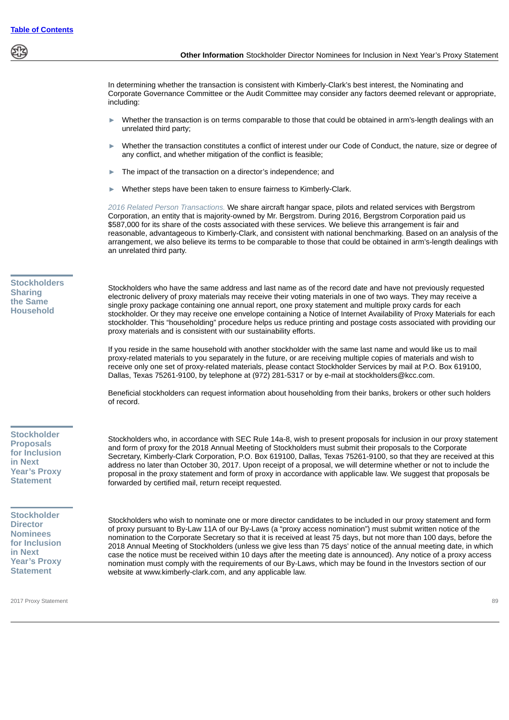In determining whether the transaction is consistent with Kimberly-Clark's best interest, the Nominating and Corporate Governance Committee or the Audit Committee may consider any factors deemed relevant or appropriate, including:

- Whether the transaction is on terms comparable to those that could be obtained in arm's-length dealings with an unrelated third party;
- Whether the transaction constitutes a conflict of interest under our Code of Conduct, the nature, size or degree of any conflict, and whether mitigation of the conflict is feasible;
- The impact of the transaction on a director's independence; and
- Whether steps have been taken to ensure fairness to Kimberly-Clark.

*2016 Related Person Transactions.* We share aircraft hangar space, pilots and related services with Bergstrom Corporation, an entity that is majority-owned by Mr. Bergstrom. During 2016, Bergstrom Corporation paid us \$587,000 for its share of the costs associated with these services. We believe this arrangement is fair and reasonable, advantageous to Kimberly-Clark, and consistent with national benchmarking. Based on an analysis of the arrangement, we also believe its terms to be comparable to those that could be obtained in arm's-length dealings with an unrelated third party.

**Stockholders Sharing the Same Household**

Stockholders who have the same address and last name as of the record date and have not previously requested electronic delivery of proxy materials may receive their voting materials in one of two ways. They may receive a single proxy package containing one annual report, one proxy statement and multiple proxy cards for each stockholder. Or they may receive one envelope containing a Notice of Internet Availability of Proxy Materials for each stockholder. This "householding" procedure helps us reduce printing and postage costs associated with providing our proxy materials and is consistent with our sustainability efforts.

If you reside in the same household with another stockholder with the same last name and would like us to mail proxy-related materials to you separately in the future, or are receiving multiple copies of materials and wish to receive only one set of proxy-related materials, please contact Stockholder Services by mail at P.O. Box 619100, Dallas, Texas 75261-9100, by telephone at (972) 281-5317 or by e-mail at stockholders@kcc.com.

Beneficial stockholders can request information about householding from their banks, brokers or other such holders of record.

**Stockholder Proposals for Inclusion in Next Year's Proxy Statement**

Stockholders who, in accordance with SEC Rule 14a-8, wish to present proposals for inclusion in our proxy statement and form of proxy for the 2018 Annual Meeting of Stockholders must submit their proposals to the Corporate Secretary, Kimberly-Clark Corporation, P.O. Box 619100, Dallas, Texas 75261-9100, so that they are received at this address no later than October 30, 2017. Upon receipt of a proposal, we will determine whether or not to include the proposal in the proxy statement and form of proxy in accordance with applicable law. We suggest that proposals be forwarded by certified mail, return receipt requested.

**Stockholder Director Nominees for Inclusion in Next Year's Proxy Statement**

Stockholders who wish to nominate one or more director candidates to be included in our proxy statement and form of proxy pursuant to By-Law 11A of our By-Laws (a "proxy access nomination") must submit written notice of the nomination to the Corporate Secretary so that it is received at least 75 days, but not more than 100 days, before the 2018 Annual Meeting of Stockholders (unless we give less than 75 days' notice of the annual meeting date, in which case the notice must be received within 10 days after the meeting date is announced). Any notice of a proxy access nomination must comply with the requirements of our By-Laws, which may be found in the Investors section of our website at www.kimberly-clark.com, and any applicable law.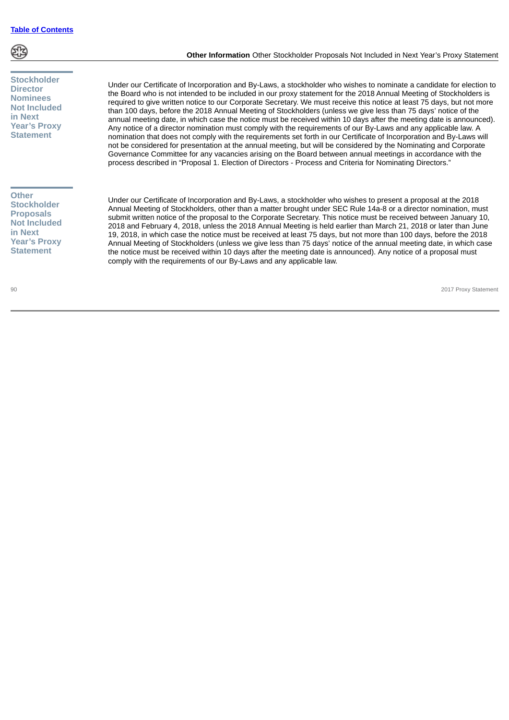

# **Stockholder Director Nominees Not Included in Next Year's Proxy Statement**

# **Other Stockholder Proposals Not Included in Next Year's Proxy Statement**

**Other Information** Other Stockholder Proposals Not Included in Next Year's Proxy Statement

Under our Certificate of Incorporation and By-Laws, a stockholder who wishes to nominate a candidate for election to the Board who is not intended to be included in our proxy statement for the 2018 Annual Meeting of Stockholders is required to give written notice to our Corporate Secretary. We must receive this notice at least 75 days, but not more than 100 days, before the 2018 Annual Meeting of Stockholders (unless we give less than 75 days' notice of the annual meeting date, in which case the notice must be received within 10 days after the meeting date is announced). Any notice of a director nomination must comply with the requirements of our By-Laws and any applicable law. A nomination that does not comply with the requirements set forth in our Certificate of Incorporation and By-Laws will not be considered for presentation at the annual meeting, but will be considered by the Nominating and Corporate Governance Committee for any vacancies arising on the Board between annual meetings in accordance with the process described in "Proposal 1. Election of Directors - Process and Criteria for Nominating Directors."

Under our Certificate of Incorporation and By-Laws, a stockholder who wishes to present a proposal at the 2018 Annual Meeting of Stockholders, other than a matter brought under SEC Rule 14a-8 or a director nomination, must submit written notice of the proposal to the Corporate Secretary. This notice must be received between January 10, 2018 and February 4, 2018, unless the 2018 Annual Meeting is held earlier than March 21, 2018 or later than June 19, 2018, in which case the notice must be received at least 75 days, but not more than 100 days, before the 2018 Annual Meeting of Stockholders (unless we give less than 75 days' notice of the annual meeting date, in which case the notice must be received within 10 days after the meeting date is announced). Any notice of a proposal must comply with the requirements of our By-Laws and any applicable law.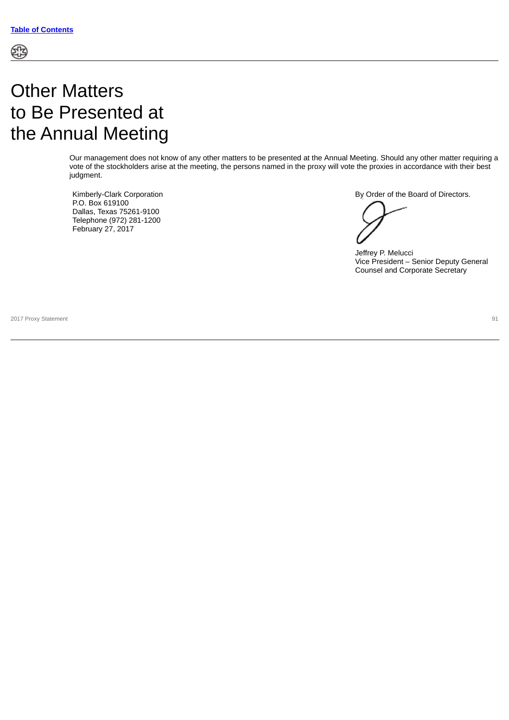# Other Matters to Be Presented at the Annual Meeting

Our management does not know of any other matters to be presented at the Annual Meeting. Should any other matter requiring a vote of the stockholders arise at the meeting, the persons named in the proxy will vote the proxies in accordance with their best judgment.

Kimberly-Clark Corporation P.O. Box 619100 Dallas, Texas 75261-9100 Telephone (972) 281-1200 February 27, 2017

By Order of the Board of Directors.

Jeffrey P. Melucci Vice President – Senior Deputy General Counsel and Corporate Secretary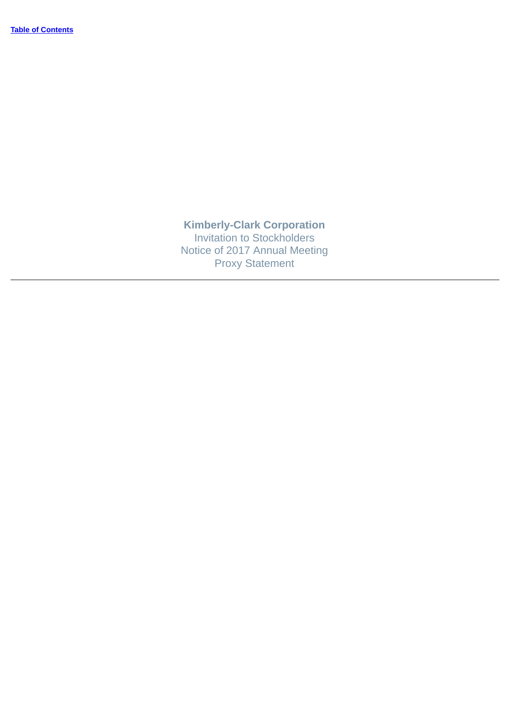**Kimberly-Clark Corporation** Invitation to Stockholders Notice of 2017 Annual Meeting Proxy Statement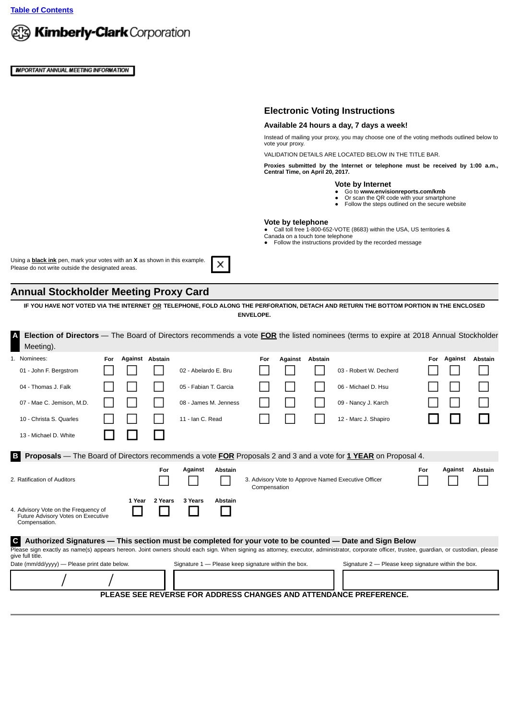**[Table of Contents](#page-4-0)**



**IMPORTANT ANNUAL MEETING INFORMATION** 

# **Electronic Voting Instructions**

#### **Available 24 hours a day, 7 days a week!**

Instead of mailing your proxy, you may choose one of the voting methods outlined below to vote your proxy.

VALIDATION DETAILS ARE LOCATED BELOW IN THE TITLE BAR.

**Proxies submitted by the Internet or telephone must be received by 1:00 a.m., Central Time, on April 20, 2017.**

#### **Vote by Internet**

- Go to **www.envisionreports.com/kmb**
- Or scan the QR code with your smartphone<br>● Follow the steps outlined on the secure website
- 

#### **Vote by telephone**

● Call toll free 1-800-652-VOTE (8683) within the USA, US territories &<br>Canada on a touch tone telephone

● Follow the instructions provided by the recorded message

Using a **black ink** pen, mark your votes with an **X** as shown in this example. Please do not write outside the designated areas.

# **Annual Stockholder Meeting Proxy Card**

**IF YOU HAVE NOT VOTED VIA THE INTERNET OR TELEPHONE, FOLD ALONG THE PERFORATION, DETACH AND RETURN THE BOTTOM PORTION IN THE ENCLOSED ENVELOPE.**

X

**A Election of Directors** — The Board of Directors recommends a vote **FOR** the listed nominees (terms to expire at 2018 Annual Stockholder Meeting).

|                                                                                                                                                                                                                                                                                                                                             | 1. Nominees:                                                                                | For | Against Abstain |                                                     |                       |         | For                                                 | Against | Abstain |                                                     | For | Against | <b>Abstain</b> |
|---------------------------------------------------------------------------------------------------------------------------------------------------------------------------------------------------------------------------------------------------------------------------------------------------------------------------------------------|---------------------------------------------------------------------------------------------|-----|-----------------|-----------------------------------------------------|-----------------------|---------|-----------------------------------------------------|---------|---------|-----------------------------------------------------|-----|---------|----------------|
|                                                                                                                                                                                                                                                                                                                                             | 01 - John F. Bergstrom                                                                      |     |                 |                                                     | 02 - Abelardo E. Bru  |         |                                                     |         |         | 03 - Robert W. Decherd                              |     |         |                |
|                                                                                                                                                                                                                                                                                                                                             | 04 - Thomas J. Falk                                                                         |     |                 |                                                     | 05 - Fabian T. Garcia |         |                                                     |         |         | 06 - Michael D. Hsu                                 |     |         |                |
|                                                                                                                                                                                                                                                                                                                                             | 07 - Mae C. Jemison, M.D.                                                                   |     |                 |                                                     | 08 - James M. Jenness |         |                                                     |         |         | 09 - Nancy J. Karch                                 |     |         |                |
|                                                                                                                                                                                                                                                                                                                                             | 10 - Christa S. Quarles                                                                     |     |                 |                                                     | 11 - Ian C. Read      |         |                                                     |         |         | 12 - Marc J. Shapiro                                |     |         |                |
|                                                                                                                                                                                                                                                                                                                                             | 13 - Michael D. White                                                                       |     |                 |                                                     |                       |         |                                                     |         |         |                                                     |     |         |                |
| Proposals — The Board of Directors recommends a vote FOR Proposals 2 and 3 and a vote for 1 YEAR on Proposal 4.<br>B.                                                                                                                                                                                                                       |                                                                                             |     |                 |                                                     |                       |         |                                                     |         |         |                                                     |     |         |                |
|                                                                                                                                                                                                                                                                                                                                             | 2. Ratification of Auditors                                                                 |     |                 | For                                                 | Against               | Abstain | Compensation                                        |         |         | 3. Advisory Vote to Approve Named Executive Officer | For | Against | <b>Abstain</b> |
|                                                                                                                                                                                                                                                                                                                                             | 4. Advisory Vote on the Frequency of<br>Future Advisory Votes on Executive<br>Compensation. |     | 1 Year          | 2 Years                                             | 3 Years               | Abstain |                                                     |         |         |                                                     |     |         |                |
| $\mathbf{C}$<br>Authorized Signatures — This section must be completed for your vote to be counted — Date and Sign Below<br>Please sign exactly as name(s) appears hereon. Joint owners should each sign. When signing as attorney, executor, administrator, corporate officer, trustee, quardian, or custodian, please<br>give full title. |                                                                                             |     |                 |                                                     |                       |         |                                                     |         |         |                                                     |     |         |                |
| Date (mm/dd/yyyy) — Please print date below.                                                                                                                                                                                                                                                                                                |                                                                                             |     |                 | Signature 1 - Please keep signature within the box. |                       |         | Signature 2 - Please keep signature within the box. |         |         |                                                     |     |         |                |
|                                                                                                                                                                                                                                                                                                                                             |                                                                                             |     |                 |                                                     |                       |         |                                                     |         |         |                                                     |     |         |                |
|                                                                                                                                                                                                                                                                                                                                             | PLEASE SEE REVERSE FOR ADDRESS CHANGES AND ATTENDANCE PREFERENCE.                           |     |                 |                                                     |                       |         |                                                     |         |         |                                                     |     |         |                |